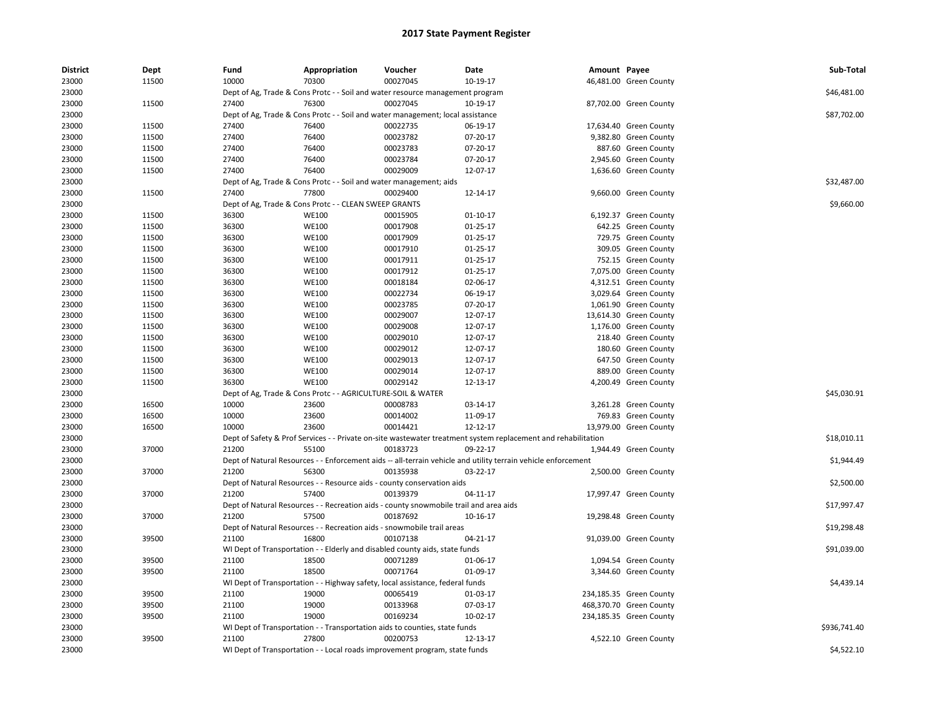| 23000<br>11500<br>10000<br>70300<br>00027045<br>46,481.00 Green County<br>10-19-17<br>23000<br>Dept of Ag, Trade & Cons Protc - - Soil and water resource management program<br>\$46,481.00<br>23000<br>11500<br>27400<br>76300<br>00027045<br>10-19-17<br>87,702.00 Green County<br>\$87,702.00<br>23000<br>Dept of Ag, Trade & Cons Protc - - Soil and water management; local assistance<br>23000<br>11500<br>27400<br>76400<br>00022735<br>06-19-17<br>17,634.40 Green County<br>23000<br>11500<br>27400<br>76400<br>00023782<br>07-20-17<br>9,382.80 Green County<br>23000<br>11500<br>27400<br>76400<br>00023783<br>07-20-17<br>887.60 Green County<br>27400<br>23000<br>11500<br>76400<br>00023784<br>07-20-17<br>2,945.60 Green County<br>27400<br>76400<br>00029009<br>23000<br>11500<br>12-07-17<br>1,636.60 Green County<br>\$32,487.00<br>23000<br>Dept of Ag, Trade & Cons Protc - - Soil and water management; aids<br>77800<br>23000<br>11500<br>27400<br>00029400<br>12-14-17<br>9,660.00 Green County<br>\$9,660.00<br>23000<br>Dept of Ag, Trade & Cons Protc - - CLEAN SWEEP GRANTS<br>23000<br>11500<br>36300<br><b>WE100</b><br>00015905<br>$01 - 10 - 17$<br>6,192.37 Green County<br>36300<br>23000<br>11500<br><b>WE100</b><br>00017908<br>01-25-17<br>642.25 Green County<br>23000<br>36300<br><b>WE100</b><br>00017909<br>11500<br>01-25-17<br>729.75 Green County<br>00017910<br>23000<br>11500<br>36300<br><b>WE100</b><br>01-25-17<br>309.05 Green County<br>23000<br>36300<br><b>WE100</b><br>00017911<br>$01 - 25 - 17$<br>11500<br>752.15 Green County<br>23000<br>11500<br>36300<br><b>WE100</b><br>00017912<br>01-25-17<br>7,075.00 Green County<br>36300<br>00018184<br>23000<br>11500<br><b>WE100</b><br>02-06-17<br>4,312.51 Green County<br>23000<br>36300<br><b>WE100</b><br>00022734<br>06-19-17<br>3,029.64 Green County<br>11500<br>23000<br>11500<br>36300<br><b>WE100</b><br>00023785<br>07-20-17<br>1,061.90 Green County<br>23000<br>36300<br><b>WE100</b><br>00029007<br>12-07-17<br>11500<br>13,614.30 Green County<br>23000<br>11500<br>36300<br><b>WE100</b><br>00029008<br>12-07-17<br>1,176.00 Green County<br>23000<br>36300<br>00029010<br>218.40 Green County<br>11500<br><b>WE100</b><br>12-07-17<br>23000<br>11500<br>36300<br><b>WE100</b><br>00029012<br>12-07-17<br>180.60 Green County<br>23000<br>11500<br>36300<br><b>WE100</b><br>00029013<br>12-07-17<br>647.50 Green County<br>23000<br>36300<br><b>WE100</b><br>00029014<br>12-07-17<br>889.00 Green County<br>11500<br>36300<br><b>WE100</b><br>00029142<br>23000<br>11500<br>12-13-17<br>4,200.49 Green County<br>\$45,030.91<br>23000<br>Dept of Ag, Trade & Cons Protc - - AGRICULTURE-SOIL & WATER<br>23000<br>16500<br>10000<br>23600<br>00008783<br>03-14-17<br>3,261.28 Green County<br>23000<br>16500<br>10000<br>23600<br>00014002<br>11-09-17<br>769.83 Green County<br>23000<br>16500<br>10000<br>23600<br>00014421<br>12-12-17<br>13,979.00 Green County<br>\$18,010.11<br>23000<br>Dept of Safety & Prof Services - - Private on-site wastewater treatment system replacement and rehabilitation<br>21200<br>55100<br>00183723<br>09-22-17<br>23000<br>37000<br>1,944.49 Green County<br>23000<br>\$1,944.49<br>Dept of Natural Resources - - Enforcement aids -- all-terrain vehicle and utility terrain vehicle enforcement<br>23000<br>37000<br>21200<br>56300<br>00135938<br>03-22-17<br>2,500.00 Green County<br>23000<br>\$2,500.00<br>Dept of Natural Resources - - Resource aids - county conservation aids<br>23000<br>37000<br>21200<br>57400<br>00139379<br>04-11-17<br>17,997.47 Green County<br>\$17,997.47<br>23000<br>Dept of Natural Resources - - Recreation aids - county snowmobile trail and area aids<br>23000<br>37000<br>21200<br>57500<br>00187692<br>10-16-17<br>19,298.48 Green County<br>\$19,298.48<br>23000<br>Dept of Natural Resources - - Recreation aids - snowmobile trail areas<br>16800<br>00107138<br>23000<br>39500<br>21100<br>04-21-17<br>91,039.00 Green County<br>23000<br>WI Dept of Transportation - - Elderly and disabled county aids, state funds<br>\$91,039.00<br>21100<br>18500<br>00071289<br>23000<br>39500<br>01-06-17<br>1,094.54 Green County<br>23000<br>39500<br>21100<br>18500<br>00071764<br>01-09-17<br>3,344.60 Green County<br>\$4,439.14<br>23000<br>WI Dept of Transportation - - Highway safety, local assistance, federal funds<br>21100<br>19000<br>00065419<br>23000<br>39500<br>01-03-17<br>234,185.35 Green County<br>21100<br>19000<br>00133968<br>07-03-17<br>468,370.70 Green County<br>23000<br>39500<br>23000<br>39500<br>21100<br>19000<br>00169234<br>10-02-17<br>234,185.35 Green County<br>23000<br>\$936,741.40<br>WI Dept of Transportation - - Transportation aids to counties, state funds<br>23000<br>39500<br>21100<br>27800<br>00200753<br>4,522.10 Green County<br>12-13-17<br>23000<br>\$4,522.10<br>WI Dept of Transportation - - Local roads improvement program, state funds | <b>District</b> | Dept | Fund | Appropriation | Voucher | Date | Amount Payee | Sub-Total |
|----------------------------------------------------------------------------------------------------------------------------------------------------------------------------------------------------------------------------------------------------------------------------------------------------------------------------------------------------------------------------------------------------------------------------------------------------------------------------------------------------------------------------------------------------------------------------------------------------------------------------------------------------------------------------------------------------------------------------------------------------------------------------------------------------------------------------------------------------------------------------------------------------------------------------------------------------------------------------------------------------------------------------------------------------------------------------------------------------------------------------------------------------------------------------------------------------------------------------------------------------------------------------------------------------------------------------------------------------------------------------------------------------------------------------------------------------------------------------------------------------------------------------------------------------------------------------------------------------------------------------------------------------------------------------------------------------------------------------------------------------------------------------------------------------------------------------------------------------------------------------------------------------------------------------------------------------------------------------------------------------------------------------------------------------------------------------------------------------------------------------------------------------------------------------------------------------------------------------------------------------------------------------------------------------------------------------------------------------------------------------------------------------------------------------------------------------------------------------------------------------------------------------------------------------------------------------------------------------------------------------------------------------------------------------------------------------------------------------------------------------------------------------------------------------------------------------------------------------------------------------------------------------------------------------------------------------------------------------------------------------------------------------------------------------------------------------------------------------------------------------------------------------------------------------------------------------------------------------------------------------------------------------------------------------------------------------------------------------------------------------------------------------------------------------------------------------------------------------------------------------------------------------------------------------------------------------------------------------------------------------------------------------------------------------------------------------------------------------------------------------------------------------------------------------------------------------------------------------------------------------------------------------------------------------------------------------------------------------------------------------------------------------------------------------------------------------------------------------------------------------------------------------------------------------------------------------------------------------------------------------------------------------------------------------------------------------------------------------------------------------------------------------------------------------------------------------------------------------------------------------------------------------------------------------------------------------------------------------------------------------------------------------------------------------------------------------------------------------------------------------------------------------------------------------------------------------------------------------------------------------------------------------------------------------------------------------------------------------------------------------------|-----------------|------|------|---------------|---------|------|--------------|-----------|
|                                                                                                                                                                                                                                                                                                                                                                                                                                                                                                                                                                                                                                                                                                                                                                                                                                                                                                                                                                                                                                                                                                                                                                                                                                                                                                                                                                                                                                                                                                                                                                                                                                                                                                                                                                                                                                                                                                                                                                                                                                                                                                                                                                                                                                                                                                                                                                                                                                                                                                                                                                                                                                                                                                                                                                                                                                                                                                                                                                                                                                                                                                                                                                                                                                                                                                                                                                                                                                                                                                                                                                                                                                                                                                                                                                                                                                                                                                                                                                                                                                                                                                                                                                                                                                                                                                                                                                                                                                                                                                                                                                                                                                                                                                                                                                                                                                                                                                                                                                                                          |                 |      |      |               |         |      |              |           |
|                                                                                                                                                                                                                                                                                                                                                                                                                                                                                                                                                                                                                                                                                                                                                                                                                                                                                                                                                                                                                                                                                                                                                                                                                                                                                                                                                                                                                                                                                                                                                                                                                                                                                                                                                                                                                                                                                                                                                                                                                                                                                                                                                                                                                                                                                                                                                                                                                                                                                                                                                                                                                                                                                                                                                                                                                                                                                                                                                                                                                                                                                                                                                                                                                                                                                                                                                                                                                                                                                                                                                                                                                                                                                                                                                                                                                                                                                                                                                                                                                                                                                                                                                                                                                                                                                                                                                                                                                                                                                                                                                                                                                                                                                                                                                                                                                                                                                                                                                                                                          |                 |      |      |               |         |      |              |           |
|                                                                                                                                                                                                                                                                                                                                                                                                                                                                                                                                                                                                                                                                                                                                                                                                                                                                                                                                                                                                                                                                                                                                                                                                                                                                                                                                                                                                                                                                                                                                                                                                                                                                                                                                                                                                                                                                                                                                                                                                                                                                                                                                                                                                                                                                                                                                                                                                                                                                                                                                                                                                                                                                                                                                                                                                                                                                                                                                                                                                                                                                                                                                                                                                                                                                                                                                                                                                                                                                                                                                                                                                                                                                                                                                                                                                                                                                                                                                                                                                                                                                                                                                                                                                                                                                                                                                                                                                                                                                                                                                                                                                                                                                                                                                                                                                                                                                                                                                                                                                          |                 |      |      |               |         |      |              |           |
|                                                                                                                                                                                                                                                                                                                                                                                                                                                                                                                                                                                                                                                                                                                                                                                                                                                                                                                                                                                                                                                                                                                                                                                                                                                                                                                                                                                                                                                                                                                                                                                                                                                                                                                                                                                                                                                                                                                                                                                                                                                                                                                                                                                                                                                                                                                                                                                                                                                                                                                                                                                                                                                                                                                                                                                                                                                                                                                                                                                                                                                                                                                                                                                                                                                                                                                                                                                                                                                                                                                                                                                                                                                                                                                                                                                                                                                                                                                                                                                                                                                                                                                                                                                                                                                                                                                                                                                                                                                                                                                                                                                                                                                                                                                                                                                                                                                                                                                                                                                                          |                 |      |      |               |         |      |              |           |
|                                                                                                                                                                                                                                                                                                                                                                                                                                                                                                                                                                                                                                                                                                                                                                                                                                                                                                                                                                                                                                                                                                                                                                                                                                                                                                                                                                                                                                                                                                                                                                                                                                                                                                                                                                                                                                                                                                                                                                                                                                                                                                                                                                                                                                                                                                                                                                                                                                                                                                                                                                                                                                                                                                                                                                                                                                                                                                                                                                                                                                                                                                                                                                                                                                                                                                                                                                                                                                                                                                                                                                                                                                                                                                                                                                                                                                                                                                                                                                                                                                                                                                                                                                                                                                                                                                                                                                                                                                                                                                                                                                                                                                                                                                                                                                                                                                                                                                                                                                                                          |                 |      |      |               |         |      |              |           |
|                                                                                                                                                                                                                                                                                                                                                                                                                                                                                                                                                                                                                                                                                                                                                                                                                                                                                                                                                                                                                                                                                                                                                                                                                                                                                                                                                                                                                                                                                                                                                                                                                                                                                                                                                                                                                                                                                                                                                                                                                                                                                                                                                                                                                                                                                                                                                                                                                                                                                                                                                                                                                                                                                                                                                                                                                                                                                                                                                                                                                                                                                                                                                                                                                                                                                                                                                                                                                                                                                                                                                                                                                                                                                                                                                                                                                                                                                                                                                                                                                                                                                                                                                                                                                                                                                                                                                                                                                                                                                                                                                                                                                                                                                                                                                                                                                                                                                                                                                                                                          |                 |      |      |               |         |      |              |           |
|                                                                                                                                                                                                                                                                                                                                                                                                                                                                                                                                                                                                                                                                                                                                                                                                                                                                                                                                                                                                                                                                                                                                                                                                                                                                                                                                                                                                                                                                                                                                                                                                                                                                                                                                                                                                                                                                                                                                                                                                                                                                                                                                                                                                                                                                                                                                                                                                                                                                                                                                                                                                                                                                                                                                                                                                                                                                                                                                                                                                                                                                                                                                                                                                                                                                                                                                                                                                                                                                                                                                                                                                                                                                                                                                                                                                                                                                                                                                                                                                                                                                                                                                                                                                                                                                                                                                                                                                                                                                                                                                                                                                                                                                                                                                                                                                                                                                                                                                                                                                          |                 |      |      |               |         |      |              |           |
|                                                                                                                                                                                                                                                                                                                                                                                                                                                                                                                                                                                                                                                                                                                                                                                                                                                                                                                                                                                                                                                                                                                                                                                                                                                                                                                                                                                                                                                                                                                                                                                                                                                                                                                                                                                                                                                                                                                                                                                                                                                                                                                                                                                                                                                                                                                                                                                                                                                                                                                                                                                                                                                                                                                                                                                                                                                                                                                                                                                                                                                                                                                                                                                                                                                                                                                                                                                                                                                                                                                                                                                                                                                                                                                                                                                                                                                                                                                                                                                                                                                                                                                                                                                                                                                                                                                                                                                                                                                                                                                                                                                                                                                                                                                                                                                                                                                                                                                                                                                                          |                 |      |      |               |         |      |              |           |
|                                                                                                                                                                                                                                                                                                                                                                                                                                                                                                                                                                                                                                                                                                                                                                                                                                                                                                                                                                                                                                                                                                                                                                                                                                                                                                                                                                                                                                                                                                                                                                                                                                                                                                                                                                                                                                                                                                                                                                                                                                                                                                                                                                                                                                                                                                                                                                                                                                                                                                                                                                                                                                                                                                                                                                                                                                                                                                                                                                                                                                                                                                                                                                                                                                                                                                                                                                                                                                                                                                                                                                                                                                                                                                                                                                                                                                                                                                                                                                                                                                                                                                                                                                                                                                                                                                                                                                                                                                                                                                                                                                                                                                                                                                                                                                                                                                                                                                                                                                                                          |                 |      |      |               |         |      |              |           |
|                                                                                                                                                                                                                                                                                                                                                                                                                                                                                                                                                                                                                                                                                                                                                                                                                                                                                                                                                                                                                                                                                                                                                                                                                                                                                                                                                                                                                                                                                                                                                                                                                                                                                                                                                                                                                                                                                                                                                                                                                                                                                                                                                                                                                                                                                                                                                                                                                                                                                                                                                                                                                                                                                                                                                                                                                                                                                                                                                                                                                                                                                                                                                                                                                                                                                                                                                                                                                                                                                                                                                                                                                                                                                                                                                                                                                                                                                                                                                                                                                                                                                                                                                                                                                                                                                                                                                                                                                                                                                                                                                                                                                                                                                                                                                                                                                                                                                                                                                                                                          |                 |      |      |               |         |      |              |           |
|                                                                                                                                                                                                                                                                                                                                                                                                                                                                                                                                                                                                                                                                                                                                                                                                                                                                                                                                                                                                                                                                                                                                                                                                                                                                                                                                                                                                                                                                                                                                                                                                                                                                                                                                                                                                                                                                                                                                                                                                                                                                                                                                                                                                                                                                                                                                                                                                                                                                                                                                                                                                                                                                                                                                                                                                                                                                                                                                                                                                                                                                                                                                                                                                                                                                                                                                                                                                                                                                                                                                                                                                                                                                                                                                                                                                                                                                                                                                                                                                                                                                                                                                                                                                                                                                                                                                                                                                                                                                                                                                                                                                                                                                                                                                                                                                                                                                                                                                                                                                          |                 |      |      |               |         |      |              |           |
|                                                                                                                                                                                                                                                                                                                                                                                                                                                                                                                                                                                                                                                                                                                                                                                                                                                                                                                                                                                                                                                                                                                                                                                                                                                                                                                                                                                                                                                                                                                                                                                                                                                                                                                                                                                                                                                                                                                                                                                                                                                                                                                                                                                                                                                                                                                                                                                                                                                                                                                                                                                                                                                                                                                                                                                                                                                                                                                                                                                                                                                                                                                                                                                                                                                                                                                                                                                                                                                                                                                                                                                                                                                                                                                                                                                                                                                                                                                                                                                                                                                                                                                                                                                                                                                                                                                                                                                                                                                                                                                                                                                                                                                                                                                                                                                                                                                                                                                                                                                                          |                 |      |      |               |         |      |              |           |
|                                                                                                                                                                                                                                                                                                                                                                                                                                                                                                                                                                                                                                                                                                                                                                                                                                                                                                                                                                                                                                                                                                                                                                                                                                                                                                                                                                                                                                                                                                                                                                                                                                                                                                                                                                                                                                                                                                                                                                                                                                                                                                                                                                                                                                                                                                                                                                                                                                                                                                                                                                                                                                                                                                                                                                                                                                                                                                                                                                                                                                                                                                                                                                                                                                                                                                                                                                                                                                                                                                                                                                                                                                                                                                                                                                                                                                                                                                                                                                                                                                                                                                                                                                                                                                                                                                                                                                                                                                                                                                                                                                                                                                                                                                                                                                                                                                                                                                                                                                                                          |                 |      |      |               |         |      |              |           |
|                                                                                                                                                                                                                                                                                                                                                                                                                                                                                                                                                                                                                                                                                                                                                                                                                                                                                                                                                                                                                                                                                                                                                                                                                                                                                                                                                                                                                                                                                                                                                                                                                                                                                                                                                                                                                                                                                                                                                                                                                                                                                                                                                                                                                                                                                                                                                                                                                                                                                                                                                                                                                                                                                                                                                                                                                                                                                                                                                                                                                                                                                                                                                                                                                                                                                                                                                                                                                                                                                                                                                                                                                                                                                                                                                                                                                                                                                                                                                                                                                                                                                                                                                                                                                                                                                                                                                                                                                                                                                                                                                                                                                                                                                                                                                                                                                                                                                                                                                                                                          |                 |      |      |               |         |      |              |           |
|                                                                                                                                                                                                                                                                                                                                                                                                                                                                                                                                                                                                                                                                                                                                                                                                                                                                                                                                                                                                                                                                                                                                                                                                                                                                                                                                                                                                                                                                                                                                                                                                                                                                                                                                                                                                                                                                                                                                                                                                                                                                                                                                                                                                                                                                                                                                                                                                                                                                                                                                                                                                                                                                                                                                                                                                                                                                                                                                                                                                                                                                                                                                                                                                                                                                                                                                                                                                                                                                                                                                                                                                                                                                                                                                                                                                                                                                                                                                                                                                                                                                                                                                                                                                                                                                                                                                                                                                                                                                                                                                                                                                                                                                                                                                                                                                                                                                                                                                                                                                          |                 |      |      |               |         |      |              |           |
|                                                                                                                                                                                                                                                                                                                                                                                                                                                                                                                                                                                                                                                                                                                                                                                                                                                                                                                                                                                                                                                                                                                                                                                                                                                                                                                                                                                                                                                                                                                                                                                                                                                                                                                                                                                                                                                                                                                                                                                                                                                                                                                                                                                                                                                                                                                                                                                                                                                                                                                                                                                                                                                                                                                                                                                                                                                                                                                                                                                                                                                                                                                                                                                                                                                                                                                                                                                                                                                                                                                                                                                                                                                                                                                                                                                                                                                                                                                                                                                                                                                                                                                                                                                                                                                                                                                                                                                                                                                                                                                                                                                                                                                                                                                                                                                                                                                                                                                                                                                                          |                 |      |      |               |         |      |              |           |
|                                                                                                                                                                                                                                                                                                                                                                                                                                                                                                                                                                                                                                                                                                                                                                                                                                                                                                                                                                                                                                                                                                                                                                                                                                                                                                                                                                                                                                                                                                                                                                                                                                                                                                                                                                                                                                                                                                                                                                                                                                                                                                                                                                                                                                                                                                                                                                                                                                                                                                                                                                                                                                                                                                                                                                                                                                                                                                                                                                                                                                                                                                                                                                                                                                                                                                                                                                                                                                                                                                                                                                                                                                                                                                                                                                                                                                                                                                                                                                                                                                                                                                                                                                                                                                                                                                                                                                                                                                                                                                                                                                                                                                                                                                                                                                                                                                                                                                                                                                                                          |                 |      |      |               |         |      |              |           |
|                                                                                                                                                                                                                                                                                                                                                                                                                                                                                                                                                                                                                                                                                                                                                                                                                                                                                                                                                                                                                                                                                                                                                                                                                                                                                                                                                                                                                                                                                                                                                                                                                                                                                                                                                                                                                                                                                                                                                                                                                                                                                                                                                                                                                                                                                                                                                                                                                                                                                                                                                                                                                                                                                                                                                                                                                                                                                                                                                                                                                                                                                                                                                                                                                                                                                                                                                                                                                                                                                                                                                                                                                                                                                                                                                                                                                                                                                                                                                                                                                                                                                                                                                                                                                                                                                                                                                                                                                                                                                                                                                                                                                                                                                                                                                                                                                                                                                                                                                                                                          |                 |      |      |               |         |      |              |           |
|                                                                                                                                                                                                                                                                                                                                                                                                                                                                                                                                                                                                                                                                                                                                                                                                                                                                                                                                                                                                                                                                                                                                                                                                                                                                                                                                                                                                                                                                                                                                                                                                                                                                                                                                                                                                                                                                                                                                                                                                                                                                                                                                                                                                                                                                                                                                                                                                                                                                                                                                                                                                                                                                                                                                                                                                                                                                                                                                                                                                                                                                                                                                                                                                                                                                                                                                                                                                                                                                                                                                                                                                                                                                                                                                                                                                                                                                                                                                                                                                                                                                                                                                                                                                                                                                                                                                                                                                                                                                                                                                                                                                                                                                                                                                                                                                                                                                                                                                                                                                          |                 |      |      |               |         |      |              |           |
|                                                                                                                                                                                                                                                                                                                                                                                                                                                                                                                                                                                                                                                                                                                                                                                                                                                                                                                                                                                                                                                                                                                                                                                                                                                                                                                                                                                                                                                                                                                                                                                                                                                                                                                                                                                                                                                                                                                                                                                                                                                                                                                                                                                                                                                                                                                                                                                                                                                                                                                                                                                                                                                                                                                                                                                                                                                                                                                                                                                                                                                                                                                                                                                                                                                                                                                                                                                                                                                                                                                                                                                                                                                                                                                                                                                                                                                                                                                                                                                                                                                                                                                                                                                                                                                                                                                                                                                                                                                                                                                                                                                                                                                                                                                                                                                                                                                                                                                                                                                                          |                 |      |      |               |         |      |              |           |
|                                                                                                                                                                                                                                                                                                                                                                                                                                                                                                                                                                                                                                                                                                                                                                                                                                                                                                                                                                                                                                                                                                                                                                                                                                                                                                                                                                                                                                                                                                                                                                                                                                                                                                                                                                                                                                                                                                                                                                                                                                                                                                                                                                                                                                                                                                                                                                                                                                                                                                                                                                                                                                                                                                                                                                                                                                                                                                                                                                                                                                                                                                                                                                                                                                                                                                                                                                                                                                                                                                                                                                                                                                                                                                                                                                                                                                                                                                                                                                                                                                                                                                                                                                                                                                                                                                                                                                                                                                                                                                                                                                                                                                                                                                                                                                                                                                                                                                                                                                                                          |                 |      |      |               |         |      |              |           |
|                                                                                                                                                                                                                                                                                                                                                                                                                                                                                                                                                                                                                                                                                                                                                                                                                                                                                                                                                                                                                                                                                                                                                                                                                                                                                                                                                                                                                                                                                                                                                                                                                                                                                                                                                                                                                                                                                                                                                                                                                                                                                                                                                                                                                                                                                                                                                                                                                                                                                                                                                                                                                                                                                                                                                                                                                                                                                                                                                                                                                                                                                                                                                                                                                                                                                                                                                                                                                                                                                                                                                                                                                                                                                                                                                                                                                                                                                                                                                                                                                                                                                                                                                                                                                                                                                                                                                                                                                                                                                                                                                                                                                                                                                                                                                                                                                                                                                                                                                                                                          |                 |      |      |               |         |      |              |           |
|                                                                                                                                                                                                                                                                                                                                                                                                                                                                                                                                                                                                                                                                                                                                                                                                                                                                                                                                                                                                                                                                                                                                                                                                                                                                                                                                                                                                                                                                                                                                                                                                                                                                                                                                                                                                                                                                                                                                                                                                                                                                                                                                                                                                                                                                                                                                                                                                                                                                                                                                                                                                                                                                                                                                                                                                                                                                                                                                                                                                                                                                                                                                                                                                                                                                                                                                                                                                                                                                                                                                                                                                                                                                                                                                                                                                                                                                                                                                                                                                                                                                                                                                                                                                                                                                                                                                                                                                                                                                                                                                                                                                                                                                                                                                                                                                                                                                                                                                                                                                          |                 |      |      |               |         |      |              |           |
|                                                                                                                                                                                                                                                                                                                                                                                                                                                                                                                                                                                                                                                                                                                                                                                                                                                                                                                                                                                                                                                                                                                                                                                                                                                                                                                                                                                                                                                                                                                                                                                                                                                                                                                                                                                                                                                                                                                                                                                                                                                                                                                                                                                                                                                                                                                                                                                                                                                                                                                                                                                                                                                                                                                                                                                                                                                                                                                                                                                                                                                                                                                                                                                                                                                                                                                                                                                                                                                                                                                                                                                                                                                                                                                                                                                                                                                                                                                                                                                                                                                                                                                                                                                                                                                                                                                                                                                                                                                                                                                                                                                                                                                                                                                                                                                                                                                                                                                                                                                                          |                 |      |      |               |         |      |              |           |
|                                                                                                                                                                                                                                                                                                                                                                                                                                                                                                                                                                                                                                                                                                                                                                                                                                                                                                                                                                                                                                                                                                                                                                                                                                                                                                                                                                                                                                                                                                                                                                                                                                                                                                                                                                                                                                                                                                                                                                                                                                                                                                                                                                                                                                                                                                                                                                                                                                                                                                                                                                                                                                                                                                                                                                                                                                                                                                                                                                                                                                                                                                                                                                                                                                                                                                                                                                                                                                                                                                                                                                                                                                                                                                                                                                                                                                                                                                                                                                                                                                                                                                                                                                                                                                                                                                                                                                                                                                                                                                                                                                                                                                                                                                                                                                                                                                                                                                                                                                                                          |                 |      |      |               |         |      |              |           |
|                                                                                                                                                                                                                                                                                                                                                                                                                                                                                                                                                                                                                                                                                                                                                                                                                                                                                                                                                                                                                                                                                                                                                                                                                                                                                                                                                                                                                                                                                                                                                                                                                                                                                                                                                                                                                                                                                                                                                                                                                                                                                                                                                                                                                                                                                                                                                                                                                                                                                                                                                                                                                                                                                                                                                                                                                                                                                                                                                                                                                                                                                                                                                                                                                                                                                                                                                                                                                                                                                                                                                                                                                                                                                                                                                                                                                                                                                                                                                                                                                                                                                                                                                                                                                                                                                                                                                                                                                                                                                                                                                                                                                                                                                                                                                                                                                                                                                                                                                                                                          |                 |      |      |               |         |      |              |           |
|                                                                                                                                                                                                                                                                                                                                                                                                                                                                                                                                                                                                                                                                                                                                                                                                                                                                                                                                                                                                                                                                                                                                                                                                                                                                                                                                                                                                                                                                                                                                                                                                                                                                                                                                                                                                                                                                                                                                                                                                                                                                                                                                                                                                                                                                                                                                                                                                                                                                                                                                                                                                                                                                                                                                                                                                                                                                                                                                                                                                                                                                                                                                                                                                                                                                                                                                                                                                                                                                                                                                                                                                                                                                                                                                                                                                                                                                                                                                                                                                                                                                                                                                                                                                                                                                                                                                                                                                                                                                                                                                                                                                                                                                                                                                                                                                                                                                                                                                                                                                          |                 |      |      |               |         |      |              |           |
|                                                                                                                                                                                                                                                                                                                                                                                                                                                                                                                                                                                                                                                                                                                                                                                                                                                                                                                                                                                                                                                                                                                                                                                                                                                                                                                                                                                                                                                                                                                                                                                                                                                                                                                                                                                                                                                                                                                                                                                                                                                                                                                                                                                                                                                                                                                                                                                                                                                                                                                                                                                                                                                                                                                                                                                                                                                                                                                                                                                                                                                                                                                                                                                                                                                                                                                                                                                                                                                                                                                                                                                                                                                                                                                                                                                                                                                                                                                                                                                                                                                                                                                                                                                                                                                                                                                                                                                                                                                                                                                                                                                                                                                                                                                                                                                                                                                                                                                                                                                                          |                 |      |      |               |         |      |              |           |
|                                                                                                                                                                                                                                                                                                                                                                                                                                                                                                                                                                                                                                                                                                                                                                                                                                                                                                                                                                                                                                                                                                                                                                                                                                                                                                                                                                                                                                                                                                                                                                                                                                                                                                                                                                                                                                                                                                                                                                                                                                                                                                                                                                                                                                                                                                                                                                                                                                                                                                                                                                                                                                                                                                                                                                                                                                                                                                                                                                                                                                                                                                                                                                                                                                                                                                                                                                                                                                                                                                                                                                                                                                                                                                                                                                                                                                                                                                                                                                                                                                                                                                                                                                                                                                                                                                                                                                                                                                                                                                                                                                                                                                                                                                                                                                                                                                                                                                                                                                                                          |                 |      |      |               |         |      |              |           |
|                                                                                                                                                                                                                                                                                                                                                                                                                                                                                                                                                                                                                                                                                                                                                                                                                                                                                                                                                                                                                                                                                                                                                                                                                                                                                                                                                                                                                                                                                                                                                                                                                                                                                                                                                                                                                                                                                                                                                                                                                                                                                                                                                                                                                                                                                                                                                                                                                                                                                                                                                                                                                                                                                                                                                                                                                                                                                                                                                                                                                                                                                                                                                                                                                                                                                                                                                                                                                                                                                                                                                                                                                                                                                                                                                                                                                                                                                                                                                                                                                                                                                                                                                                                                                                                                                                                                                                                                                                                                                                                                                                                                                                                                                                                                                                                                                                                                                                                                                                                                          |                 |      |      |               |         |      |              |           |
|                                                                                                                                                                                                                                                                                                                                                                                                                                                                                                                                                                                                                                                                                                                                                                                                                                                                                                                                                                                                                                                                                                                                                                                                                                                                                                                                                                                                                                                                                                                                                                                                                                                                                                                                                                                                                                                                                                                                                                                                                                                                                                                                                                                                                                                                                                                                                                                                                                                                                                                                                                                                                                                                                                                                                                                                                                                                                                                                                                                                                                                                                                                                                                                                                                                                                                                                                                                                                                                                                                                                                                                                                                                                                                                                                                                                                                                                                                                                                                                                                                                                                                                                                                                                                                                                                                                                                                                                                                                                                                                                                                                                                                                                                                                                                                                                                                                                                                                                                                                                          |                 |      |      |               |         |      |              |           |
|                                                                                                                                                                                                                                                                                                                                                                                                                                                                                                                                                                                                                                                                                                                                                                                                                                                                                                                                                                                                                                                                                                                                                                                                                                                                                                                                                                                                                                                                                                                                                                                                                                                                                                                                                                                                                                                                                                                                                                                                                                                                                                                                                                                                                                                                                                                                                                                                                                                                                                                                                                                                                                                                                                                                                                                                                                                                                                                                                                                                                                                                                                                                                                                                                                                                                                                                                                                                                                                                                                                                                                                                                                                                                                                                                                                                                                                                                                                                                                                                                                                                                                                                                                                                                                                                                                                                                                                                                                                                                                                                                                                                                                                                                                                                                                                                                                                                                                                                                                                                          |                 |      |      |               |         |      |              |           |
|                                                                                                                                                                                                                                                                                                                                                                                                                                                                                                                                                                                                                                                                                                                                                                                                                                                                                                                                                                                                                                                                                                                                                                                                                                                                                                                                                                                                                                                                                                                                                                                                                                                                                                                                                                                                                                                                                                                                                                                                                                                                                                                                                                                                                                                                                                                                                                                                                                                                                                                                                                                                                                                                                                                                                                                                                                                                                                                                                                                                                                                                                                                                                                                                                                                                                                                                                                                                                                                                                                                                                                                                                                                                                                                                                                                                                                                                                                                                                                                                                                                                                                                                                                                                                                                                                                                                                                                                                                                                                                                                                                                                                                                                                                                                                                                                                                                                                                                                                                                                          |                 |      |      |               |         |      |              |           |
|                                                                                                                                                                                                                                                                                                                                                                                                                                                                                                                                                                                                                                                                                                                                                                                                                                                                                                                                                                                                                                                                                                                                                                                                                                                                                                                                                                                                                                                                                                                                                                                                                                                                                                                                                                                                                                                                                                                                                                                                                                                                                                                                                                                                                                                                                                                                                                                                                                                                                                                                                                                                                                                                                                                                                                                                                                                                                                                                                                                                                                                                                                                                                                                                                                                                                                                                                                                                                                                                                                                                                                                                                                                                                                                                                                                                                                                                                                                                                                                                                                                                                                                                                                                                                                                                                                                                                                                                                                                                                                                                                                                                                                                                                                                                                                                                                                                                                                                                                                                                          |                 |      |      |               |         |      |              |           |
|                                                                                                                                                                                                                                                                                                                                                                                                                                                                                                                                                                                                                                                                                                                                                                                                                                                                                                                                                                                                                                                                                                                                                                                                                                                                                                                                                                                                                                                                                                                                                                                                                                                                                                                                                                                                                                                                                                                                                                                                                                                                                                                                                                                                                                                                                                                                                                                                                                                                                                                                                                                                                                                                                                                                                                                                                                                                                                                                                                                                                                                                                                                                                                                                                                                                                                                                                                                                                                                                                                                                                                                                                                                                                                                                                                                                                                                                                                                                                                                                                                                                                                                                                                                                                                                                                                                                                                                                                                                                                                                                                                                                                                                                                                                                                                                                                                                                                                                                                                                                          |                 |      |      |               |         |      |              |           |
|                                                                                                                                                                                                                                                                                                                                                                                                                                                                                                                                                                                                                                                                                                                                                                                                                                                                                                                                                                                                                                                                                                                                                                                                                                                                                                                                                                                                                                                                                                                                                                                                                                                                                                                                                                                                                                                                                                                                                                                                                                                                                                                                                                                                                                                                                                                                                                                                                                                                                                                                                                                                                                                                                                                                                                                                                                                                                                                                                                                                                                                                                                                                                                                                                                                                                                                                                                                                                                                                                                                                                                                                                                                                                                                                                                                                                                                                                                                                                                                                                                                                                                                                                                                                                                                                                                                                                                                                                                                                                                                                                                                                                                                                                                                                                                                                                                                                                                                                                                                                          |                 |      |      |               |         |      |              |           |
|                                                                                                                                                                                                                                                                                                                                                                                                                                                                                                                                                                                                                                                                                                                                                                                                                                                                                                                                                                                                                                                                                                                                                                                                                                                                                                                                                                                                                                                                                                                                                                                                                                                                                                                                                                                                                                                                                                                                                                                                                                                                                                                                                                                                                                                                                                                                                                                                                                                                                                                                                                                                                                                                                                                                                                                                                                                                                                                                                                                                                                                                                                                                                                                                                                                                                                                                                                                                                                                                                                                                                                                                                                                                                                                                                                                                                                                                                                                                                                                                                                                                                                                                                                                                                                                                                                                                                                                                                                                                                                                                                                                                                                                                                                                                                                                                                                                                                                                                                                                                          |                 |      |      |               |         |      |              |           |
|                                                                                                                                                                                                                                                                                                                                                                                                                                                                                                                                                                                                                                                                                                                                                                                                                                                                                                                                                                                                                                                                                                                                                                                                                                                                                                                                                                                                                                                                                                                                                                                                                                                                                                                                                                                                                                                                                                                                                                                                                                                                                                                                                                                                                                                                                                                                                                                                                                                                                                                                                                                                                                                                                                                                                                                                                                                                                                                                                                                                                                                                                                                                                                                                                                                                                                                                                                                                                                                                                                                                                                                                                                                                                                                                                                                                                                                                                                                                                                                                                                                                                                                                                                                                                                                                                                                                                                                                                                                                                                                                                                                                                                                                                                                                                                                                                                                                                                                                                                                                          |                 |      |      |               |         |      |              |           |
|                                                                                                                                                                                                                                                                                                                                                                                                                                                                                                                                                                                                                                                                                                                                                                                                                                                                                                                                                                                                                                                                                                                                                                                                                                                                                                                                                                                                                                                                                                                                                                                                                                                                                                                                                                                                                                                                                                                                                                                                                                                                                                                                                                                                                                                                                                                                                                                                                                                                                                                                                                                                                                                                                                                                                                                                                                                                                                                                                                                                                                                                                                                                                                                                                                                                                                                                                                                                                                                                                                                                                                                                                                                                                                                                                                                                                                                                                                                                                                                                                                                                                                                                                                                                                                                                                                                                                                                                                                                                                                                                                                                                                                                                                                                                                                                                                                                                                                                                                                                                          |                 |      |      |               |         |      |              |           |
|                                                                                                                                                                                                                                                                                                                                                                                                                                                                                                                                                                                                                                                                                                                                                                                                                                                                                                                                                                                                                                                                                                                                                                                                                                                                                                                                                                                                                                                                                                                                                                                                                                                                                                                                                                                                                                                                                                                                                                                                                                                                                                                                                                                                                                                                                                                                                                                                                                                                                                                                                                                                                                                                                                                                                                                                                                                                                                                                                                                                                                                                                                                                                                                                                                                                                                                                                                                                                                                                                                                                                                                                                                                                                                                                                                                                                                                                                                                                                                                                                                                                                                                                                                                                                                                                                                                                                                                                                                                                                                                                                                                                                                                                                                                                                                                                                                                                                                                                                                                                          |                 |      |      |               |         |      |              |           |
|                                                                                                                                                                                                                                                                                                                                                                                                                                                                                                                                                                                                                                                                                                                                                                                                                                                                                                                                                                                                                                                                                                                                                                                                                                                                                                                                                                                                                                                                                                                                                                                                                                                                                                                                                                                                                                                                                                                                                                                                                                                                                                                                                                                                                                                                                                                                                                                                                                                                                                                                                                                                                                                                                                                                                                                                                                                                                                                                                                                                                                                                                                                                                                                                                                                                                                                                                                                                                                                                                                                                                                                                                                                                                                                                                                                                                                                                                                                                                                                                                                                                                                                                                                                                                                                                                                                                                                                                                                                                                                                                                                                                                                                                                                                                                                                                                                                                                                                                                                                                          |                 |      |      |               |         |      |              |           |
|                                                                                                                                                                                                                                                                                                                                                                                                                                                                                                                                                                                                                                                                                                                                                                                                                                                                                                                                                                                                                                                                                                                                                                                                                                                                                                                                                                                                                                                                                                                                                                                                                                                                                                                                                                                                                                                                                                                                                                                                                                                                                                                                                                                                                                                                                                                                                                                                                                                                                                                                                                                                                                                                                                                                                                                                                                                                                                                                                                                                                                                                                                                                                                                                                                                                                                                                                                                                                                                                                                                                                                                                                                                                                                                                                                                                                                                                                                                                                                                                                                                                                                                                                                                                                                                                                                                                                                                                                                                                                                                                                                                                                                                                                                                                                                                                                                                                                                                                                                                                          |                 |      |      |               |         |      |              |           |
|                                                                                                                                                                                                                                                                                                                                                                                                                                                                                                                                                                                                                                                                                                                                                                                                                                                                                                                                                                                                                                                                                                                                                                                                                                                                                                                                                                                                                                                                                                                                                                                                                                                                                                                                                                                                                                                                                                                                                                                                                                                                                                                                                                                                                                                                                                                                                                                                                                                                                                                                                                                                                                                                                                                                                                                                                                                                                                                                                                                                                                                                                                                                                                                                                                                                                                                                                                                                                                                                                                                                                                                                                                                                                                                                                                                                                                                                                                                                                                                                                                                                                                                                                                                                                                                                                                                                                                                                                                                                                                                                                                                                                                                                                                                                                                                                                                                                                                                                                                                                          |                 |      |      |               |         |      |              |           |
|                                                                                                                                                                                                                                                                                                                                                                                                                                                                                                                                                                                                                                                                                                                                                                                                                                                                                                                                                                                                                                                                                                                                                                                                                                                                                                                                                                                                                                                                                                                                                                                                                                                                                                                                                                                                                                                                                                                                                                                                                                                                                                                                                                                                                                                                                                                                                                                                                                                                                                                                                                                                                                                                                                                                                                                                                                                                                                                                                                                                                                                                                                                                                                                                                                                                                                                                                                                                                                                                                                                                                                                                                                                                                                                                                                                                                                                                                                                                                                                                                                                                                                                                                                                                                                                                                                                                                                                                                                                                                                                                                                                                                                                                                                                                                                                                                                                                                                                                                                                                          |                 |      |      |               |         |      |              |           |
|                                                                                                                                                                                                                                                                                                                                                                                                                                                                                                                                                                                                                                                                                                                                                                                                                                                                                                                                                                                                                                                                                                                                                                                                                                                                                                                                                                                                                                                                                                                                                                                                                                                                                                                                                                                                                                                                                                                                                                                                                                                                                                                                                                                                                                                                                                                                                                                                                                                                                                                                                                                                                                                                                                                                                                                                                                                                                                                                                                                                                                                                                                                                                                                                                                                                                                                                                                                                                                                                                                                                                                                                                                                                                                                                                                                                                                                                                                                                                                                                                                                                                                                                                                                                                                                                                                                                                                                                                                                                                                                                                                                                                                                                                                                                                                                                                                                                                                                                                                                                          |                 |      |      |               |         |      |              |           |
|                                                                                                                                                                                                                                                                                                                                                                                                                                                                                                                                                                                                                                                                                                                                                                                                                                                                                                                                                                                                                                                                                                                                                                                                                                                                                                                                                                                                                                                                                                                                                                                                                                                                                                                                                                                                                                                                                                                                                                                                                                                                                                                                                                                                                                                                                                                                                                                                                                                                                                                                                                                                                                                                                                                                                                                                                                                                                                                                                                                                                                                                                                                                                                                                                                                                                                                                                                                                                                                                                                                                                                                                                                                                                                                                                                                                                                                                                                                                                                                                                                                                                                                                                                                                                                                                                                                                                                                                                                                                                                                                                                                                                                                                                                                                                                                                                                                                                                                                                                                                          |                 |      |      |               |         |      |              |           |
|                                                                                                                                                                                                                                                                                                                                                                                                                                                                                                                                                                                                                                                                                                                                                                                                                                                                                                                                                                                                                                                                                                                                                                                                                                                                                                                                                                                                                                                                                                                                                                                                                                                                                                                                                                                                                                                                                                                                                                                                                                                                                                                                                                                                                                                                                                                                                                                                                                                                                                                                                                                                                                                                                                                                                                                                                                                                                                                                                                                                                                                                                                                                                                                                                                                                                                                                                                                                                                                                                                                                                                                                                                                                                                                                                                                                                                                                                                                                                                                                                                                                                                                                                                                                                                                                                                                                                                                                                                                                                                                                                                                                                                                                                                                                                                                                                                                                                                                                                                                                          |                 |      |      |               |         |      |              |           |
|                                                                                                                                                                                                                                                                                                                                                                                                                                                                                                                                                                                                                                                                                                                                                                                                                                                                                                                                                                                                                                                                                                                                                                                                                                                                                                                                                                                                                                                                                                                                                                                                                                                                                                                                                                                                                                                                                                                                                                                                                                                                                                                                                                                                                                                                                                                                                                                                                                                                                                                                                                                                                                                                                                                                                                                                                                                                                                                                                                                                                                                                                                                                                                                                                                                                                                                                                                                                                                                                                                                                                                                                                                                                                                                                                                                                                                                                                                                                                                                                                                                                                                                                                                                                                                                                                                                                                                                                                                                                                                                                                                                                                                                                                                                                                                                                                                                                                                                                                                                                          |                 |      |      |               |         |      |              |           |
|                                                                                                                                                                                                                                                                                                                                                                                                                                                                                                                                                                                                                                                                                                                                                                                                                                                                                                                                                                                                                                                                                                                                                                                                                                                                                                                                                                                                                                                                                                                                                                                                                                                                                                                                                                                                                                                                                                                                                                                                                                                                                                                                                                                                                                                                                                                                                                                                                                                                                                                                                                                                                                                                                                                                                                                                                                                                                                                                                                                                                                                                                                                                                                                                                                                                                                                                                                                                                                                                                                                                                                                                                                                                                                                                                                                                                                                                                                                                                                                                                                                                                                                                                                                                                                                                                                                                                                                                                                                                                                                                                                                                                                                                                                                                                                                                                                                                                                                                                                                                          |                 |      |      |               |         |      |              |           |
|                                                                                                                                                                                                                                                                                                                                                                                                                                                                                                                                                                                                                                                                                                                                                                                                                                                                                                                                                                                                                                                                                                                                                                                                                                                                                                                                                                                                                                                                                                                                                                                                                                                                                                                                                                                                                                                                                                                                                                                                                                                                                                                                                                                                                                                                                                                                                                                                                                                                                                                                                                                                                                                                                                                                                                                                                                                                                                                                                                                                                                                                                                                                                                                                                                                                                                                                                                                                                                                                                                                                                                                                                                                                                                                                                                                                                                                                                                                                                                                                                                                                                                                                                                                                                                                                                                                                                                                                                                                                                                                                                                                                                                                                                                                                                                                                                                                                                                                                                                                                          |                 |      |      |               |         |      |              |           |
|                                                                                                                                                                                                                                                                                                                                                                                                                                                                                                                                                                                                                                                                                                                                                                                                                                                                                                                                                                                                                                                                                                                                                                                                                                                                                                                                                                                                                                                                                                                                                                                                                                                                                                                                                                                                                                                                                                                                                                                                                                                                                                                                                                                                                                                                                                                                                                                                                                                                                                                                                                                                                                                                                                                                                                                                                                                                                                                                                                                                                                                                                                                                                                                                                                                                                                                                                                                                                                                                                                                                                                                                                                                                                                                                                                                                                                                                                                                                                                                                                                                                                                                                                                                                                                                                                                                                                                                                                                                                                                                                                                                                                                                                                                                                                                                                                                                                                                                                                                                                          |                 |      |      |               |         |      |              |           |
|                                                                                                                                                                                                                                                                                                                                                                                                                                                                                                                                                                                                                                                                                                                                                                                                                                                                                                                                                                                                                                                                                                                                                                                                                                                                                                                                                                                                                                                                                                                                                                                                                                                                                                                                                                                                                                                                                                                                                                                                                                                                                                                                                                                                                                                                                                                                                                                                                                                                                                                                                                                                                                                                                                                                                                                                                                                                                                                                                                                                                                                                                                                                                                                                                                                                                                                                                                                                                                                                                                                                                                                                                                                                                                                                                                                                                                                                                                                                                                                                                                                                                                                                                                                                                                                                                                                                                                                                                                                                                                                                                                                                                                                                                                                                                                                                                                                                                                                                                                                                          |                 |      |      |               |         |      |              |           |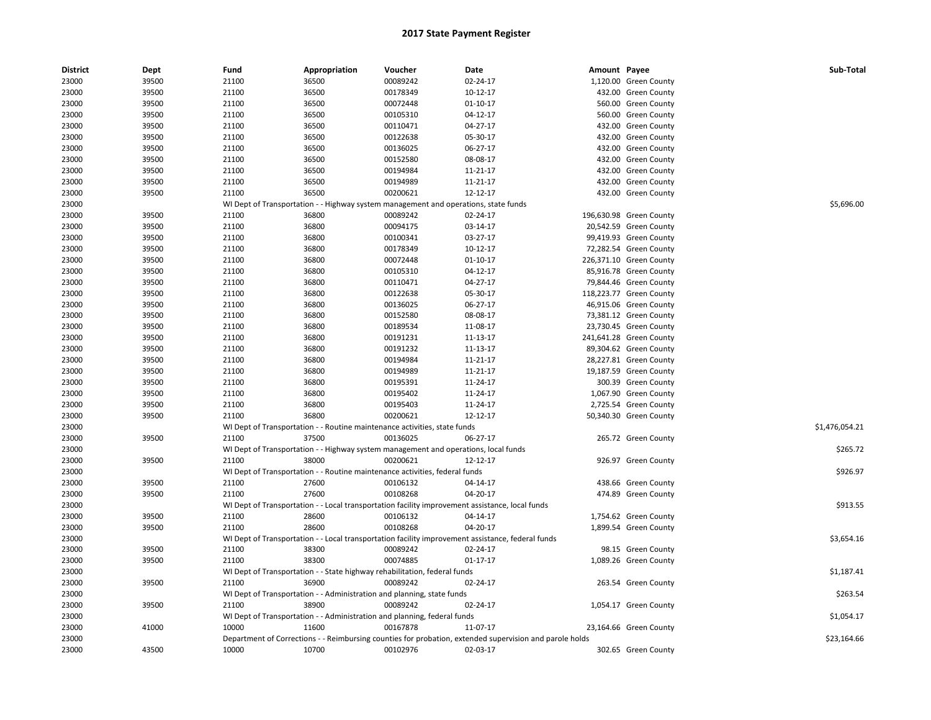| <b>District</b> | Dept  | Fund  | Appropriation                                                                       | Voucher  | Date                                                                                                    | Amount Payee |                         | Sub-Total      |
|-----------------|-------|-------|-------------------------------------------------------------------------------------|----------|---------------------------------------------------------------------------------------------------------|--------------|-------------------------|----------------|
| 23000           | 39500 | 21100 | 36500                                                                               | 00089242 | 02-24-17                                                                                                |              | 1,120.00 Green County   |                |
| 23000           | 39500 | 21100 | 36500                                                                               | 00178349 | 10-12-17                                                                                                |              | 432.00 Green County     |                |
| 23000           | 39500 | 21100 | 36500                                                                               | 00072448 | $01-10-17$                                                                                              |              | 560.00 Green County     |                |
| 23000           | 39500 | 21100 | 36500                                                                               | 00105310 | 04-12-17                                                                                                |              | 560.00 Green County     |                |
| 23000           | 39500 | 21100 | 36500                                                                               | 00110471 | 04-27-17                                                                                                |              | 432.00 Green County     |                |
| 23000           | 39500 | 21100 | 36500                                                                               | 00122638 | 05-30-17                                                                                                |              | 432.00 Green County     |                |
| 23000           | 39500 | 21100 | 36500                                                                               | 00136025 | 06-27-17                                                                                                |              | 432.00 Green County     |                |
| 23000           | 39500 | 21100 | 36500                                                                               | 00152580 | 08-08-17                                                                                                |              | 432.00 Green County     |                |
| 23000           | 39500 | 21100 | 36500                                                                               | 00194984 | 11-21-17                                                                                                |              | 432.00 Green County     |                |
| 23000           | 39500 | 21100 | 36500                                                                               | 00194989 | 11-21-17                                                                                                |              | 432.00 Green County     |                |
| 23000           | 39500 | 21100 | 36500                                                                               | 00200621 | 12-12-17                                                                                                |              | 432.00 Green County     |                |
| 23000           |       |       | WI Dept of Transportation - - Highway system management and operations, state funds |          |                                                                                                         |              |                         | \$5,696.00     |
| 23000           | 39500 | 21100 | 36800                                                                               | 00089242 | 02-24-17                                                                                                |              | 196,630.98 Green County |                |
| 23000           | 39500 | 21100 | 36800                                                                               | 00094175 | 03-14-17                                                                                                |              | 20,542.59 Green County  |                |
| 23000           | 39500 | 21100 | 36800                                                                               | 00100341 | 03-27-17                                                                                                |              | 99,419.93 Green County  |                |
| 23000           | 39500 | 21100 | 36800                                                                               | 00178349 | 10-12-17                                                                                                |              | 72,282.54 Green County  |                |
| 23000           | 39500 | 21100 | 36800                                                                               | 00072448 | $01-10-17$                                                                                              |              | 226,371.10 Green County |                |
| 23000           | 39500 | 21100 | 36800                                                                               | 00105310 | 04-12-17                                                                                                |              | 85,916.78 Green County  |                |
| 23000           | 39500 | 21100 | 36800                                                                               | 00110471 | 04-27-17                                                                                                |              | 79,844.46 Green County  |                |
| 23000           | 39500 | 21100 | 36800                                                                               | 00122638 | 05-30-17                                                                                                |              | 118,223.77 Green County |                |
| 23000           | 39500 | 21100 | 36800                                                                               | 00136025 | 06-27-17                                                                                                |              | 46,915.06 Green County  |                |
| 23000           | 39500 | 21100 | 36800                                                                               | 00152580 | 08-08-17                                                                                                |              | 73,381.12 Green County  |                |
| 23000           | 39500 | 21100 | 36800                                                                               | 00189534 | 11-08-17                                                                                                |              | 23,730.45 Green County  |                |
| 23000           | 39500 | 21100 | 36800                                                                               | 00191231 | 11-13-17                                                                                                |              | 241,641.28 Green County |                |
| 23000           | 39500 | 21100 | 36800                                                                               | 00191232 | 11-13-17                                                                                                |              | 89,304.62 Green County  |                |
| 23000           | 39500 | 21100 | 36800                                                                               | 00194984 | 11-21-17                                                                                                |              | 28,227.81 Green County  |                |
| 23000           | 39500 | 21100 | 36800                                                                               | 00194989 | 11-21-17                                                                                                |              | 19,187.59 Green County  |                |
| 23000           | 39500 | 21100 | 36800                                                                               | 00195391 | 11-24-17                                                                                                |              | 300.39 Green County     |                |
| 23000           | 39500 | 21100 | 36800                                                                               | 00195402 | 11-24-17                                                                                                |              | 1,067.90 Green County   |                |
| 23000           | 39500 | 21100 | 36800                                                                               | 00195403 | 11-24-17                                                                                                |              | 2,725.54 Green County   |                |
| 23000           | 39500 | 21100 | 36800                                                                               | 00200621 | 12-12-17                                                                                                |              | 50,340.30 Green County  |                |
| 23000           |       |       | WI Dept of Transportation - - Routine maintenance activities, state funds           |          |                                                                                                         |              |                         | \$1,476,054.21 |
| 23000           | 39500 | 21100 | 37500                                                                               | 00136025 | 06-27-17                                                                                                |              | 265.72 Green County     |                |
| 23000           |       |       | WI Dept of Transportation - - Highway system management and operations, local funds |          |                                                                                                         |              |                         | \$265.72       |
| 23000           | 39500 | 21100 | 38000                                                                               | 00200621 | 12-12-17                                                                                                |              | 926.97 Green County     |                |
| 23000           |       |       | WI Dept of Transportation - - Routine maintenance activities, federal funds         |          |                                                                                                         |              |                         | \$926.97       |
| 23000           | 39500 | 21100 | 27600                                                                               | 00106132 | 04-14-17                                                                                                |              | 438.66 Green County     |                |
| 23000           | 39500 | 21100 | 27600                                                                               | 00108268 | 04-20-17                                                                                                |              | 474.89 Green County     |                |
| 23000           |       |       |                                                                                     |          | WI Dept of Transportation - - Local transportation facility improvement assistance, local funds         |              |                         | \$913.55       |
| 23000           | 39500 | 21100 | 28600                                                                               | 00106132 | 04-14-17                                                                                                |              | 1,754.62 Green County   |                |
| 23000           | 39500 | 21100 | 28600                                                                               | 00108268 | 04-20-17                                                                                                |              | 1,899.54 Green County   |                |
| 23000           |       |       |                                                                                     |          | WI Dept of Transportation - - Local transportation facility improvement assistance, federal funds       |              |                         | \$3,654.16     |
| 23000           | 39500 | 21100 | 38300                                                                               | 00089242 | 02-24-17                                                                                                |              | 98.15 Green County      |                |
| 23000           | 39500 | 21100 | 38300                                                                               | 00074885 | $01 - 17 - 17$                                                                                          |              | 1,089.26 Green County   |                |
| 23000           |       |       | WI Dept of Transportation - - State highway rehabilitation, federal funds           |          |                                                                                                         |              |                         | \$1,187.41     |
| 23000           | 39500 | 21100 | 36900                                                                               | 00089242 | 02-24-17                                                                                                |              | 263.54 Green County     |                |
| 23000           |       |       | WI Dept of Transportation - - Administration and planning, state funds              |          |                                                                                                         |              |                         | \$263.54       |
| 23000           | 39500 | 21100 | 38900                                                                               | 00089242 | 02-24-17                                                                                                |              | 1,054.17 Green County   |                |
| 23000           |       |       | WI Dept of Transportation - - Administration and planning, federal funds            |          |                                                                                                         |              |                         | \$1,054.17     |
| 23000           | 41000 | 10000 | 11600                                                                               | 00167878 | 11-07-17                                                                                                |              | 23,164.66 Green County  |                |
| 23000           |       |       |                                                                                     |          | Department of Corrections - - Reimbursing counties for probation, extended supervision and parole holds |              |                         | \$23,164.66    |
| 23000           | 43500 | 10000 | 10700                                                                               | 00102976 | 02-03-17                                                                                                |              | 302.65 Green County     |                |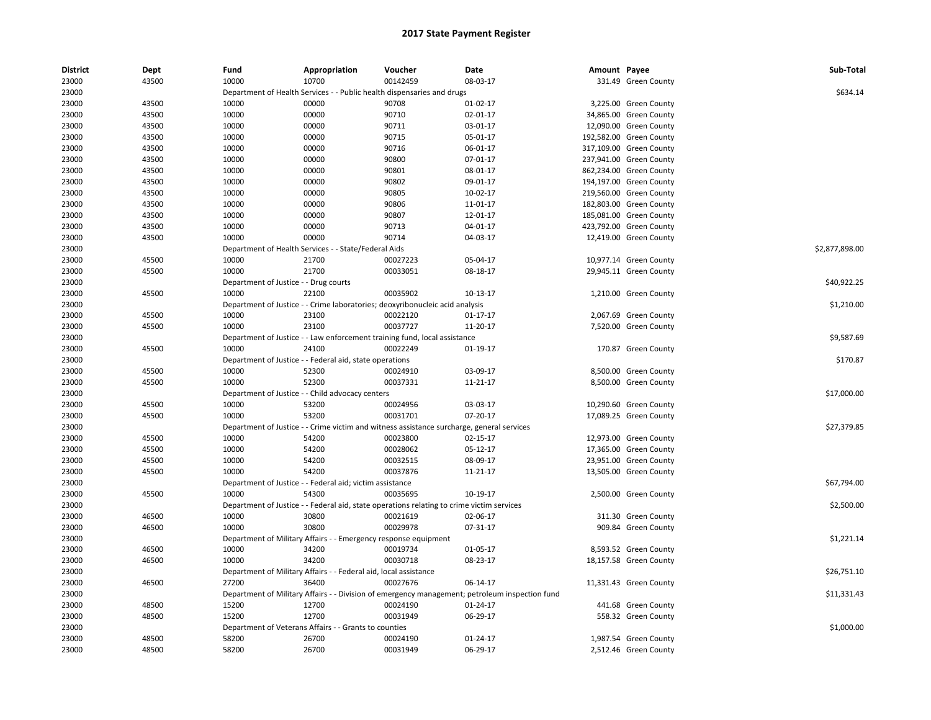| <b>District</b> | Dept  | Fund                                  | Appropriation                                                    | Voucher                                                                                   | Date                                                                                           | Amount Payee |                         | Sub-Total      |
|-----------------|-------|---------------------------------------|------------------------------------------------------------------|-------------------------------------------------------------------------------------------|------------------------------------------------------------------------------------------------|--------------|-------------------------|----------------|
| 23000           | 43500 | 10000                                 | 10700                                                            | 00142459                                                                                  | 08-03-17                                                                                       |              | 331.49 Green County     |                |
| 23000           |       |                                       |                                                                  | Department of Health Services - - Public health dispensaries and drugs                    |                                                                                                |              |                         | \$634.14       |
| 23000           | 43500 | 10000                                 | 00000                                                            | 90708                                                                                     | $01-02-17$                                                                                     |              | 3,225.00 Green County   |                |
| 23000           | 43500 | 10000                                 | 00000                                                            | 90710                                                                                     | 02-01-17                                                                                       |              | 34,865.00 Green County  |                |
| 23000           | 43500 | 10000                                 | 00000                                                            | 90711                                                                                     | 03-01-17                                                                                       |              | 12,090.00 Green County  |                |
| 23000           | 43500 | 10000                                 | 00000                                                            | 90715                                                                                     | 05-01-17                                                                                       |              | 192,582.00 Green County |                |
| 23000           | 43500 | 10000                                 | 00000                                                            | 90716                                                                                     | 06-01-17                                                                                       |              | 317,109.00 Green County |                |
| 23000           | 43500 | 10000                                 | 00000                                                            | 90800                                                                                     | 07-01-17                                                                                       |              | 237,941.00 Green County |                |
| 23000           | 43500 | 10000                                 | 00000                                                            | 90801                                                                                     | 08-01-17                                                                                       |              | 862,234.00 Green County |                |
| 23000           | 43500 | 10000                                 | 00000                                                            | 90802                                                                                     | 09-01-17                                                                                       |              | 194,197.00 Green County |                |
| 23000           | 43500 | 10000                                 | 00000                                                            | 90805                                                                                     | 10-02-17                                                                                       |              | 219,560.00 Green County |                |
| 23000           | 43500 | 10000                                 | 00000                                                            | 90806                                                                                     | 11-01-17                                                                                       |              | 182,803.00 Green County |                |
| 23000           | 43500 | 10000                                 | 00000                                                            | 90807                                                                                     | 12-01-17                                                                                       |              | 185,081.00 Green County |                |
| 23000           | 43500 | 10000                                 | 00000                                                            | 90713                                                                                     | 04-01-17                                                                                       |              | 423,792.00 Green County |                |
| 23000           | 43500 | 10000                                 | 00000                                                            | 90714                                                                                     | 04-03-17                                                                                       |              | 12,419.00 Green County  |                |
| 23000           |       |                                       | Department of Health Services - - State/Federal Aids             |                                                                                           |                                                                                                |              |                         | \$2,877,898.00 |
| 23000           | 45500 | 10000                                 | 21700                                                            | 00027223                                                                                  | 05-04-17                                                                                       |              | 10,977.14 Green County  |                |
| 23000           | 45500 | 10000                                 | 21700                                                            | 00033051                                                                                  | 08-18-17                                                                                       |              | 29,945.11 Green County  |                |
| 23000           |       | Department of Justice - - Drug courts |                                                                  |                                                                                           |                                                                                                |              |                         | \$40,922.25    |
| 23000           | 45500 | 10000                                 | 22100                                                            | 00035902                                                                                  | 10-13-17                                                                                       |              | 1,210.00 Green County   |                |
| 23000           |       |                                       |                                                                  | Department of Justice - - Crime laboratories; deoxyribonucleic acid analysis              |                                                                                                |              |                         | \$1,210.00     |
| 23000           | 45500 | 10000                                 | 23100                                                            | 00022120                                                                                  | $01 - 17 - 17$                                                                                 |              | 2,067.69 Green County   |                |
| 23000           | 45500 | 10000                                 | 23100                                                            | 00037727                                                                                  | 11-20-17                                                                                       |              | 7,520.00 Green County   |                |
| 23000           |       |                                       |                                                                  | Department of Justice - - Law enforcement training fund, local assistance                 |                                                                                                |              |                         | \$9,587.69     |
| 23000           | 45500 | 10000                                 | 24100                                                            | 00022249                                                                                  | 01-19-17                                                                                       |              | 170.87 Green County     |                |
| 23000           |       |                                       | Department of Justice - - Federal aid, state operations          |                                                                                           |                                                                                                |              |                         | \$170.87       |
| 23000           | 45500 | 10000                                 | 52300                                                            | 00024910                                                                                  | 03-09-17                                                                                       |              | 8,500.00 Green County   |                |
| 23000           | 45500 | 10000                                 | 52300                                                            | 00037331                                                                                  | 11-21-17                                                                                       |              | 8,500.00 Green County   |                |
| 23000           |       |                                       | Department of Justice - - Child advocacy centers                 |                                                                                           |                                                                                                |              |                         | \$17,000.00    |
| 23000           | 45500 | 10000                                 | 53200                                                            | 00024956                                                                                  | 03-03-17                                                                                       |              | 10,290.60 Green County  |                |
| 23000           | 45500 | 10000                                 | 53200                                                            | 00031701                                                                                  | 07-20-17                                                                                       |              | 17,089.25 Green County  |                |
| 23000           |       |                                       |                                                                  | Department of Justice - - Crime victim and witness assistance surcharge, general services |                                                                                                |              |                         | \$27,379.85    |
| 23000           | 45500 | 10000                                 | 54200                                                            | 00023800                                                                                  | 02-15-17                                                                                       |              | 12,973.00 Green County  |                |
| 23000           | 45500 | 10000                                 | 54200                                                            | 00028062                                                                                  | 05-12-17                                                                                       |              | 17,365.00 Green County  |                |
| 23000           | 45500 | 10000                                 | 54200                                                            | 00032515                                                                                  | 08-09-17                                                                                       |              | 23,951.00 Green County  |                |
| 23000           | 45500 | 10000                                 | 54200                                                            | 00037876                                                                                  | 11-21-17                                                                                       |              | 13,505.00 Green County  |                |
| 23000           |       |                                       | Department of Justice - - Federal aid; victim assistance         |                                                                                           |                                                                                                |              |                         | \$67,794.00    |
| 23000           | 45500 | 10000                                 | 54300                                                            | 00035695                                                                                  | 10-19-17                                                                                       |              | 2,500.00 Green County   |                |
| 23000           |       |                                       |                                                                  | Department of Justice - - Federal aid, state operations relating to crime victim services |                                                                                                |              |                         | \$2,500.00     |
| 23000           | 46500 | 10000                                 | 30800                                                            | 00021619                                                                                  | 02-06-17                                                                                       |              | 311.30 Green County     |                |
| 23000           | 46500 | 10000                                 | 30800                                                            | 00029978                                                                                  | 07-31-17                                                                                       |              | 909.84 Green County     |                |
| 23000           |       |                                       | Department of Military Affairs - - Emergency response equipment  |                                                                                           |                                                                                                |              |                         | \$1,221.14     |
| 23000           | 46500 | 10000                                 | 34200                                                            | 00019734                                                                                  | 01-05-17                                                                                       |              | 8,593.52 Green County   |                |
| 23000           | 46500 | 10000                                 | 34200                                                            | 00030718                                                                                  | 08-23-17                                                                                       |              | 18,157.58 Green County  |                |
|                 |       |                                       |                                                                  |                                                                                           |                                                                                                |              |                         |                |
| 23000           |       |                                       | Department of Military Affairs - - Federal aid, local assistance |                                                                                           |                                                                                                |              |                         | \$26,751.10    |
| 23000           | 46500 | 27200                                 | 36400                                                            | 00027676                                                                                  | 06-14-17                                                                                       |              | 11,331.43 Green County  |                |
| 23000           |       |                                       |                                                                  |                                                                                           | Department of Military Affairs - - Division of emergency management; petroleum inspection fund |              |                         | \$11,331.43    |
| 23000           | 48500 | 15200                                 | 12700                                                            | 00024190                                                                                  | 01-24-17                                                                                       |              | 441.68 Green County     |                |
| 23000           | 48500 | 15200                                 | 12700                                                            | 00031949                                                                                  | 06-29-17                                                                                       |              | 558.32 Green County     |                |
| 23000           |       |                                       | Department of Veterans Affairs - - Grants to counties            |                                                                                           |                                                                                                |              |                         | \$1,000.00     |
| 23000           | 48500 | 58200                                 | 26700                                                            | 00024190                                                                                  | $01 - 24 - 17$                                                                                 |              | 1,987.54 Green County   |                |
| 23000           | 48500 | 58200                                 | 26700                                                            | 00031949                                                                                  | 06-29-17                                                                                       |              | 2,512.46 Green County   |                |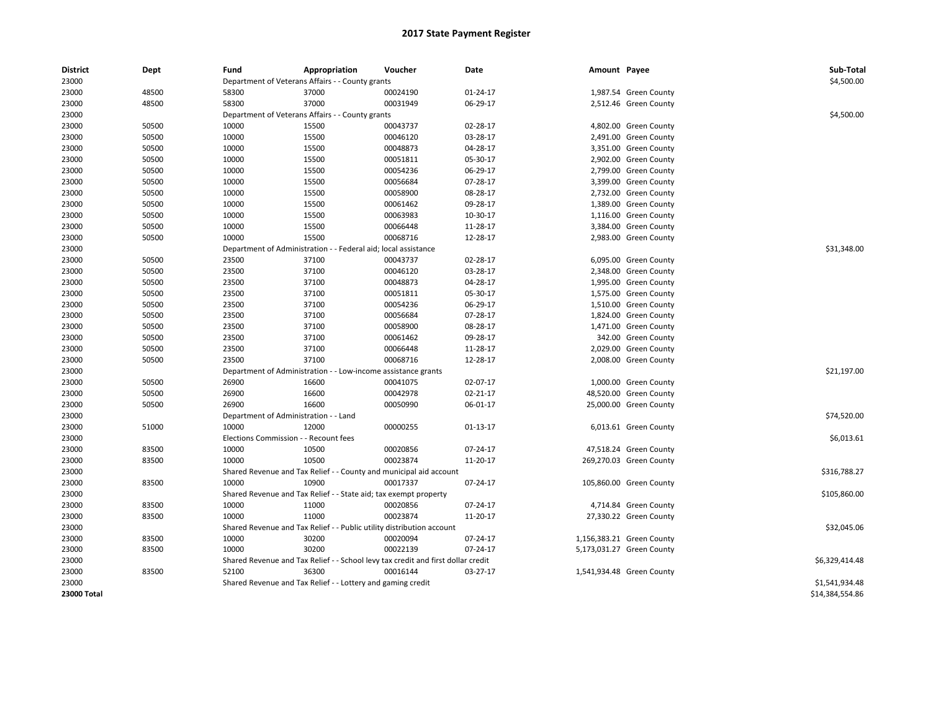| <b>District</b> | <b>Dept</b> | Fund                                  | Appropriation                                                                    | Voucher  | Date       | Amount Payee |                           | Sub-Total       |
|-----------------|-------------|---------------------------------------|----------------------------------------------------------------------------------|----------|------------|--------------|---------------------------|-----------------|
| 23000           |             |                                       | Department of Veterans Affairs - - County grants                                 |          |            |              |                           | \$4,500.00      |
| 23000           | 48500       | 58300                                 | 37000                                                                            | 00024190 | 01-24-17   |              | 1,987.54 Green County     |                 |
| 23000           | 48500       | 58300                                 | 37000                                                                            | 00031949 | 06-29-17   |              | 2,512.46 Green County     |                 |
| 23000           |             |                                       | Department of Veterans Affairs - - County grants                                 |          |            |              |                           | \$4,500.00      |
| 23000           | 50500       | 10000                                 | 15500                                                                            | 00043737 | 02-28-17   |              | 4,802.00 Green County     |                 |
| 23000           | 50500       | 10000                                 | 15500                                                                            | 00046120 | 03-28-17   |              | 2,491.00 Green County     |                 |
| 23000           | 50500       | 10000                                 | 15500                                                                            | 00048873 | 04-28-17   |              | 3,351.00 Green County     |                 |
| 23000           | 50500       | 10000                                 | 15500                                                                            | 00051811 | 05-30-17   |              | 2,902.00 Green County     |                 |
| 23000           | 50500       | 10000                                 | 15500                                                                            | 00054236 | 06-29-17   |              | 2,799.00 Green County     |                 |
| 23000           | 50500       | 10000                                 | 15500                                                                            | 00056684 | 07-28-17   |              | 3,399.00 Green County     |                 |
| 23000           | 50500       | 10000                                 | 15500                                                                            | 00058900 | 08-28-17   |              | 2,732.00 Green County     |                 |
| 23000           | 50500       | 10000                                 | 15500                                                                            | 00061462 | 09-28-17   |              | 1,389.00 Green County     |                 |
| 23000           | 50500       | 10000                                 | 15500                                                                            | 00063983 | 10-30-17   |              | 1,116.00 Green County     |                 |
| 23000           | 50500       | 10000                                 | 15500                                                                            | 00066448 | 11-28-17   |              | 3,384.00 Green County     |                 |
| 23000           | 50500       | 10000                                 | 15500                                                                            | 00068716 | 12-28-17   |              | 2,983.00 Green County     |                 |
| 23000           |             |                                       | Department of Administration - - Federal aid; local assistance                   |          |            |              |                           | \$31,348.00     |
| 23000           | 50500       | 23500                                 | 37100                                                                            | 00043737 | 02-28-17   |              | 6,095.00 Green County     |                 |
| 23000           | 50500       | 23500                                 | 37100                                                                            | 00046120 | 03-28-17   |              | 2,348.00 Green County     |                 |
| 23000           | 50500       | 23500                                 | 37100                                                                            | 00048873 | 04-28-17   |              | 1,995.00 Green County     |                 |
| 23000           | 50500       | 23500                                 | 37100                                                                            | 00051811 | 05-30-17   |              | 1,575.00 Green County     |                 |
| 23000           | 50500       | 23500                                 | 37100                                                                            | 00054236 | 06-29-17   |              | 1,510.00 Green County     |                 |
| 23000           | 50500       | 23500                                 | 37100                                                                            | 00056684 | 07-28-17   |              | 1,824.00 Green County     |                 |
| 23000           | 50500       | 23500                                 | 37100                                                                            | 00058900 | 08-28-17   |              | 1,471.00 Green County     |                 |
| 23000           | 50500       | 23500                                 | 37100                                                                            | 00061462 | 09-28-17   |              | 342.00 Green County       |                 |
| 23000           | 50500       | 23500                                 | 37100                                                                            | 00066448 | 11-28-17   |              | 2,029.00 Green County     |                 |
| 23000           | 50500       | 23500                                 | 37100                                                                            | 00068716 | 12-28-17   |              | 2,008.00 Green County     |                 |
| 23000           |             |                                       | Department of Administration - - Low-income assistance grants                    |          |            |              |                           | \$21,197.00     |
| 23000           | 50500       | 26900                                 | 16600                                                                            | 00041075 | 02-07-17   |              | 1,000.00 Green County     |                 |
| 23000           | 50500       | 26900                                 | 16600                                                                            | 00042978 | 02-21-17   |              | 48,520.00 Green County    |                 |
| 23000           | 50500       | 26900                                 | 16600                                                                            | 00050990 | 06-01-17   |              | 25,000.00 Green County    |                 |
| 23000           |             | Department of Administration - - Land |                                                                                  |          |            |              |                           | \$74,520.00     |
| 23000           | 51000       | 10000                                 | 12000                                                                            | 00000255 | $01-13-17$ |              | 6,013.61 Green County     |                 |
| 23000           |             | Elections Commission - - Recount fees |                                                                                  |          |            |              |                           | \$6,013.61      |
| 23000           | 83500       | 10000                                 | 10500                                                                            | 00020856 | 07-24-17   |              | 47,518.24 Green County    |                 |
| 23000           | 83500       | 10000                                 | 10500                                                                            | 00023874 | 11-20-17   |              | 269,270.03 Green County   |                 |
| 23000           |             |                                       | Shared Revenue and Tax Relief - - County and municipal aid account               |          |            |              |                           | \$316,788.27    |
| 23000           | 83500       | 10000                                 | 10900                                                                            | 00017337 | 07-24-17   |              | 105,860.00 Green County   |                 |
| 23000           |             |                                       | Shared Revenue and Tax Relief - - State aid; tax exempt property                 |          |            |              |                           | \$105,860.00    |
| 23000           | 83500       | 10000                                 | 11000                                                                            | 00020856 | 07-24-17   |              | 4,714.84 Green County     |                 |
| 23000           | 83500       | 10000                                 | 11000                                                                            | 00023874 | 11-20-17   |              | 27,330.22 Green County    |                 |
| 23000           |             |                                       | Shared Revenue and Tax Relief - - Public utility distribution account            |          |            |              |                           | \$32,045.06     |
| 23000           | 83500       | 10000                                 | 30200                                                                            | 00020094 | 07-24-17   |              | 1,156,383.21 Green County |                 |
| 23000           | 83500       | 10000                                 | 30200                                                                            | 00022139 | 07-24-17   |              | 5,173,031.27 Green County |                 |
| 23000           |             |                                       | Shared Revenue and Tax Relief - - School levy tax credit and first dollar credit |          |            |              |                           | \$6,329,414.48  |
|                 |             | 52100                                 | 36300                                                                            | 00016144 |            |              |                           |                 |
| 23000           | 83500       |                                       |                                                                                  |          | 03-27-17   |              | 1,541,934.48 Green County |                 |
| 23000           |             |                                       | Shared Revenue and Tax Relief - - Lottery and gaming credit                      |          |            |              |                           | \$1,541,934.48  |
| 23000 Total     |             |                                       |                                                                                  |          |            |              |                           | \$14,384,554.86 |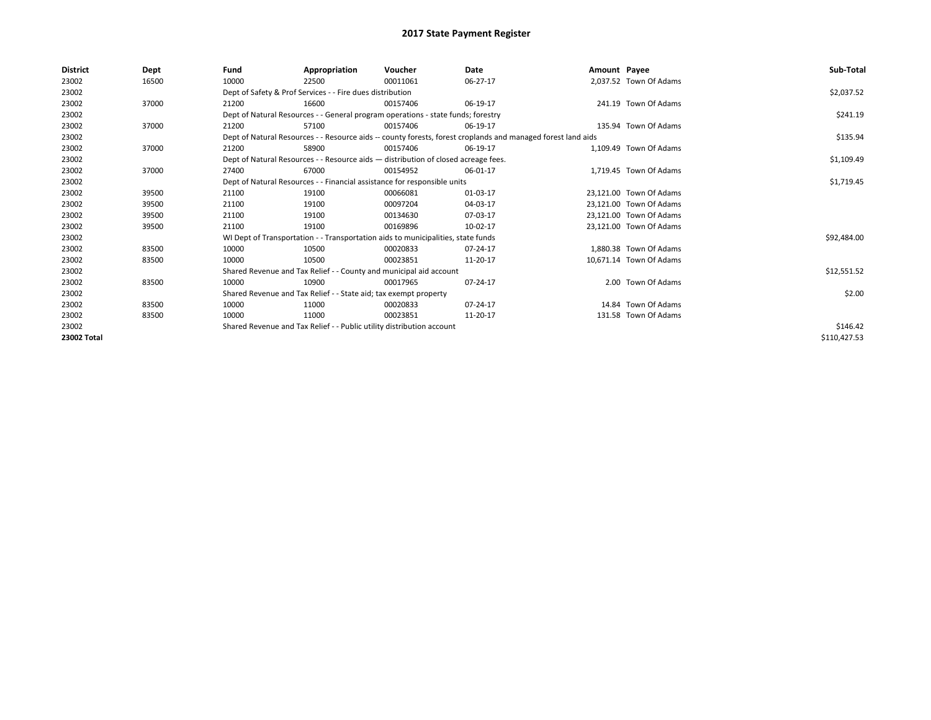| <b>District</b> | Dept  | Fund                                                                  | Appropriation                                                                      | Voucher  | Date                                                                                                         | Amount Payee |                         | Sub-Total    |
|-----------------|-------|-----------------------------------------------------------------------|------------------------------------------------------------------------------------|----------|--------------------------------------------------------------------------------------------------------------|--------------|-------------------------|--------------|
| 23002           | 16500 | 10000                                                                 | 22500                                                                              | 00011061 | 06-27-17                                                                                                     |              | 2,037.52 Town Of Adams  |              |
| 23002           |       |                                                                       | Dept of Safety & Prof Services - - Fire dues distribution                          |          |                                                                                                              |              |                         | \$2,037.52   |
| 23002           | 37000 | 21200                                                                 | 16600                                                                              | 00157406 | 06-19-17                                                                                                     |              | 241.19 Town Of Adams    |              |
| 23002           |       |                                                                       | Dept of Natural Resources - - General program operations - state funds; forestry   |          |                                                                                                              |              |                         | \$241.19     |
| 23002           | 37000 | 21200                                                                 | 57100                                                                              | 00157406 | 06-19-17                                                                                                     |              | 135.94 Town Of Adams    |              |
| 23002           |       |                                                                       |                                                                                    |          | Dept of Natural Resources - - Resource aids -- county forests, forest croplands and managed forest land aids |              |                         | \$135.94     |
| 23002           | 37000 | 21200                                                                 | 58900                                                                              | 00157406 | 06-19-17                                                                                                     |              | 1.109.49 Town Of Adams  |              |
| 23002           |       |                                                                       | Dept of Natural Resources - - Resource aids - distribution of closed acreage fees. |          | \$1,109.49                                                                                                   |              |                         |              |
| 23002           | 37000 | 27400                                                                 | 67000                                                                              | 00154952 | 06-01-17                                                                                                     |              | 1,719.45 Town Of Adams  |              |
| 23002           |       |                                                                       | Dept of Natural Resources - - Financial assistance for responsible units           |          |                                                                                                              |              |                         | \$1,719.45   |
| 23002           | 39500 | 21100                                                                 | 19100                                                                              | 00066081 | 01-03-17                                                                                                     |              | 23.121.00 Town Of Adams |              |
| 23002           | 39500 | 21100                                                                 | 19100                                                                              | 00097204 | 04-03-17                                                                                                     |              | 23,121.00 Town Of Adams |              |
| 23002           | 39500 | 21100                                                                 | 19100                                                                              | 00134630 | 07-03-17                                                                                                     |              | 23.121.00 Town Of Adams |              |
| 23002           | 39500 | 21100                                                                 | 19100                                                                              | 00169896 | 10-02-17                                                                                                     |              | 23,121.00 Town Of Adams |              |
| 23002           |       |                                                                       | WI Dept of Transportation - - Transportation aids to municipalities, state funds   |          |                                                                                                              |              |                         | \$92,484.00  |
| 23002           | 83500 | 10000                                                                 | 10500                                                                              | 00020833 | 07-24-17                                                                                                     |              | 1,880.38 Town Of Adams  |              |
| 23002           | 83500 | 10000                                                                 | 10500                                                                              | 00023851 | 11-20-17                                                                                                     |              | 10,671.14 Town Of Adams |              |
| 23002           |       |                                                                       | Shared Revenue and Tax Relief - - County and municipal aid account                 |          |                                                                                                              |              |                         | \$12,551.52  |
| 23002           | 83500 | 10000                                                                 | 10900                                                                              | 00017965 | 07-24-17                                                                                                     |              | 2.00 Town Of Adams      |              |
| 23002           |       |                                                                       | Shared Revenue and Tax Relief - - State aid; tax exempt property                   |          |                                                                                                              |              |                         | \$2.00       |
| 23002           | 83500 | 10000                                                                 | 11000                                                                              | 00020833 | 07-24-17                                                                                                     |              | 14.84 Town Of Adams     |              |
| 23002           | 83500 | 10000                                                                 | 11000                                                                              | 00023851 | 11-20-17                                                                                                     |              | 131.58 Town Of Adams    |              |
| 23002           |       | Shared Revenue and Tax Relief - - Public utility distribution account |                                                                                    | \$146.42 |                                                                                                              |              |                         |              |
| 23002 Total     |       |                                                                       |                                                                                    |          |                                                                                                              |              |                         | \$110,427.53 |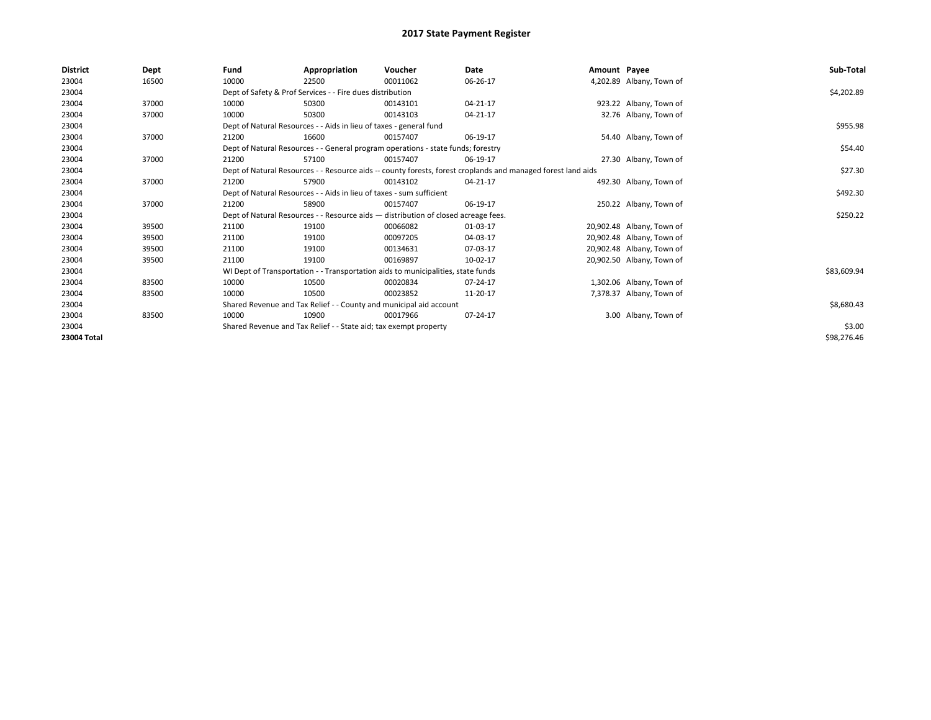| <b>District</b> | Dept  | Fund                                                               | Appropriation                                                                                                | Voucher  | Date     | Amount Payee |                           | Sub-Total   |  |
|-----------------|-------|--------------------------------------------------------------------|--------------------------------------------------------------------------------------------------------------|----------|----------|--------------|---------------------------|-------------|--|
| 23004           | 16500 | 10000                                                              | 22500                                                                                                        | 00011062 | 06-26-17 |              | 4,202.89 Albany, Town of  |             |  |
| 23004           |       |                                                                    | Dept of Safety & Prof Services - - Fire dues distribution                                                    |          |          |              |                           | \$4,202.89  |  |
| 23004           | 37000 | 10000                                                              | 50300                                                                                                        | 00143101 | 04-21-17 |              | 923.22 Albany, Town of    |             |  |
| 23004           | 37000 | 10000                                                              | 50300                                                                                                        | 00143103 | 04-21-17 |              | 32.76 Albany, Town of     |             |  |
| 23004           |       |                                                                    | Dept of Natural Resources - - Aids in lieu of taxes - general fund                                           |          |          |              |                           |             |  |
| 23004           | 37000 | 21200                                                              | 16600                                                                                                        | 00157407 | 06-19-17 |              | 54.40 Albany, Town of     |             |  |
| 23004           |       |                                                                    | Dept of Natural Resources - - General program operations - state funds; forestry                             |          |          |              |                           | \$54.40     |  |
| 23004           | 37000 | 21200                                                              | 57100                                                                                                        | 00157407 | 06-19-17 |              | 27.30 Albany, Town of     |             |  |
| 23004           |       |                                                                    | Dept of Natural Resources - - Resource aids -- county forests, forest croplands and managed forest land aids |          |          |              |                           |             |  |
| 23004           | 37000 | 21200                                                              | 57900                                                                                                        | 00143102 | 04-21-17 |              | 492.30 Albany, Town of    |             |  |
| 23004           |       |                                                                    | Dept of Natural Resources - - Aids in lieu of taxes - sum sufficient                                         |          |          |              |                           | \$492.30    |  |
| 23004           | 37000 | 21200                                                              | 58900                                                                                                        | 00157407 | 06-19-17 |              | 250.22 Albany, Town of    |             |  |
| 23004           |       |                                                                    | Dept of Natural Resources - - Resource aids - distribution of closed acreage fees.                           |          |          |              |                           | \$250.22    |  |
| 23004           | 39500 | 21100                                                              | 19100                                                                                                        | 00066082 | 01-03-17 |              | 20,902.48 Albany, Town of |             |  |
| 23004           | 39500 | 21100                                                              | 19100                                                                                                        | 00097205 | 04-03-17 |              | 20,902.48 Albany, Town of |             |  |
| 23004           | 39500 | 21100                                                              | 19100                                                                                                        | 00134631 | 07-03-17 |              | 20,902.48 Albany, Town of |             |  |
| 23004           | 39500 | 21100                                                              | 19100                                                                                                        | 00169897 | 10-02-17 |              | 20,902.50 Albany, Town of |             |  |
| 23004           |       |                                                                    | WI Dept of Transportation - - Transportation aids to municipalities, state funds                             |          |          |              |                           | \$83,609.94 |  |
| 23004           | 83500 | 10000                                                              | 10500                                                                                                        | 00020834 | 07-24-17 |              | 1,302.06 Albany, Town of  |             |  |
| 23004           | 83500 | 10000                                                              | 10500                                                                                                        | 00023852 | 11-20-17 |              | 7,378.37 Albany, Town of  |             |  |
| 23004           |       | Shared Revenue and Tax Relief - - County and municipal aid account |                                                                                                              |          |          |              |                           | \$8,680.43  |  |
| 23004           | 83500 | 10000                                                              | 10900                                                                                                        | 00017966 | 07-24-17 |              | 3.00 Albany, Town of      |             |  |
| 23004           |       |                                                                    | Shared Revenue and Tax Relief - - State aid; tax exempt property                                             |          |          |              |                           |             |  |
| 23004 Total     |       |                                                                    |                                                                                                              |          |          |              |                           | \$98,276.46 |  |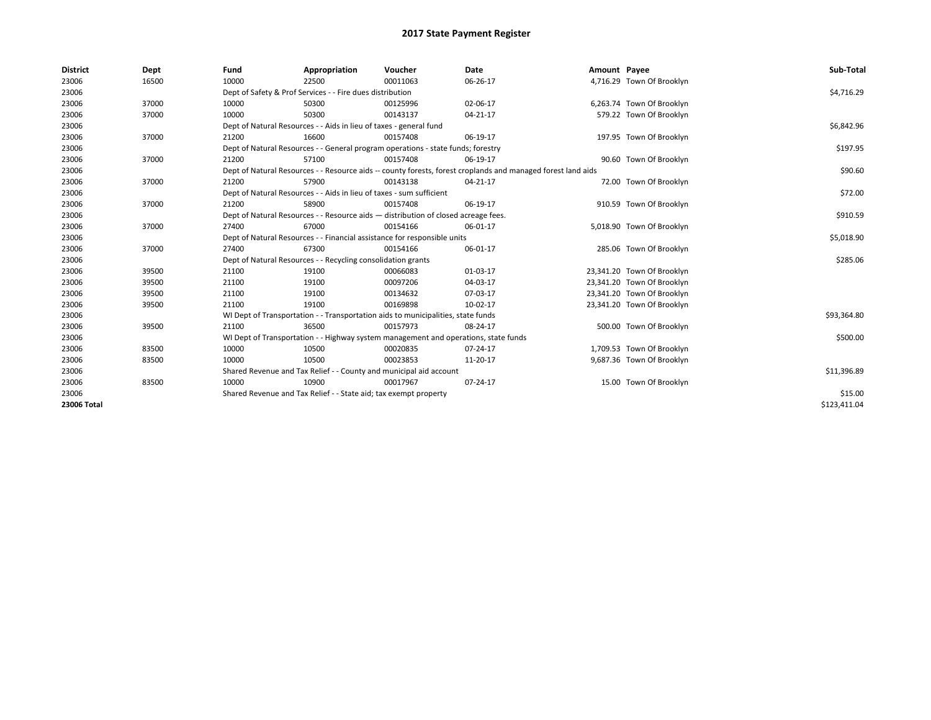| <b>District</b> | Dept  | Fund                                                             | Appropriation                                                                                                | Voucher  | Date     | Amount Payee |                            | Sub-Total    |  |  |
|-----------------|-------|------------------------------------------------------------------|--------------------------------------------------------------------------------------------------------------|----------|----------|--------------|----------------------------|--------------|--|--|
| 23006           | 16500 | 10000                                                            | 22500                                                                                                        | 00011063 | 06-26-17 |              | 4,716.29 Town Of Brooklyn  |              |  |  |
| 23006           |       |                                                                  | Dept of Safety & Prof Services - - Fire dues distribution                                                    |          |          |              |                            | \$4,716.29   |  |  |
| 23006           | 37000 | 10000                                                            | 50300                                                                                                        | 00125996 | 02-06-17 |              | 6,263.74 Town Of Brooklyn  |              |  |  |
| 23006           | 37000 | 10000                                                            | 50300                                                                                                        | 00143137 | 04-21-17 |              | 579.22 Town Of Brooklyn    |              |  |  |
| 23006           |       |                                                                  | Dept of Natural Resources - - Aids in lieu of taxes - general fund                                           |          |          |              |                            | \$6,842.96   |  |  |
| 23006           | 37000 | 21200                                                            | 16600                                                                                                        | 00157408 | 06-19-17 |              | 197.95 Town Of Brooklyn    |              |  |  |
| 23006           |       |                                                                  | Dept of Natural Resources - - General program operations - state funds; forestry                             |          |          |              |                            | \$197.95     |  |  |
| 23006           | 37000 | 21200                                                            | 57100                                                                                                        | 00157408 | 06-19-17 |              | 90.60 Town Of Brooklyn     |              |  |  |
| 23006           |       |                                                                  | Dept of Natural Resources - - Resource aids -- county forests, forest croplands and managed forest land aids |          |          |              |                            |              |  |  |
| 23006           | 37000 | 21200                                                            | 57900                                                                                                        | 00143138 | 04-21-17 |              | 72.00 Town Of Brooklyn     |              |  |  |
| 23006           |       |                                                                  | Dept of Natural Resources - - Aids in lieu of taxes - sum sufficient                                         |          |          |              |                            | \$72.00      |  |  |
| 23006           | 37000 | 21200                                                            | 58900                                                                                                        | 00157408 | 06-19-17 |              | 910.59 Town Of Brooklyn    |              |  |  |
| 23006           |       |                                                                  | Dept of Natural Resources - - Resource aids - distribution of closed acreage fees.                           |          |          |              |                            | \$910.59     |  |  |
| 23006           | 37000 | 27400                                                            | 67000                                                                                                        | 00154166 | 06-01-17 |              | 5,018.90 Town Of Brooklyn  |              |  |  |
| 23006           |       |                                                                  | Dept of Natural Resources - - Financial assistance for responsible units                                     |          |          |              |                            | \$5,018.90   |  |  |
| 23006           | 37000 | 27400                                                            | 67300                                                                                                        | 00154166 | 06-01-17 |              | 285.06 Town Of Brooklyn    |              |  |  |
| 23006           |       |                                                                  | Dept of Natural Resources - - Recycling consolidation grants                                                 |          |          |              |                            | \$285.06     |  |  |
| 23006           | 39500 | 21100                                                            | 19100                                                                                                        | 00066083 | 01-03-17 |              | 23,341.20 Town Of Brooklyn |              |  |  |
| 23006           | 39500 | 21100                                                            | 19100                                                                                                        | 00097206 | 04-03-17 |              | 23,341.20 Town Of Brooklyn |              |  |  |
| 23006           | 39500 | 21100                                                            | 19100                                                                                                        | 00134632 | 07-03-17 |              | 23,341.20 Town Of Brooklyn |              |  |  |
| 23006           | 39500 | 21100                                                            | 19100                                                                                                        | 00169898 | 10-02-17 |              | 23,341.20 Town Of Brooklyn |              |  |  |
| 23006           |       |                                                                  | WI Dept of Transportation - - Transportation aids to municipalities, state funds                             |          |          |              |                            | \$93,364.80  |  |  |
| 23006           | 39500 | 21100                                                            | 36500                                                                                                        | 00157973 | 08-24-17 |              | 500.00 Town Of Brooklyn    |              |  |  |
| 23006           |       |                                                                  | WI Dept of Transportation - - Highway system management and operations, state funds                          |          |          |              |                            | \$500.00     |  |  |
| 23006           | 83500 | 10000                                                            | 10500                                                                                                        | 00020835 | 07-24-17 |              | 1,709.53 Town Of Brooklyn  |              |  |  |
| 23006           | 83500 | 10000                                                            | 10500                                                                                                        | 00023853 | 11-20-17 |              | 9,687.36 Town Of Brooklyn  |              |  |  |
| 23006           |       |                                                                  | Shared Revenue and Tax Relief - - County and municipal aid account                                           |          |          |              |                            | \$11,396.89  |  |  |
| 23006           | 83500 | 10000                                                            | 10900                                                                                                        | 00017967 | 07-24-17 |              | 15.00 Town Of Brooklyn     |              |  |  |
| 23006           |       | Shared Revenue and Tax Relief - - State aid; tax exempt property |                                                                                                              | \$15.00  |          |              |                            |              |  |  |
| 23006 Total     |       |                                                                  |                                                                                                              |          |          |              |                            | \$123,411.04 |  |  |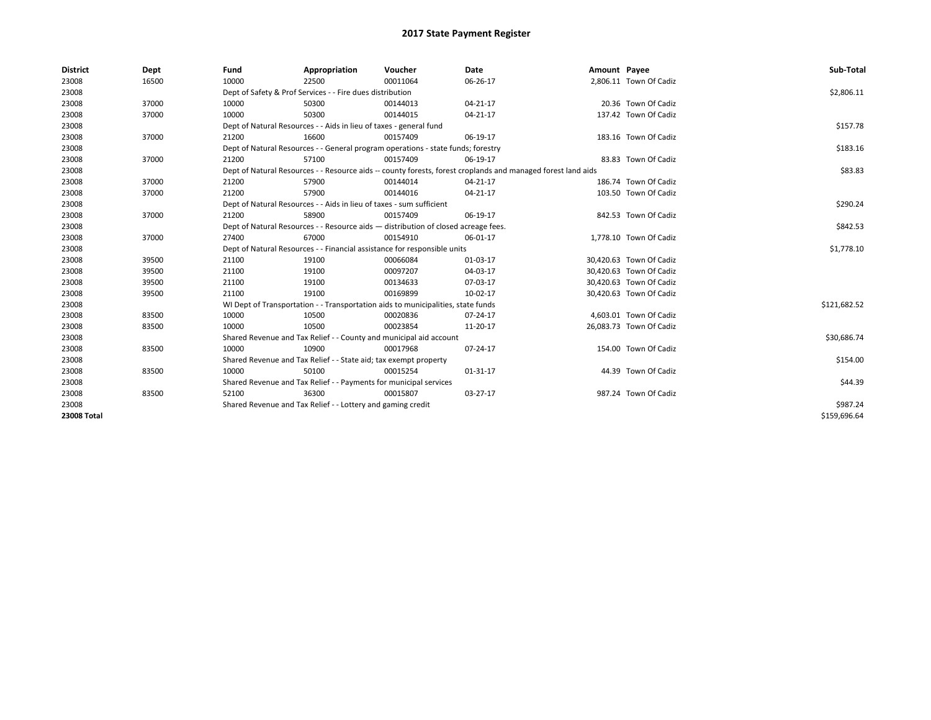| <b>District</b>    | Dept  | Fund  | Appropriation                                                                                                | Voucher                                                                            | Date     | Amount Payee |                         | Sub-Total    |  |
|--------------------|-------|-------|--------------------------------------------------------------------------------------------------------------|------------------------------------------------------------------------------------|----------|--------------|-------------------------|--------------|--|
| 23008              | 16500 | 10000 | 22500                                                                                                        | 00011064                                                                           | 06-26-17 |              | 2,806.11 Town Of Cadiz  |              |  |
| 23008              |       |       | Dept of Safety & Prof Services - - Fire dues distribution                                                    |                                                                                    |          |              |                         | \$2,806.11   |  |
| 23008              | 37000 | 10000 | 50300                                                                                                        | 00144013                                                                           | 04-21-17 |              | 20.36 Town Of Cadiz     |              |  |
| 23008              | 37000 | 10000 | 50300                                                                                                        | 00144015                                                                           | 04-21-17 |              | 137.42 Town Of Cadiz    |              |  |
| 23008              |       |       | Dept of Natural Resources - - Aids in lieu of taxes - general fund                                           |                                                                                    |          |              |                         | \$157.78     |  |
| 23008              | 37000 | 21200 | 16600                                                                                                        | 00157409                                                                           | 06-19-17 |              | 183.16 Town Of Cadiz    |              |  |
| 23008              |       |       |                                                                                                              | Dept of Natural Resources - - General program operations - state funds; forestry   |          |              |                         | \$183.16     |  |
| 23008              | 37000 | 21200 | 57100                                                                                                        | 00157409                                                                           | 06-19-17 |              | 83.83 Town Of Cadiz     |              |  |
| 23008              |       |       | Dept of Natural Resources - - Resource aids -- county forests, forest croplands and managed forest land aids |                                                                                    |          |              |                         |              |  |
| 23008              | 37000 | 21200 | 57900                                                                                                        | 00144014                                                                           | 04-21-17 |              | 186.74 Town Of Cadiz    |              |  |
| 23008              | 37000 | 21200 | 57900                                                                                                        | 00144016                                                                           | 04-21-17 |              | 103.50 Town Of Cadiz    |              |  |
| 23008              |       |       | Dept of Natural Resources - - Aids in lieu of taxes - sum sufficient                                         |                                                                                    |          |              |                         | \$290.24     |  |
| 23008              | 37000 | 21200 | 58900                                                                                                        | 00157409                                                                           | 06-19-17 |              | 842.53 Town Of Cadiz    |              |  |
| 23008              |       |       |                                                                                                              | Dept of Natural Resources - - Resource aids - distribution of closed acreage fees. |          |              |                         | \$842.53     |  |
| 23008              | 37000 | 27400 | 67000                                                                                                        | 00154910                                                                           | 06-01-17 |              | 1,778.10 Town Of Cadiz  |              |  |
| 23008              |       |       |                                                                                                              | Dept of Natural Resources - - Financial assistance for responsible units           |          |              |                         | \$1,778.10   |  |
| 23008              | 39500 | 21100 | 19100                                                                                                        | 00066084                                                                           | 01-03-17 |              | 30,420.63 Town Of Cadiz |              |  |
| 23008              | 39500 | 21100 | 19100                                                                                                        | 00097207                                                                           | 04-03-17 |              | 30,420.63 Town Of Cadiz |              |  |
| 23008              | 39500 | 21100 | 19100                                                                                                        | 00134633                                                                           | 07-03-17 |              | 30,420.63 Town Of Cadiz |              |  |
| 23008              | 39500 | 21100 | 19100                                                                                                        | 00169899                                                                           | 10-02-17 |              | 30,420.63 Town Of Cadiz |              |  |
| 23008              |       |       |                                                                                                              | WI Dept of Transportation - - Transportation aids to municipalities, state funds   |          |              |                         | \$121,682.52 |  |
| 23008              | 83500 | 10000 | 10500                                                                                                        | 00020836                                                                           | 07-24-17 |              | 4,603.01 Town Of Cadiz  |              |  |
| 23008              | 83500 | 10000 | 10500                                                                                                        | 00023854                                                                           | 11-20-17 |              | 26,083.73 Town Of Cadiz |              |  |
| 23008              |       |       |                                                                                                              | Shared Revenue and Tax Relief - - County and municipal aid account                 |          |              |                         | \$30,686.74  |  |
| 23008              | 83500 | 10000 | 10900                                                                                                        | 00017968                                                                           | 07-24-17 |              | 154.00 Town Of Cadiz    |              |  |
| 23008              |       |       | Shared Revenue and Tax Relief - - State aid; tax exempt property                                             |                                                                                    |          |              |                         | \$154.00     |  |
| 23008              | 83500 | 10000 | 50100                                                                                                        | 00015254                                                                           | 01-31-17 |              | 44.39 Town Of Cadiz     |              |  |
| 23008              |       |       | Shared Revenue and Tax Relief - - Payments for municipal services                                            |                                                                                    |          |              |                         | \$44.39      |  |
| 23008              | 83500 | 52100 | 36300                                                                                                        | 00015807                                                                           | 03-27-17 |              | 987.24 Town Of Cadiz    |              |  |
| 23008              |       |       | Shared Revenue and Tax Relief - - Lottery and gaming credit                                                  |                                                                                    |          |              |                         | \$987.24     |  |
| <b>23008 Total</b> |       |       |                                                                                                              |                                                                                    |          |              |                         | \$159,696.64 |  |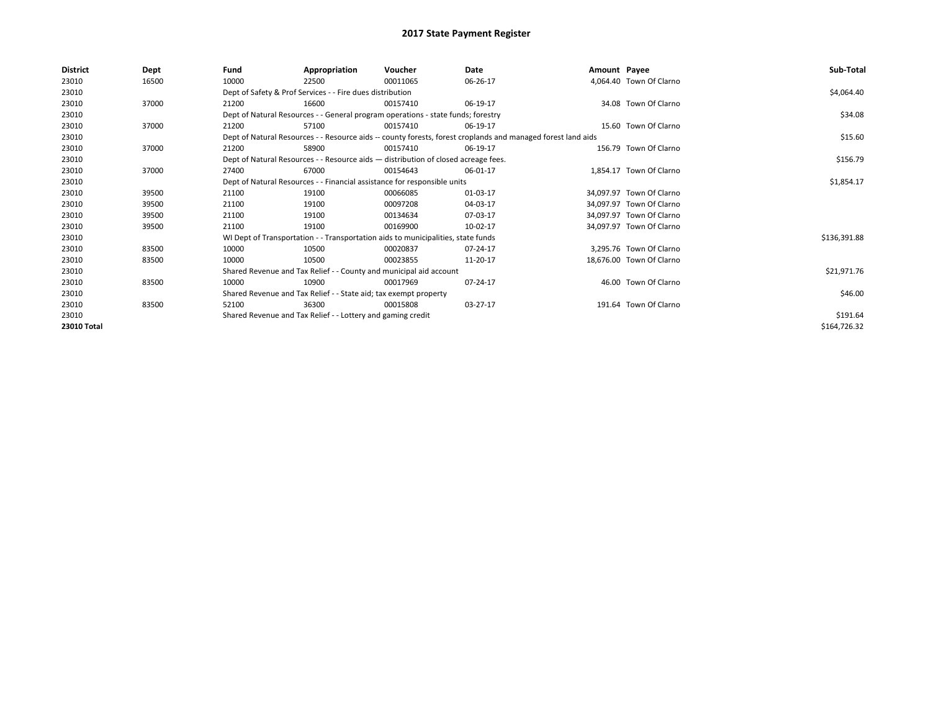| <b>District</b> | Dept  | Fund  | Appropriation                                                                      | Voucher  | Date                                                                                                         | Amount Payee |                          | Sub-Total    |
|-----------------|-------|-------|------------------------------------------------------------------------------------|----------|--------------------------------------------------------------------------------------------------------------|--------------|--------------------------|--------------|
| 23010           | 16500 | 10000 | 22500                                                                              | 00011065 | 06-26-17                                                                                                     |              | 4,064.40 Town Of Clarno  |              |
| 23010           |       |       | Dept of Safety & Prof Services - - Fire dues distribution                          |          |                                                                                                              |              |                          | \$4,064.40   |
| 23010           | 37000 | 21200 | 16600                                                                              | 00157410 | 06-19-17                                                                                                     |              | 34.08 Town Of Clarno     |              |
| 23010           |       |       | Dept of Natural Resources - - General program operations - state funds; forestry   |          |                                                                                                              |              |                          | \$34.08      |
| 23010           | 37000 | 21200 | 57100                                                                              | 00157410 | 06-19-17                                                                                                     |              | 15.60 Town Of Clarno     |              |
| 23010           |       |       |                                                                                    |          | Dept of Natural Resources - - Resource aids -- county forests, forest croplands and managed forest land aids |              |                          | \$15.60      |
| 23010           | 37000 | 21200 | 58900                                                                              | 00157410 | 06-19-17                                                                                                     |              | 156.79 Town Of Clarno    |              |
| 23010           |       |       | Dept of Natural Resources - - Resource aids - distribution of closed acreage fees. |          | \$156.79                                                                                                     |              |                          |              |
| 23010           | 37000 | 27400 | 67000                                                                              | 00154643 | 06-01-17                                                                                                     |              | 1,854.17 Town Of Clarno  |              |
| 23010           |       |       | Dept of Natural Resources - - Financial assistance for responsible units           |          |                                                                                                              |              |                          | \$1,854.17   |
| 23010           | 39500 | 21100 | 19100                                                                              | 00066085 | 01-03-17                                                                                                     |              | 34.097.97 Town Of Clarno |              |
| 23010           | 39500 | 21100 | 19100                                                                              | 00097208 | 04-03-17                                                                                                     |              | 34.097.97 Town Of Clarno |              |
| 23010           | 39500 | 21100 | 19100                                                                              | 00134634 | 07-03-17                                                                                                     |              | 34,097.97 Town Of Clarno |              |
| 23010           | 39500 | 21100 | 19100                                                                              | 00169900 | 10-02-17                                                                                                     |              | 34,097.97 Town Of Clarno |              |
| 23010           |       |       | WI Dept of Transportation - - Transportation aids to municipalities, state funds   |          |                                                                                                              |              |                          | \$136,391.88 |
| 23010           | 83500 | 10000 | 10500                                                                              | 00020837 | 07-24-17                                                                                                     |              | 3,295.76 Town Of Clarno  |              |
| 23010           | 83500 | 10000 | 10500                                                                              | 00023855 | 11-20-17                                                                                                     |              | 18,676.00 Town Of Clarno |              |
| 23010           |       |       | Shared Revenue and Tax Relief - - County and municipal aid account                 |          |                                                                                                              |              |                          | \$21,971.76  |
| 23010           | 83500 | 10000 | 10900                                                                              | 00017969 | 07-24-17                                                                                                     |              | 46.00 Town Of Clarno     |              |
| 23010           |       |       | Shared Revenue and Tax Relief - - State aid; tax exempt property                   |          |                                                                                                              |              |                          | \$46.00      |
| 23010           | 83500 | 52100 | 36300                                                                              | 00015808 | 03-27-17                                                                                                     |              | 191.64 Town Of Clarno    |              |
| 23010           |       |       | Shared Revenue and Tax Relief - - Lottery and gaming credit                        |          |                                                                                                              |              |                          | \$191.64     |
| 23010 Total     |       |       |                                                                                    |          |                                                                                                              |              |                          | \$164,726.32 |
|                 |       |       |                                                                                    |          |                                                                                                              |              |                          |              |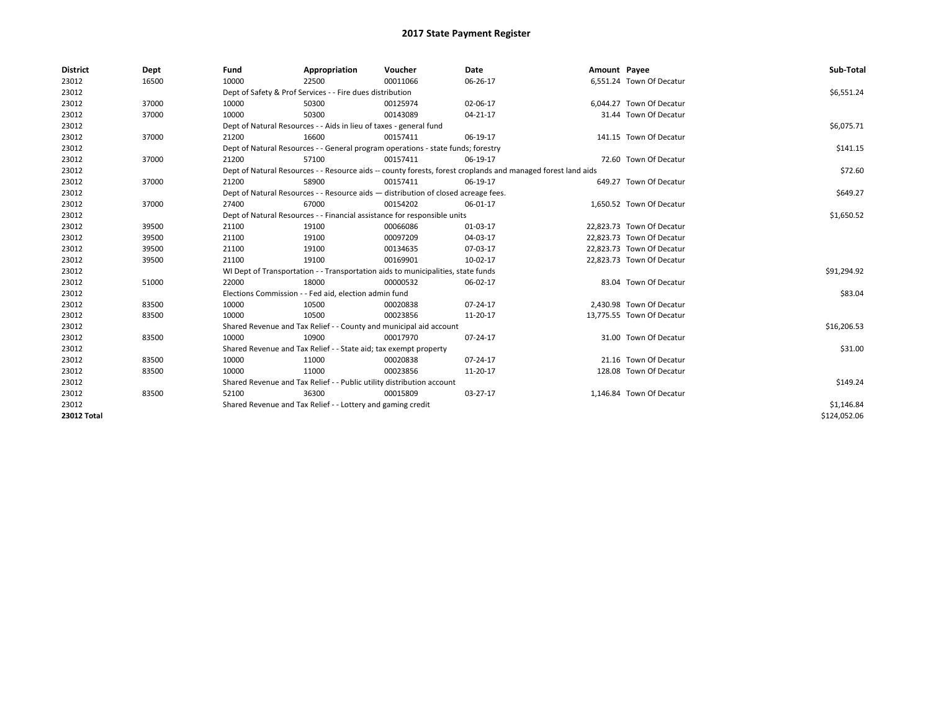| <b>District</b>    | Dept  | Fund  | Appropriation                                                                      | Voucher  | Date                                                                                                         | Amount Payee |                           | Sub-Total    |
|--------------------|-------|-------|------------------------------------------------------------------------------------|----------|--------------------------------------------------------------------------------------------------------------|--------------|---------------------------|--------------|
| 23012              | 16500 | 10000 | 22500                                                                              | 00011066 | 06-26-17                                                                                                     |              | 6,551.24 Town Of Decatur  |              |
| 23012              |       |       | Dept of Safety & Prof Services - - Fire dues distribution                          |          |                                                                                                              |              |                           | \$6,551.24   |
| 23012              | 37000 | 10000 | 50300                                                                              | 00125974 | 02-06-17                                                                                                     |              | 6,044.27 Town Of Decatur  |              |
| 23012              | 37000 | 10000 | 50300                                                                              | 00143089 | $04 - 21 - 17$                                                                                               |              | 31.44 Town Of Decatur     |              |
| 23012              |       |       | Dept of Natural Resources - - Aids in lieu of taxes - general fund                 |          |                                                                                                              |              |                           | \$6,075.71   |
| 23012              | 37000 | 21200 | 16600                                                                              | 00157411 | 06-19-17                                                                                                     |              | 141.15 Town Of Decatur    |              |
| 23012              |       |       | Dept of Natural Resources - - General program operations - state funds; forestry   |          |                                                                                                              |              |                           | \$141.15     |
| 23012              | 37000 | 21200 | 57100                                                                              | 00157411 | 06-19-17                                                                                                     |              | 72.60 Town Of Decatur     |              |
| 23012              |       |       |                                                                                    |          | Dept of Natural Resources - - Resource aids -- county forests, forest croplands and managed forest land aids |              |                           | \$72.60      |
| 23012              | 37000 | 21200 | 58900                                                                              | 00157411 | 06-19-17                                                                                                     |              | 649.27 Town Of Decatur    |              |
| 23012              |       |       | Dept of Natural Resources - - Resource aids - distribution of closed acreage fees. |          |                                                                                                              |              |                           | \$649.27     |
| 23012              | 37000 | 27400 | 67000                                                                              | 00154202 | 06-01-17                                                                                                     |              | 1,650.52 Town Of Decatur  |              |
| 23012              |       |       | Dept of Natural Resources - - Financial assistance for responsible units           |          |                                                                                                              |              |                           | \$1,650.52   |
| 23012              | 39500 | 21100 | 19100                                                                              | 00066086 | 01-03-17                                                                                                     |              | 22,823.73 Town Of Decatur |              |
| 23012              | 39500 | 21100 | 19100                                                                              | 00097209 | 04-03-17                                                                                                     |              | 22,823.73 Town Of Decatur |              |
| 23012              | 39500 | 21100 | 19100                                                                              | 00134635 | 07-03-17                                                                                                     |              | 22,823.73 Town Of Decatur |              |
| 23012              | 39500 | 21100 | 19100                                                                              | 00169901 | 10-02-17                                                                                                     |              | 22,823.73 Town Of Decatur |              |
| 23012              |       |       | WI Dept of Transportation - - Transportation aids to municipalities, state funds   |          |                                                                                                              |              |                           | \$91,294.92  |
| 23012              | 51000 | 22000 | 18000                                                                              | 00000532 | 06-02-17                                                                                                     |              | 83.04 Town Of Decatur     |              |
| 23012              |       |       | Elections Commission - - Fed aid, election admin fund                              |          |                                                                                                              |              |                           | \$83.04      |
| 23012              | 83500 | 10000 | 10500                                                                              | 00020838 | 07-24-17                                                                                                     |              | 2,430.98 Town Of Decatur  |              |
| 23012              | 83500 | 10000 | 10500                                                                              | 00023856 | 11-20-17                                                                                                     |              | 13,775.55 Town Of Decatur |              |
| 23012              |       |       | Shared Revenue and Tax Relief - - County and municipal aid account                 |          |                                                                                                              |              |                           | \$16,206.53  |
| 23012              | 83500 | 10000 | 10900                                                                              | 00017970 | 07-24-17                                                                                                     |              | 31.00 Town Of Decatur     |              |
| 23012              |       |       | Shared Revenue and Tax Relief - - State aid; tax exempt property                   |          |                                                                                                              |              |                           | \$31.00      |
| 23012              | 83500 | 10000 | 11000                                                                              | 00020838 | 07-24-17                                                                                                     |              | 21.16 Town Of Decatur     |              |
| 23012              | 83500 | 10000 | 11000                                                                              | 00023856 | 11-20-17                                                                                                     |              | 128.08 Town Of Decatur    |              |
| 23012              |       |       | Shared Revenue and Tax Relief - - Public utility distribution account              |          |                                                                                                              |              |                           | \$149.24     |
| 23012              | 83500 | 52100 | 36300                                                                              | 00015809 | 03-27-17                                                                                                     |              | 1,146.84 Town Of Decatur  |              |
| 23012              |       |       | Shared Revenue and Tax Relief - - Lottery and gaming credit                        |          |                                                                                                              |              |                           | \$1,146.84   |
| <b>23012 Total</b> |       |       |                                                                                    |          |                                                                                                              |              |                           | \$124,052.06 |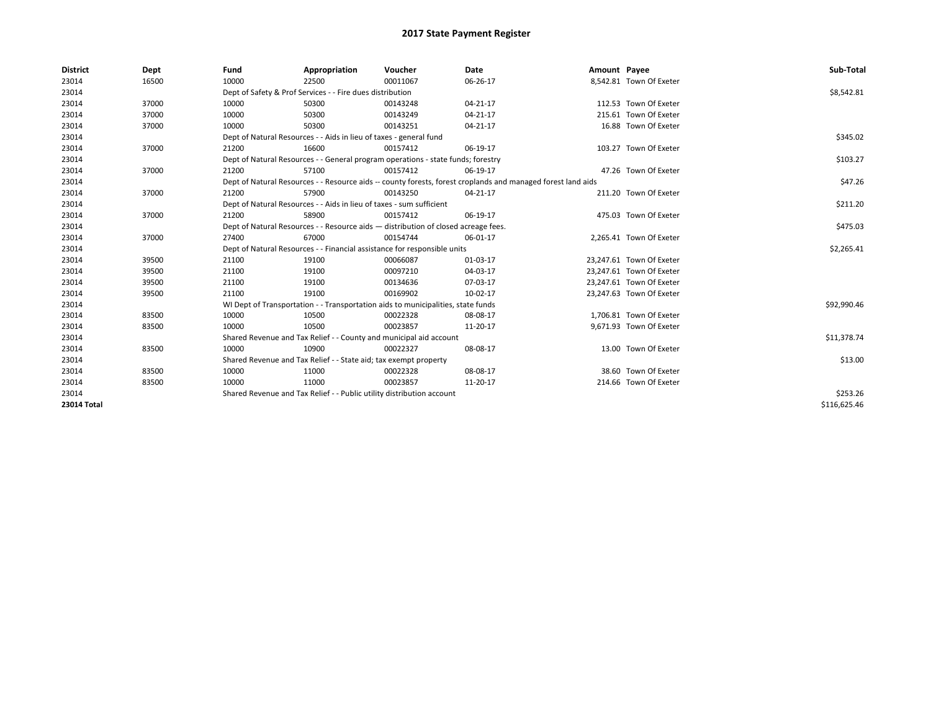| <b>District</b> | Dept  | Fund  | Appropriation                                                                                                | Voucher  | Date           | Amount Payee |                          | Sub-Total    |
|-----------------|-------|-------|--------------------------------------------------------------------------------------------------------------|----------|----------------|--------------|--------------------------|--------------|
| 23014           | 16500 | 10000 | 22500                                                                                                        | 00011067 | 06-26-17       |              | 8,542.81 Town Of Exeter  |              |
| 23014           |       |       | Dept of Safety & Prof Services - - Fire dues distribution                                                    |          |                |              |                          | \$8,542.81   |
| 23014           | 37000 | 10000 | 50300                                                                                                        | 00143248 | $04 - 21 - 17$ |              | 112.53 Town Of Exeter    |              |
| 23014           | 37000 | 10000 | 50300                                                                                                        | 00143249 | 04-21-17       |              | 215.61 Town Of Exeter    |              |
| 23014           | 37000 | 10000 | 50300                                                                                                        | 00143251 | $04 - 21 - 17$ |              | 16.88 Town Of Exeter     |              |
| 23014           |       |       | Dept of Natural Resources - - Aids in lieu of taxes - general fund                                           |          |                |              |                          | \$345.02     |
| 23014           | 37000 | 21200 | 16600                                                                                                        | 00157412 | 06-19-17       |              | 103.27 Town Of Exeter    |              |
| 23014           |       |       | Dept of Natural Resources - - General program operations - state funds; forestry                             |          |                |              |                          | \$103.27     |
| 23014           | 37000 | 21200 | 57100                                                                                                        | 00157412 | 06-19-17       |              | 47.26 Town Of Exeter     |              |
| 23014           |       |       | Dept of Natural Resources - - Resource aids -- county forests, forest croplands and managed forest land aids |          |                |              |                          | \$47.26      |
| 23014           | 37000 | 21200 | 57900                                                                                                        | 00143250 | $04 - 21 - 17$ |              | 211.20 Town Of Exeter    |              |
| 23014           |       |       | Dept of Natural Resources - - Aids in lieu of taxes - sum sufficient                                         |          |                |              |                          | \$211.20     |
| 23014           | 37000 | 21200 | 58900                                                                                                        | 00157412 | 06-19-17       |              | 475.03 Town Of Exeter    |              |
| 23014           |       |       | Dept of Natural Resources - - Resource aids - distribution of closed acreage fees.                           |          |                |              |                          | \$475.03     |
| 23014           | 37000 | 27400 | 67000                                                                                                        | 00154744 | 06-01-17       |              | 2,265.41 Town Of Exeter  |              |
| 23014           |       |       | Dept of Natural Resources - - Financial assistance for responsible units                                     |          |                |              |                          | \$2,265.41   |
| 23014           | 39500 | 21100 | 19100                                                                                                        | 00066087 | 01-03-17       |              | 23,247.61 Town Of Exeter |              |
| 23014           | 39500 | 21100 | 19100                                                                                                        | 00097210 | 04-03-17       |              | 23,247.61 Town Of Exeter |              |
| 23014           | 39500 | 21100 | 19100                                                                                                        | 00134636 | 07-03-17       |              | 23,247.61 Town Of Exeter |              |
| 23014           | 39500 | 21100 | 19100                                                                                                        | 00169902 | 10-02-17       |              | 23,247.63 Town Of Exeter |              |
| 23014           |       |       | WI Dept of Transportation - - Transportation aids to municipalities, state funds                             |          |                |              |                          | \$92,990.46  |
| 23014           | 83500 | 10000 | 10500                                                                                                        | 00022328 | 08-08-17       |              | 1,706.81 Town Of Exeter  |              |
| 23014           | 83500 | 10000 | 10500                                                                                                        | 00023857 | 11-20-17       |              | 9,671.93 Town Of Exeter  |              |
| 23014           |       |       | Shared Revenue and Tax Relief - - County and municipal aid account                                           |          |                |              |                          | \$11,378.74  |
| 23014           | 83500 | 10000 | 10900                                                                                                        | 00022327 | 08-08-17       |              | 13.00 Town Of Exeter     |              |
| 23014           |       |       | Shared Revenue and Tax Relief - - State aid; tax exempt property                                             |          |                |              |                          | \$13.00      |
| 23014           | 83500 | 10000 | 11000                                                                                                        | 00022328 | 08-08-17       |              | 38.60 Town Of Exeter     |              |
| 23014           | 83500 | 10000 | 11000                                                                                                        | 00023857 | 11-20-17       |              | 214.66 Town Of Exeter    |              |
| 23014           |       |       | Shared Revenue and Tax Relief - - Public utility distribution account                                        |          | \$253.26       |              |                          |              |
| 23014 Total     |       |       |                                                                                                              |          |                |              |                          | \$116,625.46 |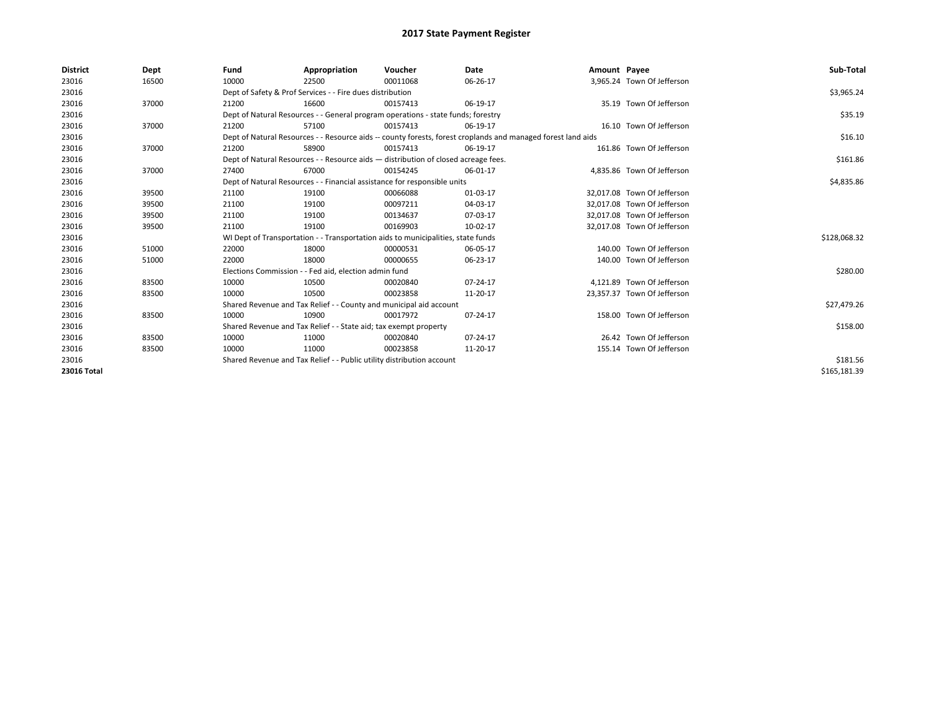| <b>District</b>    | Dept  | Fund  | Appropriation                                                                                                | Voucher  | Date     | Amount Payee |                             | Sub-Total    |  |  |
|--------------------|-------|-------|--------------------------------------------------------------------------------------------------------------|----------|----------|--------------|-----------------------------|--------------|--|--|
| 23016              | 16500 | 10000 | 22500                                                                                                        | 00011068 | 06-26-17 |              | 3,965.24 Town Of Jefferson  |              |  |  |
| 23016              |       |       | Dept of Safety & Prof Services - - Fire dues distribution                                                    |          |          |              |                             | \$3,965.24   |  |  |
| 23016              | 37000 | 21200 | 16600                                                                                                        | 00157413 | 06-19-17 |              | 35.19 Town Of Jefferson     |              |  |  |
| 23016              |       |       | Dept of Natural Resources - - General program operations - state funds; forestry                             |          |          |              |                             | \$35.19      |  |  |
| 23016              | 37000 | 21200 | 57100                                                                                                        | 00157413 | 06-19-17 |              | 16.10 Town Of Jefferson     |              |  |  |
| 23016              |       |       | Dept of Natural Resources - - Resource aids -- county forests, forest croplands and managed forest land aids |          |          |              |                             |              |  |  |
| 23016              | 37000 | 21200 | 58900                                                                                                        | 00157413 | 06-19-17 |              | 161.86 Town Of Jefferson    |              |  |  |
| 23016              |       |       | Dept of Natural Resources - - Resource aids - distribution of closed acreage fees.                           |          |          |              |                             | \$161.86     |  |  |
| 23016              | 37000 | 27400 | 67000                                                                                                        | 00154245 | 06-01-17 |              | 4.835.86 Town Of Jefferson  |              |  |  |
| 23016              |       |       | Dept of Natural Resources - - Financial assistance for responsible units                                     |          |          |              |                             | \$4,835.86   |  |  |
| 23016              | 39500 | 21100 | 19100                                                                                                        | 00066088 | 01-03-17 |              | 32,017.08 Town Of Jefferson |              |  |  |
| 23016              | 39500 | 21100 | 19100                                                                                                        | 00097211 | 04-03-17 |              | 32.017.08 Town Of Jefferson |              |  |  |
| 23016              | 39500 | 21100 | 19100                                                                                                        | 00134637 | 07-03-17 |              | 32.017.08 Town Of Jefferson |              |  |  |
| 23016              | 39500 | 21100 | 19100                                                                                                        | 00169903 | 10-02-17 |              | 32,017.08 Town Of Jefferson |              |  |  |
| 23016              |       |       | WI Dept of Transportation - - Transportation aids to municipalities, state funds                             |          |          |              |                             | \$128,068.32 |  |  |
| 23016              | 51000 | 22000 | 18000                                                                                                        | 00000531 | 06-05-17 |              | 140.00 Town Of Jefferson    |              |  |  |
| 23016              | 51000 | 22000 | 18000                                                                                                        | 00000655 | 06-23-17 |              | 140.00 Town Of Jefferson    |              |  |  |
| 23016              |       |       | Elections Commission - - Fed aid, election admin fund                                                        |          |          |              |                             | \$280.00     |  |  |
| 23016              | 83500 | 10000 | 10500                                                                                                        | 00020840 | 07-24-17 |              | 4.121.89 Town Of Jefferson  |              |  |  |
| 23016              | 83500 | 10000 | 10500                                                                                                        | 00023858 | 11-20-17 |              | 23,357.37 Town Of Jefferson |              |  |  |
| 23016              |       |       | Shared Revenue and Tax Relief - - County and municipal aid account                                           |          |          |              |                             | \$27,479.26  |  |  |
| 23016              | 83500 | 10000 | 10900                                                                                                        | 00017972 | 07-24-17 |              | 158.00 Town Of Jefferson    |              |  |  |
| 23016              |       |       | Shared Revenue and Tax Relief - - State aid; tax exempt property                                             |          |          |              |                             | \$158.00     |  |  |
| 23016              | 83500 | 10000 | 11000                                                                                                        | 00020840 | 07-24-17 |              | 26.42 Town Of Jefferson     |              |  |  |
| 23016              | 83500 | 10000 | 11000                                                                                                        | 00023858 | 11-20-17 |              | 155.14 Town Of Jefferson    |              |  |  |
| 23016              |       |       | Shared Revenue and Tax Relief - - Public utility distribution account                                        |          |          |              |                             | \$181.56     |  |  |
| <b>23016 Total</b> |       |       |                                                                                                              |          |          |              |                             | \$165,181.39 |  |  |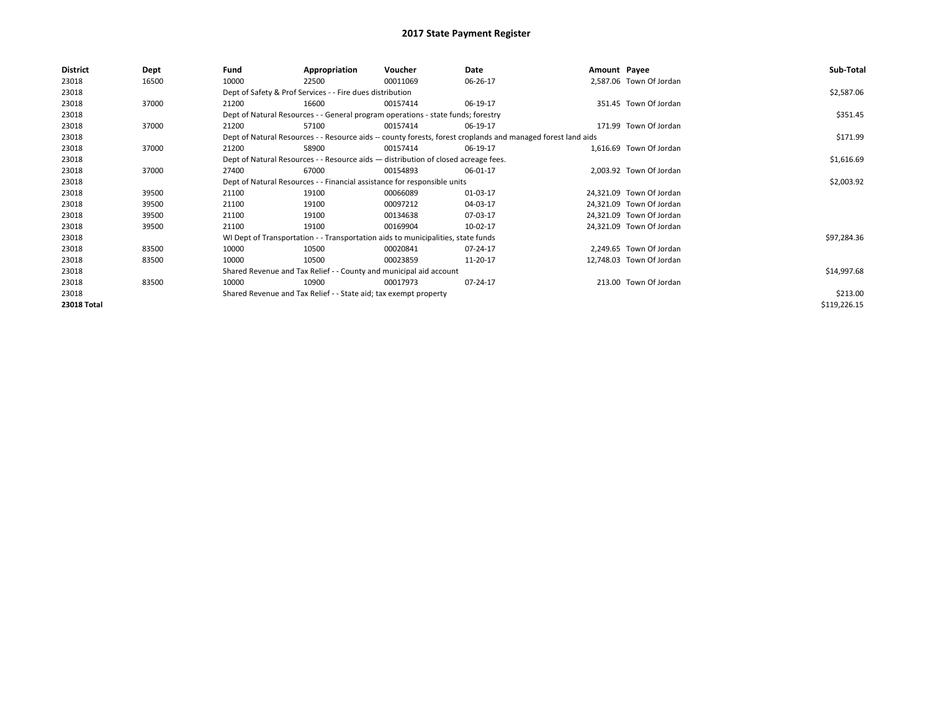| <b>District</b> | Dept  | Fund                                                                                                         | Appropriation                                                                      | Voucher    | Date     | Amount Payee |                          | Sub-Total    |
|-----------------|-------|--------------------------------------------------------------------------------------------------------------|------------------------------------------------------------------------------------|------------|----------|--------------|--------------------------|--------------|
| 23018           | 16500 | 10000                                                                                                        | 22500                                                                              | 00011069   | 06-26-17 |              | 2,587.06 Town Of Jordan  |              |
| 23018           |       |                                                                                                              | Dept of Safety & Prof Services - - Fire dues distribution                          |            |          |              |                          | \$2,587.06   |
| 23018           | 37000 | 21200                                                                                                        | 16600                                                                              | 00157414   | 06-19-17 |              | 351.45 Town Of Jordan    |              |
| 23018           |       |                                                                                                              | Dept of Natural Resources - - General program operations - state funds; forestry   |            |          |              |                          | \$351.45     |
| 23018           | 37000 | 21200                                                                                                        | 57100                                                                              | 00157414   | 06-19-17 |              | 171.99 Town Of Jordan    |              |
| 23018           |       | Dept of Natural Resources - - Resource aids -- county forests, forest croplands and managed forest land aids |                                                                                    | \$171.99   |          |              |                          |              |
| 23018           | 37000 | 21200                                                                                                        | 58900                                                                              | 00157414   | 06-19-17 |              | 1,616.69 Town Of Jordan  |              |
| 23018           |       |                                                                                                              | Dept of Natural Resources - - Resource aids - distribution of closed acreage fees. |            |          |              |                          | \$1,616.69   |
| 23018           | 37000 | 27400                                                                                                        | 67000                                                                              | 00154893   | 06-01-17 |              | 2,003.92 Town Of Jordan  |              |
| 23018           |       | Dept of Natural Resources - - Financial assistance for responsible units                                     |                                                                                    | \$2,003.92 |          |              |                          |              |
| 23018           | 39500 | 21100                                                                                                        | 19100                                                                              | 00066089   | 01-03-17 |              | 24,321.09 Town Of Jordan |              |
| 23018           | 39500 | 21100                                                                                                        | 19100                                                                              | 00097212   | 04-03-17 |              | 24,321.09 Town Of Jordan |              |
| 23018           | 39500 | 21100                                                                                                        | 19100                                                                              | 00134638   | 07-03-17 |              | 24,321.09 Town Of Jordan |              |
| 23018           | 39500 | 21100                                                                                                        | 19100                                                                              | 00169904   | 10-02-17 |              | 24,321.09 Town Of Jordan |              |
| 23018           |       |                                                                                                              | WI Dept of Transportation - - Transportation aids to municipalities, state funds   |            |          |              |                          | \$97,284.36  |
| 23018           | 83500 | 10000                                                                                                        | 10500                                                                              | 00020841   | 07-24-17 |              | 2,249.65 Town Of Jordan  |              |
| 23018           | 83500 | 10000                                                                                                        | 10500                                                                              | 00023859   | 11-20-17 |              | 12,748.03 Town Of Jordan |              |
| 23018           |       |                                                                                                              | Shared Revenue and Tax Relief - - County and municipal aid account                 |            |          |              |                          | \$14,997.68  |
| 23018           | 83500 | 10000                                                                                                        | 10900                                                                              | 00017973   | 07-24-17 |              | 213.00 Town Of Jordan    |              |
| 23018           |       |                                                                                                              | Shared Revenue and Tax Relief - - State aid; tax exempt property                   |            |          |              |                          | \$213.00     |
| 23018 Total     |       |                                                                                                              |                                                                                    |            |          |              |                          | \$119,226.15 |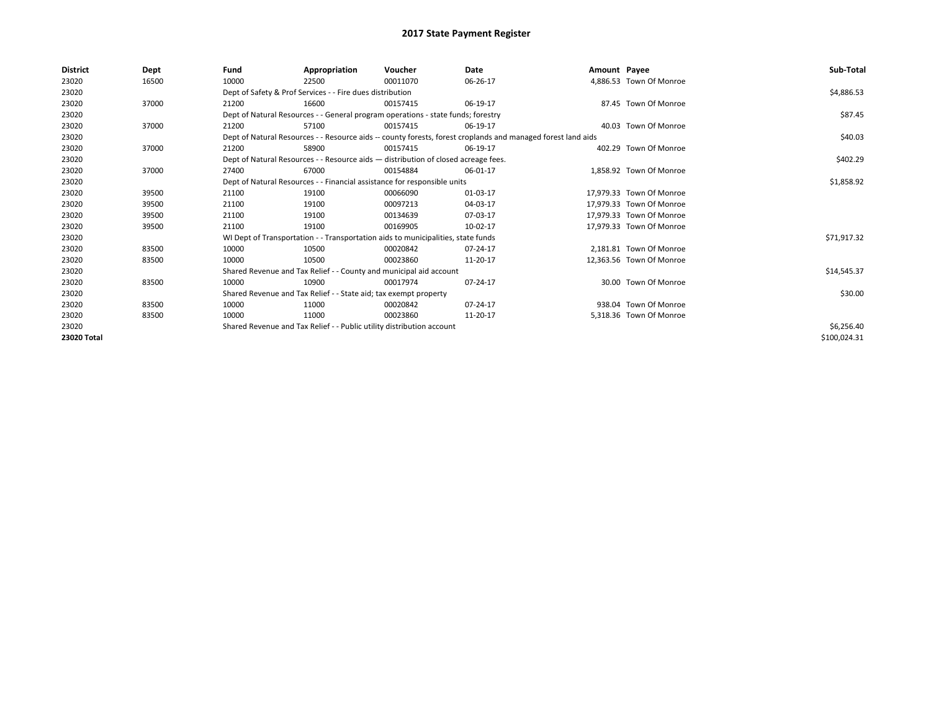| <b>District</b> | Dept  | Fund                                                                     | Appropriation                                                                      | Voucher    | Date                                                                                                         | Amount Payee |                          | Sub-Total    |
|-----------------|-------|--------------------------------------------------------------------------|------------------------------------------------------------------------------------|------------|--------------------------------------------------------------------------------------------------------------|--------------|--------------------------|--------------|
| 23020           | 16500 | 10000                                                                    | 22500                                                                              | 00011070   | 06-26-17                                                                                                     |              | 4,886.53 Town Of Monroe  |              |
| 23020           |       |                                                                          | Dept of Safety & Prof Services - - Fire dues distribution                          |            |                                                                                                              |              |                          | \$4,886.53   |
| 23020           | 37000 | 21200                                                                    | 16600                                                                              | 00157415   | 06-19-17                                                                                                     |              | 87.45 Town Of Monroe     |              |
| 23020           |       |                                                                          | Dept of Natural Resources - - General program operations - state funds; forestry   |            |                                                                                                              |              |                          | \$87.45      |
| 23020           | 37000 | 21200                                                                    | 57100                                                                              | 00157415   | 06-19-17                                                                                                     |              | 40.03 Town Of Monroe     |              |
| 23020           |       |                                                                          |                                                                                    |            | Dept of Natural Resources - - Resource aids -- county forests, forest croplands and managed forest land aids |              |                          | \$40.03      |
| 23020           | 37000 | 21200                                                                    | 58900                                                                              | 00157415   | 06-19-17                                                                                                     |              | 402.29 Town Of Monroe    |              |
| 23020           |       |                                                                          | Dept of Natural Resources - - Resource aids - distribution of closed acreage fees. |            |                                                                                                              |              |                          | \$402.29     |
| 23020           | 37000 | 27400                                                                    | 67000                                                                              | 00154884   | 06-01-17                                                                                                     |              | 1,858.92 Town Of Monroe  |              |
| 23020           |       | Dept of Natural Resources - - Financial assistance for responsible units |                                                                                    | \$1,858.92 |                                                                                                              |              |                          |              |
| 23020           | 39500 | 21100                                                                    | 19100                                                                              | 00066090   | 01-03-17                                                                                                     |              | 17.979.33 Town Of Monroe |              |
| 23020           | 39500 | 21100                                                                    | 19100                                                                              | 00097213   | 04-03-17                                                                                                     |              | 17,979.33 Town Of Monroe |              |
| 23020           | 39500 | 21100                                                                    | 19100                                                                              | 00134639   | 07-03-17                                                                                                     |              | 17.979.33 Town Of Monroe |              |
| 23020           | 39500 | 21100                                                                    | 19100                                                                              | 00169905   | 10-02-17                                                                                                     |              | 17,979.33 Town Of Monroe |              |
| 23020           |       |                                                                          | WI Dept of Transportation - - Transportation aids to municipalities, state funds   |            |                                                                                                              |              |                          | \$71,917.32  |
| 23020           | 83500 | 10000                                                                    | 10500                                                                              | 00020842   | 07-24-17                                                                                                     |              | 2,181.81 Town Of Monroe  |              |
| 23020           | 83500 | 10000                                                                    | 10500                                                                              | 00023860   | 11-20-17                                                                                                     |              | 12,363.56 Town Of Monroe |              |
| 23020           |       |                                                                          | Shared Revenue and Tax Relief - - County and municipal aid account                 |            |                                                                                                              |              |                          | \$14,545.37  |
| 23020           | 83500 | 10000                                                                    | 10900                                                                              | 00017974   | 07-24-17                                                                                                     |              | 30.00 Town Of Monroe     |              |
| 23020           |       |                                                                          | Shared Revenue and Tax Relief - - State aid; tax exempt property                   |            |                                                                                                              |              |                          | \$30.00      |
| 23020           | 83500 | 10000                                                                    | 11000                                                                              | 00020842   | 07-24-17                                                                                                     |              | 938.04 Town Of Monroe    |              |
| 23020           | 83500 | 10000                                                                    | 11000                                                                              | 00023860   | 11-20-17                                                                                                     |              | 5,318.36 Town Of Monroe  |              |
| 23020           |       | Shared Revenue and Tax Relief - - Public utility distribution account    |                                                                                    | \$6,256.40 |                                                                                                              |              |                          |              |
| 23020 Total     |       |                                                                          |                                                                                    |            |                                                                                                              |              |                          | \$100,024.31 |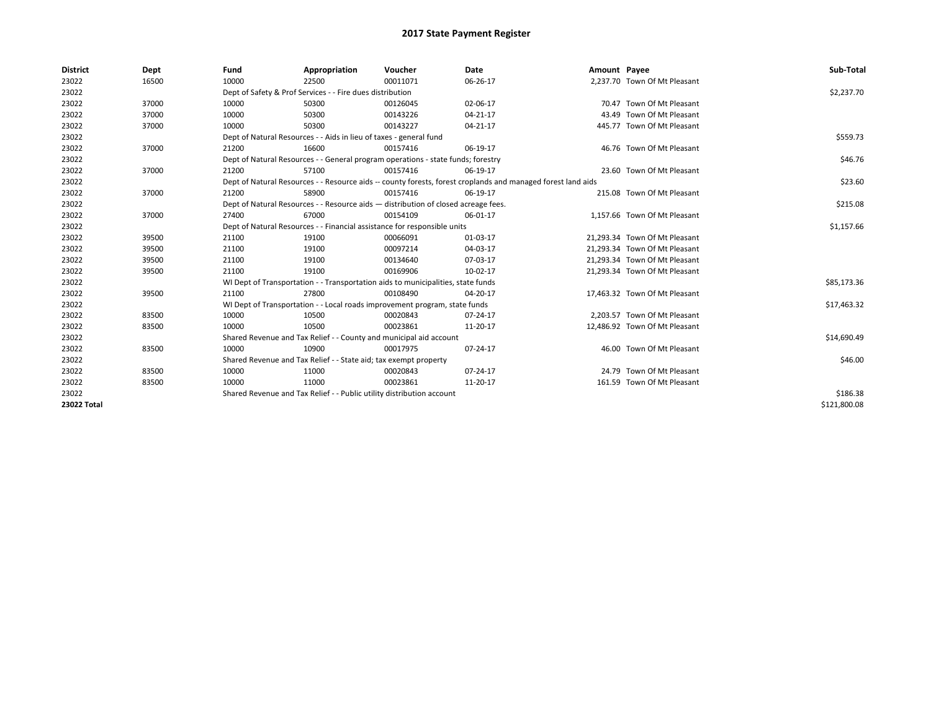| <b>District</b>    | Dept  | Fund                                                                                                         | Appropriation                                                                    | Voucher    | Date           | Amount Payee |                               | Sub-Total    |
|--------------------|-------|--------------------------------------------------------------------------------------------------------------|----------------------------------------------------------------------------------|------------|----------------|--------------|-------------------------------|--------------|
| 23022              | 16500 | 10000                                                                                                        | 22500                                                                            | 00011071   | 06-26-17       |              | 2,237.70 Town Of Mt Pleasant  |              |
| 23022              |       |                                                                                                              | Dept of Safety & Prof Services - - Fire dues distribution                        |            |                |              |                               | \$2,237.70   |
| 23022              | 37000 | 10000                                                                                                        | 50300                                                                            | 00126045   | 02-06-17       |              | 70.47 Town Of Mt Pleasant     |              |
| 23022              | 37000 | 10000                                                                                                        | 50300                                                                            | 00143226   | $04 - 21 - 17$ |              | 43.49 Town Of Mt Pleasant     |              |
| 23022              | 37000 | 10000                                                                                                        | 50300                                                                            | 00143227   | 04-21-17       |              | 445.77 Town Of Mt Pleasant    |              |
| 23022              |       | Dept of Natural Resources - - Aids in lieu of taxes - general fund                                           |                                                                                  | \$559.73   |                |              |                               |              |
| 23022              | 37000 | 21200                                                                                                        | 16600                                                                            | 00157416   | 06-19-17       |              | 46.76 Town Of Mt Pleasant     |              |
| 23022              |       |                                                                                                              | Dept of Natural Resources - - General program operations - state funds; forestry |            |                |              |                               | \$46.76      |
| 23022              | 37000 | 21200                                                                                                        | 57100                                                                            | 00157416   | 06-19-17       |              | 23.60 Town Of Mt Pleasant     |              |
| 23022              |       | Dept of Natural Resources - - Resource aids -- county forests, forest croplands and managed forest land aids |                                                                                  | \$23.60    |                |              |                               |              |
| 23022              | 37000 | 21200                                                                                                        | 58900                                                                            | 00157416   | 06-19-17       |              | 215.08 Town Of Mt Pleasant    |              |
| 23022              |       | Dept of Natural Resources - - Resource aids - distribution of closed acreage fees.                           |                                                                                  | \$215.08   |                |              |                               |              |
| 23022              | 37000 | 27400                                                                                                        | 67000                                                                            | 00154109   | 06-01-17       |              | 1,157.66 Town Of Mt Pleasant  |              |
| 23022              |       | Dept of Natural Resources - - Financial assistance for responsible units                                     |                                                                                  | \$1,157.66 |                |              |                               |              |
| 23022              | 39500 | 21100                                                                                                        | 19100                                                                            | 00066091   | 01-03-17       |              | 21,293.34 Town Of Mt Pleasant |              |
| 23022              | 39500 | 21100                                                                                                        | 19100                                                                            | 00097214   | 04-03-17       |              | 21.293.34 Town Of Mt Pleasant |              |
| 23022              | 39500 | 21100                                                                                                        | 19100                                                                            | 00134640   | 07-03-17       |              | 21,293.34 Town Of Mt Pleasant |              |
| 23022              | 39500 | 21100                                                                                                        | 19100                                                                            | 00169906   | 10-02-17       |              | 21,293.34 Town Of Mt Pleasant |              |
| 23022              |       |                                                                                                              | WI Dept of Transportation - - Transportation aids to municipalities, state funds |            |                |              |                               | \$85,173.36  |
| 23022              | 39500 | 21100                                                                                                        | 27800                                                                            | 00108490   | 04-20-17       |              | 17,463.32 Town Of Mt Pleasant |              |
| 23022              |       |                                                                                                              | WI Dept of Transportation - - Local roads improvement program, state funds       |            |                |              |                               | \$17,463.32  |
| 23022              | 83500 | 10000                                                                                                        | 10500                                                                            | 00020843   | $07 - 24 - 17$ |              | 2.203.57 Town Of Mt Pleasant  |              |
| 23022              | 83500 | 10000                                                                                                        | 10500                                                                            | 00023861   | 11-20-17       |              | 12,486.92 Town Of Mt Pleasant |              |
| 23022              |       |                                                                                                              | Shared Revenue and Tax Relief - - County and municipal aid account               |            |                |              |                               | \$14,690.49  |
| 23022              | 83500 | 10000                                                                                                        | 10900                                                                            | 00017975   | $07 - 24 - 17$ |              | 46.00 Town Of Mt Pleasant     |              |
| 23022              |       | Shared Revenue and Tax Relief - - State aid; tax exempt property                                             |                                                                                  | \$46.00    |                |              |                               |              |
| 23022              | 83500 | 10000                                                                                                        | 11000                                                                            | 00020843   | $07 - 24 - 17$ |              | 24.79 Town Of Mt Pleasant     |              |
| 23022              | 83500 | 10000                                                                                                        | 11000                                                                            | 00023861   | 11-20-17       |              | 161.59 Town Of Mt Pleasant    |              |
| 23022              |       |                                                                                                              | Shared Revenue and Tax Relief - - Public utility distribution account            |            |                |              |                               | \$186.38     |
| <b>23022 Total</b> |       |                                                                                                              |                                                                                  |            |                |              |                               | \$121,800.08 |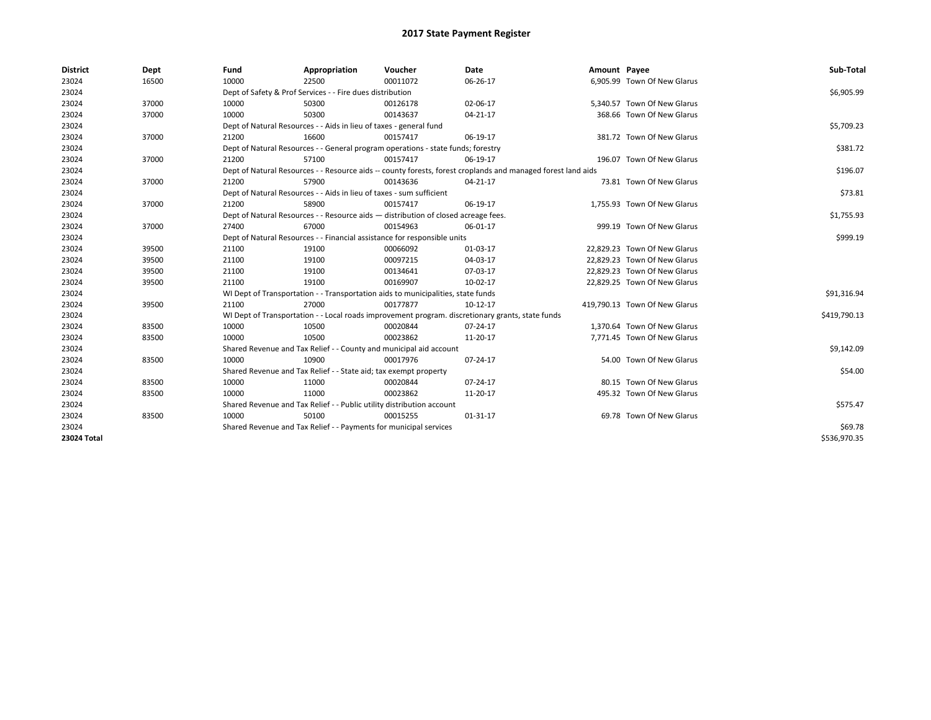| <b>District</b> | Dept  | Fund                                                                     | Appropriation                                                                      | Voucher  | Date                                                                                                         | Amount Payee |                               | Sub-Total    |  |  |  |
|-----------------|-------|--------------------------------------------------------------------------|------------------------------------------------------------------------------------|----------|--------------------------------------------------------------------------------------------------------------|--------------|-------------------------------|--------------|--|--|--|
| 23024           | 16500 | 10000                                                                    | 22500                                                                              | 00011072 | 06-26-17                                                                                                     |              | 6,905.99 Town Of New Glarus   |              |  |  |  |
| 23024           |       |                                                                          | Dept of Safety & Prof Services - - Fire dues distribution                          |          |                                                                                                              |              |                               | \$6,905.99   |  |  |  |
| 23024           | 37000 | 10000                                                                    | 50300                                                                              | 00126178 | 02-06-17                                                                                                     |              | 5,340.57 Town Of New Glarus   |              |  |  |  |
| 23024           | 37000 | 10000                                                                    | 50300                                                                              | 00143637 | 04-21-17                                                                                                     |              | 368.66 Town Of New Glarus     |              |  |  |  |
| 23024           |       |                                                                          | Dept of Natural Resources - - Aids in lieu of taxes - general fund                 |          |                                                                                                              |              |                               | \$5,709.23   |  |  |  |
| 23024           | 37000 | 21200                                                                    | 16600                                                                              | 00157417 | 06-19-17                                                                                                     |              | 381.72 Town Of New Glarus     |              |  |  |  |
| 23024           |       |                                                                          | Dept of Natural Resources - - General program operations - state funds; forestry   |          |                                                                                                              |              |                               | \$381.72     |  |  |  |
| 23024           | 37000 | 21200                                                                    | 57100                                                                              | 00157417 | 06-19-17                                                                                                     |              | 196.07 Town Of New Glarus     |              |  |  |  |
| 23024           |       |                                                                          |                                                                                    |          | Dept of Natural Resources - - Resource aids -- county forests, forest croplands and managed forest land aids |              |                               | \$196.07     |  |  |  |
| 23024           | 37000 | 21200                                                                    | 57900                                                                              | 00143636 | 04-21-17                                                                                                     |              | 73.81 Town Of New Glarus      |              |  |  |  |
| 23024           |       |                                                                          | Dept of Natural Resources - - Aids in lieu of taxes - sum sufficient               |          |                                                                                                              |              |                               |              |  |  |  |
| 23024           | 37000 | 21200                                                                    | 58900                                                                              | 00157417 | 06-19-17                                                                                                     |              | 1.755.93 Town Of New Glarus   |              |  |  |  |
| 23024           |       |                                                                          | Dept of Natural Resources - - Resource aids - distribution of closed acreage fees. |          |                                                                                                              |              |                               | \$1,755.93   |  |  |  |
| 23024           | 37000 | 27400                                                                    | 67000                                                                              | 00154963 | 06-01-17                                                                                                     |              | 999.19 Town Of New Glarus     |              |  |  |  |
| 23024           |       | Dept of Natural Resources - - Financial assistance for responsible units |                                                                                    | \$999.19 |                                                                                                              |              |                               |              |  |  |  |
| 23024           | 39500 | 21100                                                                    | 19100                                                                              | 00066092 | 01-03-17                                                                                                     |              | 22.829.23 Town Of New Glarus  |              |  |  |  |
| 23024           | 39500 | 21100                                                                    | 19100                                                                              | 00097215 | 04-03-17                                                                                                     |              | 22,829.23 Town Of New Glarus  |              |  |  |  |
| 23024           | 39500 | 21100                                                                    | 19100                                                                              | 00134641 | 07-03-17                                                                                                     |              | 22.829.23 Town Of New Glarus  |              |  |  |  |
| 23024           | 39500 | 21100                                                                    | 19100                                                                              | 00169907 | 10-02-17                                                                                                     |              | 22,829.25 Town Of New Glarus  |              |  |  |  |
| 23024           |       |                                                                          | WI Dept of Transportation - - Transportation aids to municipalities, state funds   |          |                                                                                                              |              |                               | \$91,316.94  |  |  |  |
| 23024           | 39500 | 21100                                                                    | 27000                                                                              | 00177877 | 10-12-17                                                                                                     |              | 419,790.13 Town Of New Glarus |              |  |  |  |
| 23024           |       |                                                                          |                                                                                    |          | WI Dept of Transportation - - Local roads improvement program. discretionary grants, state funds             |              |                               | \$419,790.13 |  |  |  |
| 23024           | 83500 | 10000                                                                    | 10500                                                                              | 00020844 | 07-24-17                                                                                                     |              | 1,370.64 Town Of New Glarus   |              |  |  |  |
| 23024           | 83500 | 10000                                                                    | 10500                                                                              | 00023862 | 11-20-17                                                                                                     |              | 7,771.45 Town Of New Glarus   |              |  |  |  |
| 23024           |       |                                                                          | Shared Revenue and Tax Relief - - County and municipal aid account                 |          |                                                                                                              |              |                               | \$9,142.09   |  |  |  |
| 23024           | 83500 | 10000                                                                    | 10900                                                                              | 00017976 | 07-24-17                                                                                                     |              | 54.00 Town Of New Glarus      |              |  |  |  |
| 23024           |       |                                                                          | Shared Revenue and Tax Relief - - State aid; tax exempt property                   |          |                                                                                                              |              |                               | \$54.00      |  |  |  |
| 23024           | 83500 | 10000                                                                    | 11000                                                                              | 00020844 | 07-24-17                                                                                                     |              | 80.15 Town Of New Glarus      |              |  |  |  |
| 23024           | 83500 | 10000                                                                    | 11000                                                                              | 00023862 | 11-20-17                                                                                                     |              | 495.32 Town Of New Glarus     |              |  |  |  |
| 23024           |       |                                                                          | Shared Revenue and Tax Relief - - Public utility distribution account              |          |                                                                                                              |              |                               | \$575.47     |  |  |  |
| 23024           | 83500 | 10000                                                                    | 50100                                                                              | 00015255 | 01-31-17                                                                                                     |              | 69.78 Town Of New Glarus      |              |  |  |  |
| 23024           |       |                                                                          | Shared Revenue and Tax Relief - - Payments for municipal services                  |          |                                                                                                              |              |                               | \$69.78      |  |  |  |
| 23024 Total     |       |                                                                          |                                                                                    |          |                                                                                                              |              |                               | \$536,970.35 |  |  |  |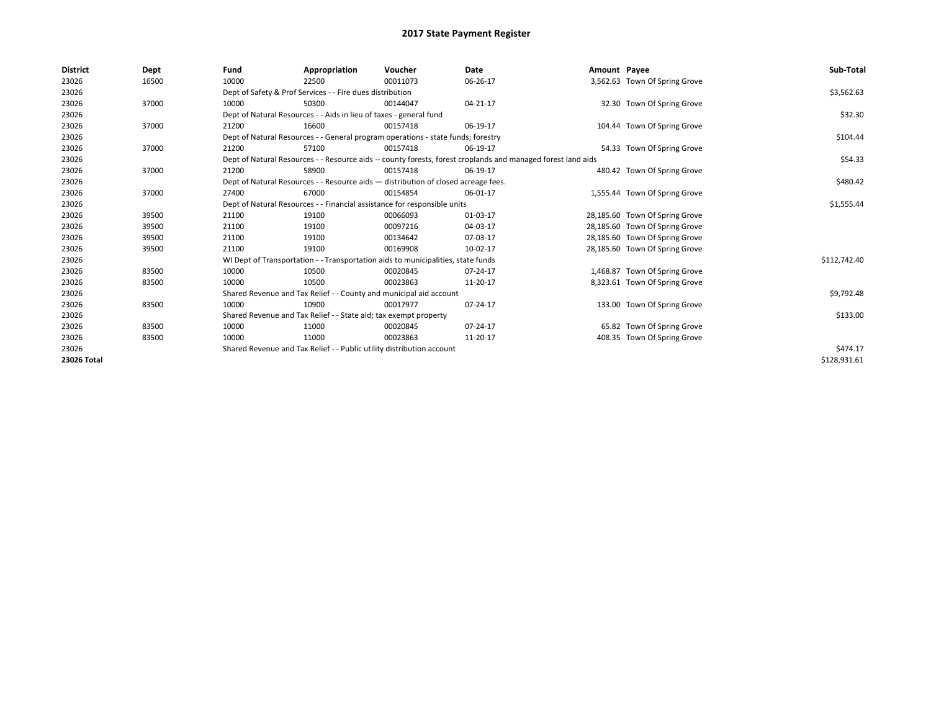| <b>District</b> | Dept  | Fund  | Appropriation                                                                                                | Voucher  | <b>Date</b> | Amount Payee |                                | Sub-Total    |  |  |  |  |
|-----------------|-------|-------|--------------------------------------------------------------------------------------------------------------|----------|-------------|--------------|--------------------------------|--------------|--|--|--|--|
| 23026           | 16500 | 10000 | 22500                                                                                                        | 00011073 | 06-26-17    |              | 3,562.63 Town Of Spring Grove  |              |  |  |  |  |
| 23026           |       |       | Dept of Safety & Prof Services - - Fire dues distribution                                                    |          |             |              |                                | \$3,562.63   |  |  |  |  |
| 23026           | 37000 | 10000 | 50300                                                                                                        | 00144047 | 04-21-17    |              | 32.30 Town Of Spring Grove     |              |  |  |  |  |
| 23026           |       |       | Dept of Natural Resources - - Aids in lieu of taxes - general fund                                           |          |             |              |                                |              |  |  |  |  |
| 23026           | 37000 | 21200 | 16600                                                                                                        | 00157418 | 06-19-17    |              | 104.44 Town Of Spring Grove    |              |  |  |  |  |
| 23026           |       |       | Dept of Natural Resources - - General program operations - state funds; forestry                             |          |             |              |                                | \$104.44     |  |  |  |  |
| 23026           | 37000 | 21200 | 57100                                                                                                        | 00157418 | 06-19-17    |              | 54.33 Town Of Spring Grove     |              |  |  |  |  |
| 23026           |       |       | Dept of Natural Resources - - Resource aids -- county forests, forest croplands and managed forest land aids |          | \$54.33     |              |                                |              |  |  |  |  |
| 23026           | 37000 | 21200 | 58900                                                                                                        | 00157418 | 06-19-17    |              | 480.42 Town Of Spring Grove    |              |  |  |  |  |
| 23026           |       |       | Dept of Natural Resources - - Resource aids - distribution of closed acreage fees.                           |          |             |              |                                | \$480.42     |  |  |  |  |
| 23026           | 37000 | 27400 | 67000                                                                                                        | 00154854 | 06-01-17    |              | 1,555.44 Town Of Spring Grove  |              |  |  |  |  |
| 23026           |       |       | Dept of Natural Resources - - Financial assistance for responsible units                                     |          |             |              |                                |              |  |  |  |  |
| 23026           | 39500 | 21100 | 19100                                                                                                        | 00066093 | 01-03-17    |              | 28,185.60 Town Of Spring Grove |              |  |  |  |  |
| 23026           | 39500 | 21100 | 19100                                                                                                        | 00097216 | 04-03-17    |              | 28,185.60 Town Of Spring Grove |              |  |  |  |  |
| 23026           | 39500 | 21100 | 19100                                                                                                        | 00134642 | 07-03-17    |              | 28,185.60 Town Of Spring Grove |              |  |  |  |  |
| 23026           | 39500 | 21100 | 19100                                                                                                        | 00169908 | 10-02-17    |              | 28,185.60 Town Of Spring Grove |              |  |  |  |  |
| 23026           |       |       | WI Dept of Transportation - - Transportation aids to municipalities, state funds                             |          |             |              |                                | \$112,742.40 |  |  |  |  |
| 23026           | 83500 | 10000 | 10500                                                                                                        | 00020845 | 07-24-17    |              | 1,468.87 Town Of Spring Grove  |              |  |  |  |  |
| 23026           | 83500 | 10000 | 10500                                                                                                        | 00023863 | 11-20-17    |              | 8,323.61 Town Of Spring Grove  |              |  |  |  |  |
| 23026           |       |       | Shared Revenue and Tax Relief - - County and municipal aid account                                           |          |             |              |                                | \$9,792.48   |  |  |  |  |
| 23026           | 83500 | 10000 | 10900                                                                                                        | 00017977 | 07-24-17    |              | 133.00 Town Of Spring Grove    |              |  |  |  |  |
| 23026           |       |       | Shared Revenue and Tax Relief - - State aid; tax exempt property                                             |          |             |              |                                | \$133.00     |  |  |  |  |
| 23026           | 83500 | 10000 | 11000                                                                                                        | 00020845 | 07-24-17    |              | 65.82 Town Of Spring Grove     |              |  |  |  |  |
| 23026           | 83500 | 10000 | 11000                                                                                                        | 00023863 | 11-20-17    |              | 408.35 Town Of Spring Grove    |              |  |  |  |  |
| 23026           |       |       | Shared Revenue and Tax Relief - - Public utility distribution account                                        |          |             |              |                                |              |  |  |  |  |
| 23026 Total     |       |       |                                                                                                              |          |             |              |                                | \$128,931.61 |  |  |  |  |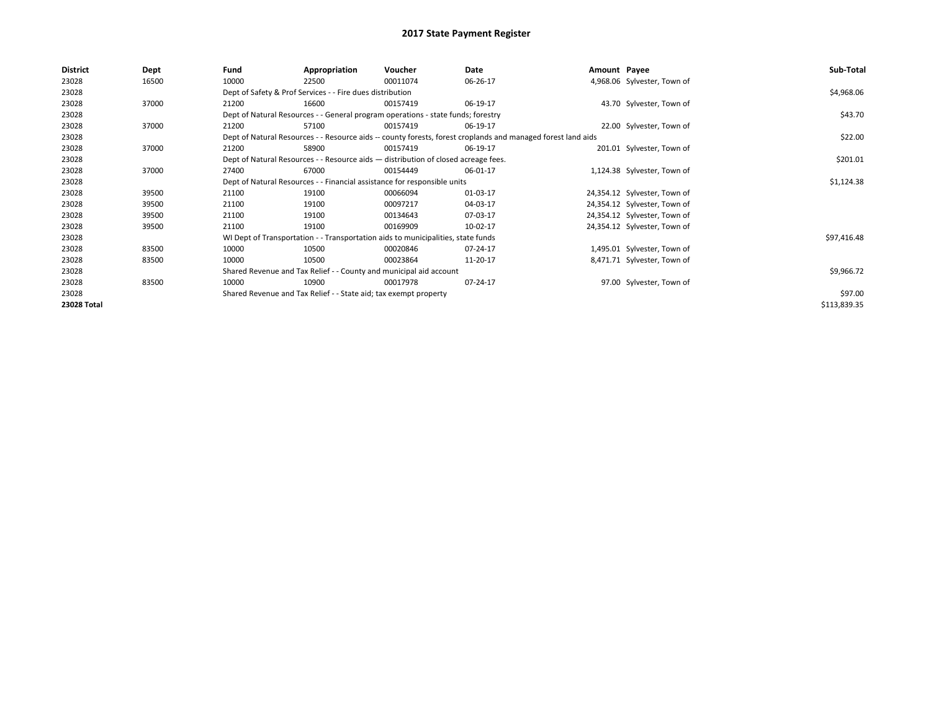| <b>District</b> | Dept  | Fund                                                                                                         | Appropriation                                                                      | Voucher    | Date     | Amount Payee |                              | Sub-Total    |
|-----------------|-------|--------------------------------------------------------------------------------------------------------------|------------------------------------------------------------------------------------|------------|----------|--------------|------------------------------|--------------|
| 23028           | 16500 | 10000                                                                                                        | 22500                                                                              | 00011074   | 06-26-17 |              | 4,968.06 Sylvester, Town of  |              |
| 23028           |       |                                                                                                              | Dept of Safety & Prof Services - - Fire dues distribution                          |            |          |              |                              | \$4,968.06   |
| 23028           | 37000 | 21200                                                                                                        | 16600                                                                              | 00157419   | 06-19-17 |              | 43.70 Sylvester, Town of     |              |
| 23028           |       |                                                                                                              | Dept of Natural Resources - - General program operations - state funds; forestry   |            |          |              |                              | \$43.70      |
| 23028           | 37000 | 21200                                                                                                        | 57100                                                                              | 00157419   | 06-19-17 |              | 22.00 Sylvester, Town of     |              |
| 23028           |       | Dept of Natural Resources - - Resource aids -- county forests, forest croplands and managed forest land aids |                                                                                    | \$22.00    |          |              |                              |              |
| 23028           | 37000 | 21200                                                                                                        | 58900                                                                              | 00157419   | 06-19-17 |              | 201.01 Sylvester, Town of    |              |
| 23028           |       |                                                                                                              | Dept of Natural Resources - - Resource aids - distribution of closed acreage fees. |            |          |              |                              | \$201.01     |
| 23028           | 37000 | 27400                                                                                                        | 67000                                                                              | 00154449   | 06-01-17 |              | 1,124.38 Sylvester, Town of  |              |
| 23028           |       | Dept of Natural Resources - - Financial assistance for responsible units                                     |                                                                                    | \$1,124.38 |          |              |                              |              |
| 23028           | 39500 | 21100                                                                                                        | 19100                                                                              | 00066094   | 01-03-17 |              | 24,354.12 Sylvester, Town of |              |
| 23028           | 39500 | 21100                                                                                                        | 19100                                                                              | 00097217   | 04-03-17 |              | 24,354.12 Sylvester, Town of |              |
| 23028           | 39500 | 21100                                                                                                        | 19100                                                                              | 00134643   | 07-03-17 |              | 24,354.12 Sylvester, Town of |              |
| 23028           | 39500 | 21100                                                                                                        | 19100                                                                              | 00169909   | 10-02-17 |              | 24,354.12 Sylvester, Town of |              |
| 23028           |       |                                                                                                              | WI Dept of Transportation - - Transportation aids to municipalities, state funds   |            |          |              |                              | \$97,416.48  |
| 23028           | 83500 | 10000                                                                                                        | 10500                                                                              | 00020846   | 07-24-17 |              | 1,495.01 Sylvester, Town of  |              |
| 23028           | 83500 | 10000                                                                                                        | 10500                                                                              | 00023864   | 11-20-17 |              | 8,471.71 Sylvester, Town of  |              |
| 23028           |       |                                                                                                              | Shared Revenue and Tax Relief - - County and municipal aid account                 |            |          |              |                              | \$9,966.72   |
| 23028           | 83500 | 10000                                                                                                        | 10900                                                                              | 00017978   | 07-24-17 |              | 97.00 Sylvester, Town of     |              |
| 23028           |       |                                                                                                              | Shared Revenue and Tax Relief - - State aid; tax exempt property                   |            |          |              |                              | \$97.00      |
| 23028 Total     |       |                                                                                                              |                                                                                    |            |          |              |                              | \$113,839.35 |
|                 |       |                                                                                                              |                                                                                    |            |          |              |                              |              |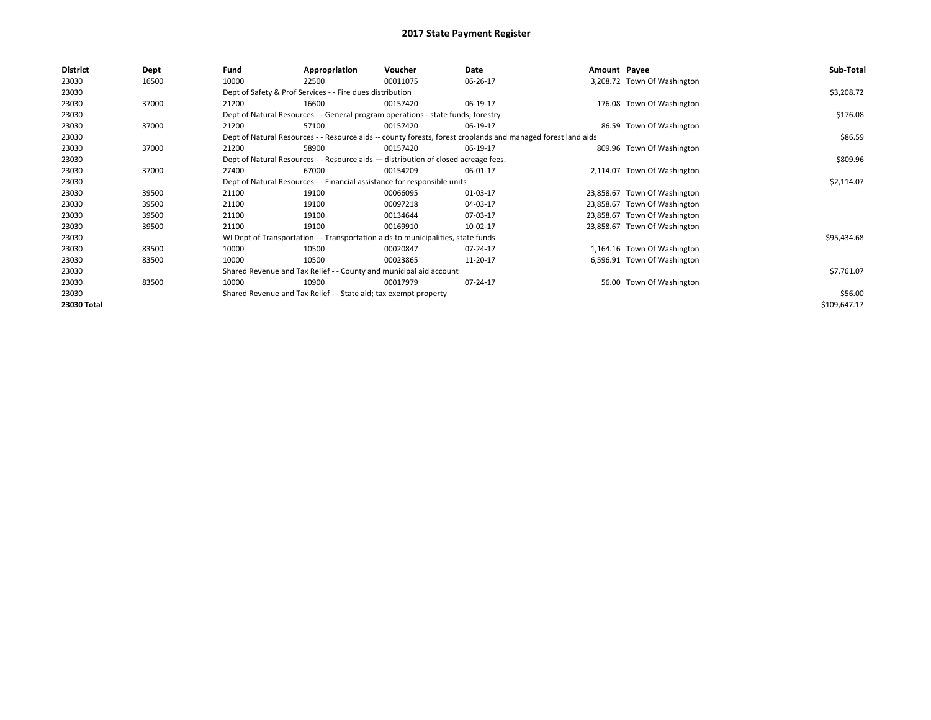| <b>District</b> | Dept  | Fund  | Appropriation                                                                                                | Voucher  | Date     | Amount Payee |                              | Sub-Total    |  |  |  |
|-----------------|-------|-------|--------------------------------------------------------------------------------------------------------------|----------|----------|--------------|------------------------------|--------------|--|--|--|
| 23030           | 16500 | 10000 | 22500                                                                                                        | 00011075 | 06-26-17 |              | 3,208.72 Town Of Washington  |              |  |  |  |
| 23030           |       |       | Dept of Safety & Prof Services - - Fire dues distribution                                                    |          |          |              |                              | \$3,208.72   |  |  |  |
| 23030           | 37000 | 21200 | 16600                                                                                                        | 00157420 | 06-19-17 |              | 176.08 Town Of Washington    |              |  |  |  |
| 23030           |       |       | Dept of Natural Resources - - General program operations - state funds; forestry                             |          |          |              |                              | \$176.08     |  |  |  |
| 23030           | 37000 | 21200 | 57100                                                                                                        | 00157420 | 06-19-17 |              | 86.59 Town Of Washington     |              |  |  |  |
| 23030           |       |       | Dept of Natural Resources - - Resource aids -- county forests, forest croplands and managed forest land aids |          |          |              |                              |              |  |  |  |
| 23030           | 37000 | 21200 | 58900                                                                                                        | 00157420 | 06-19-17 |              | 809.96 Town Of Washington    |              |  |  |  |
| 23030           |       |       | Dept of Natural Resources - - Resource aids - distribution of closed acreage fees.                           |          |          |              |                              | \$809.96     |  |  |  |
| 23030           | 37000 | 27400 | 67000                                                                                                        | 00154209 | 06-01-17 |              | 2,114.07 Town Of Washington  |              |  |  |  |
| 23030           |       |       | Dept of Natural Resources - - Financial assistance for responsible units                                     |          |          |              |                              |              |  |  |  |
| 23030           | 39500 | 21100 | 19100                                                                                                        | 00066095 | 01-03-17 |              | 23,858.67 Town Of Washington |              |  |  |  |
| 23030           | 39500 | 21100 | 19100                                                                                                        | 00097218 | 04-03-17 |              | 23,858.67 Town Of Washington |              |  |  |  |
| 23030           | 39500 | 21100 | 19100                                                                                                        | 00134644 | 07-03-17 |              | 23,858.67 Town Of Washington |              |  |  |  |
| 23030           | 39500 | 21100 | 19100                                                                                                        | 00169910 | 10-02-17 |              | 23,858.67 Town Of Washington |              |  |  |  |
| 23030           |       |       | WI Dept of Transportation - - Transportation aids to municipalities, state funds                             |          |          |              |                              | \$95,434.68  |  |  |  |
| 23030           | 83500 | 10000 | 10500                                                                                                        | 00020847 | 07-24-17 |              | 1,164.16 Town Of Washington  |              |  |  |  |
| 23030           | 83500 | 10000 | 10500                                                                                                        | 00023865 | 11-20-17 |              | 6,596.91 Town Of Washington  |              |  |  |  |
| 23030           |       |       | Shared Revenue and Tax Relief - - County and municipal aid account                                           |          |          |              |                              | \$7,761.07   |  |  |  |
| 23030           | 83500 | 10000 | 10900                                                                                                        | 00017979 | 07-24-17 |              | 56.00 Town Of Washington     |              |  |  |  |
| 23030           |       |       | Shared Revenue and Tax Relief - - State aid; tax exempt property                                             |          |          |              |                              | \$56.00      |  |  |  |
| 23030 Total     |       |       |                                                                                                              |          |          |              |                              | \$109,647.17 |  |  |  |
|                 |       |       |                                                                                                              |          |          |              |                              |              |  |  |  |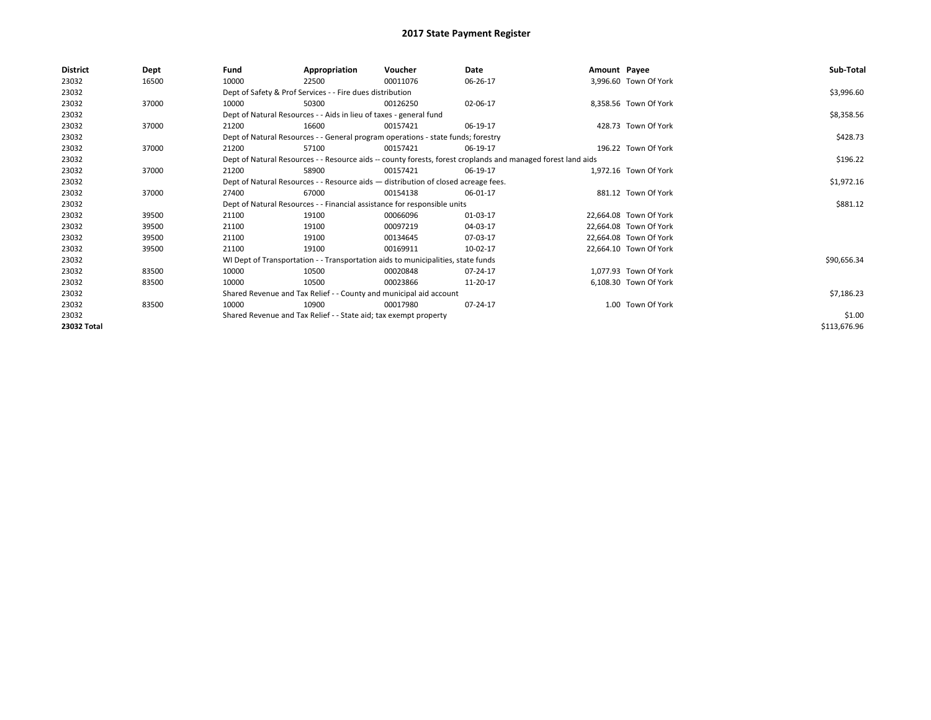| <b>District</b> | <b>Dept</b> | Fund                                                                     | Appropriation                                                                      | Voucher  | Date                                                                                                         | Amount Payee |                        | Sub-Total    |  |  |  |
|-----------------|-------------|--------------------------------------------------------------------------|------------------------------------------------------------------------------------|----------|--------------------------------------------------------------------------------------------------------------|--------------|------------------------|--------------|--|--|--|
| 23032           | 16500       | 10000                                                                    | 22500                                                                              | 00011076 | 06-26-17                                                                                                     |              | 3,996.60 Town Of York  |              |  |  |  |
| 23032           |             |                                                                          | Dept of Safety & Prof Services - - Fire dues distribution                          |          |                                                                                                              |              |                        | \$3,996.60   |  |  |  |
| 23032           | 37000       | 10000                                                                    | 50300                                                                              | 00126250 | 02-06-17                                                                                                     |              | 8,358.56 Town Of York  |              |  |  |  |
| 23032           |             |                                                                          | Dept of Natural Resources - - Aids in lieu of taxes - general fund                 |          | \$8,358.56                                                                                                   |              |                        |              |  |  |  |
| 23032           | 37000       | 21200                                                                    | 16600                                                                              | 00157421 | 06-19-17                                                                                                     |              | 428.73 Town Of York    |              |  |  |  |
| 23032           |             |                                                                          | Dept of Natural Resources - - General program operations - state funds; forestry   |          |                                                                                                              |              |                        |              |  |  |  |
| 23032           | 37000       | 21200                                                                    | 57100                                                                              | 00157421 | 06-19-17                                                                                                     |              | 196.22 Town Of York    |              |  |  |  |
| 23032           |             |                                                                          |                                                                                    |          | Dept of Natural Resources - - Resource aids -- county forests, forest croplands and managed forest land aids |              |                        | \$196.22     |  |  |  |
| 23032           | 37000       | 21200                                                                    | 58900                                                                              | 00157421 | 06-19-17                                                                                                     |              | 1.972.16 Town Of York  |              |  |  |  |
| 23032           |             |                                                                          | Dept of Natural Resources - - Resource aids - distribution of closed acreage fees. |          | \$1,972.16                                                                                                   |              |                        |              |  |  |  |
| 23032           | 37000       | 27400                                                                    | 67000                                                                              | 00154138 | 06-01-17                                                                                                     |              | 881.12 Town Of York    |              |  |  |  |
| 23032           |             | Dept of Natural Resources - - Financial assistance for responsible units |                                                                                    | \$881.12 |                                                                                                              |              |                        |              |  |  |  |
| 23032           | 39500       | 21100                                                                    | 19100                                                                              | 00066096 | 01-03-17                                                                                                     |              | 22,664.08 Town Of York |              |  |  |  |
| 23032           | 39500       | 21100                                                                    | 19100                                                                              | 00097219 | 04-03-17                                                                                                     |              | 22,664.08 Town Of York |              |  |  |  |
| 23032           | 39500       | 21100                                                                    | 19100                                                                              | 00134645 | 07-03-17                                                                                                     |              | 22,664.08 Town Of York |              |  |  |  |
| 23032           | 39500       | 21100                                                                    | 19100                                                                              | 00169911 | 10-02-17                                                                                                     |              | 22,664.10 Town Of York |              |  |  |  |
| 23032           |             |                                                                          | WI Dept of Transportation - - Transportation aids to municipalities, state funds   |          |                                                                                                              |              |                        | \$90,656.34  |  |  |  |
| 23032           | 83500       | 10000                                                                    | 10500                                                                              | 00020848 | 07-24-17                                                                                                     |              | 1.077.93 Town Of York  |              |  |  |  |
| 23032           | 83500       | 10000                                                                    | 10500                                                                              | 00023866 | 11-20-17                                                                                                     |              | 6.108.30 Town Of York  |              |  |  |  |
| 23032           |             |                                                                          | Shared Revenue and Tax Relief - - County and municipal aid account                 |          |                                                                                                              |              |                        | \$7,186.23   |  |  |  |
| 23032           | 83500       | 10000                                                                    | 10900                                                                              | 00017980 | 07-24-17                                                                                                     |              | 1.00 Town Of York      |              |  |  |  |
| 23032           |             |                                                                          | Shared Revenue and Tax Relief - - State aid; tax exempt property                   |          |                                                                                                              |              |                        | \$1.00       |  |  |  |
| 23032 Total     |             |                                                                          |                                                                                    |          |                                                                                                              |              |                        | \$113,676.96 |  |  |  |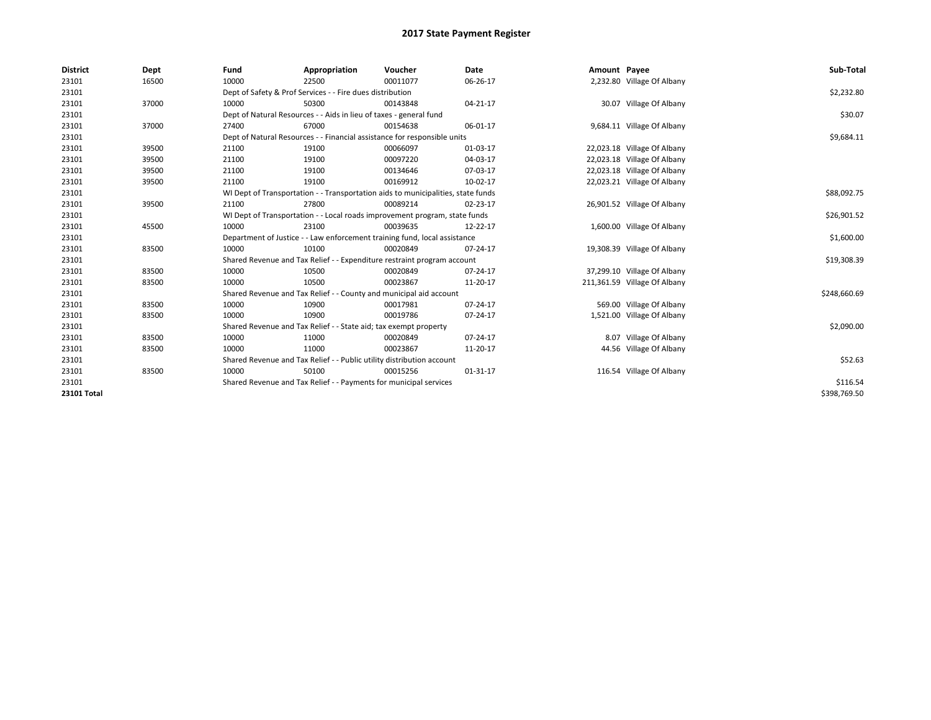| <b>District</b>    | Dept  | Fund                                                                       | Appropriation                                                      | Voucher                                                                          | Date           | Amount Payee |                              | Sub-Total    |
|--------------------|-------|----------------------------------------------------------------------------|--------------------------------------------------------------------|----------------------------------------------------------------------------------|----------------|--------------|------------------------------|--------------|
| 23101              | 16500 | 10000                                                                      | 22500                                                              | 00011077                                                                         | 06-26-17       |              | 2,232.80 Village Of Albany   |              |
| 23101              |       |                                                                            | Dept of Safety & Prof Services - - Fire dues distribution          |                                                                                  |                |              |                              | \$2,232.80   |
| 23101              | 37000 | 10000                                                                      | 50300                                                              | 00143848                                                                         | 04-21-17       |              | 30.07 Village Of Albany      |              |
| 23101              |       |                                                                            | Dept of Natural Resources - - Aids in lieu of taxes - general fund |                                                                                  |                |              |                              | \$30.07      |
| 23101              | 37000 | 27400                                                                      | 67000                                                              | 00154638                                                                         | 06-01-17       |              | 9,684.11 Village Of Albany   |              |
| 23101              |       | Dept of Natural Resources - - Financial assistance for responsible units   |                                                                    | \$9,684.11                                                                       |                |              |                              |              |
| 23101              | 39500 | 21100                                                                      | 19100                                                              | 00066097                                                                         | 01-03-17       |              | 22,023.18 Village Of Albany  |              |
| 23101              | 39500 | 21100                                                                      | 19100                                                              | 00097220                                                                         | 04-03-17       |              | 22,023.18 Village Of Albany  |              |
| 23101              | 39500 | 21100                                                                      | 19100                                                              | 00134646                                                                         | 07-03-17       |              | 22,023.18 Village Of Albany  |              |
| 23101              | 39500 | 21100                                                                      | 19100                                                              | 00169912                                                                         | 10-02-17       |              | 22,023.21 Village Of Albany  |              |
| 23101              |       |                                                                            |                                                                    | WI Dept of Transportation - - Transportation aids to municipalities, state funds |                |              |                              | \$88,092.75  |
| 23101              | 39500 | 21100                                                                      | 27800                                                              | 00089214                                                                         | 02-23-17       |              | 26,901.52 Village Of Albany  |              |
| 23101              |       | WI Dept of Transportation - - Local roads improvement program, state funds |                                                                    | \$26,901.52                                                                      |                |              |                              |              |
| 23101              | 45500 | 10000                                                                      | 23100                                                              | 00039635                                                                         | 12-22-17       |              | 1,600.00 Village Of Albany   |              |
| 23101              |       | Department of Justice - - Law enforcement training fund, local assistance  |                                                                    | \$1,600.00                                                                       |                |              |                              |              |
| 23101              | 83500 | 10000                                                                      | 10100                                                              | 00020849                                                                         | 07-24-17       |              | 19,308.39 Village Of Albany  |              |
| 23101              |       |                                                                            |                                                                    | Shared Revenue and Tax Relief - - Expenditure restraint program account          |                |              |                              | \$19,308.39  |
| 23101              | 83500 | 10000                                                                      | 10500                                                              | 00020849                                                                         | 07-24-17       |              | 37,299.10 Village Of Albany  |              |
| 23101              | 83500 | 10000                                                                      | 10500                                                              | 00023867                                                                         | 11-20-17       |              | 211,361.59 Village Of Albany |              |
| 23101              |       |                                                                            |                                                                    | Shared Revenue and Tax Relief - - County and municipal aid account               |                |              |                              | \$248,660.69 |
| 23101              | 83500 | 10000                                                                      | 10900                                                              | 00017981                                                                         | $07 - 24 - 17$ |              | 569.00 Village Of Albany     |              |
| 23101              | 83500 | 10000                                                                      | 10900                                                              | 00019786                                                                         | 07-24-17       |              | 1,521.00 Village Of Albany   |              |
| 23101              |       |                                                                            | Shared Revenue and Tax Relief - - State aid; tax exempt property   |                                                                                  |                |              |                              | \$2,090.00   |
| 23101              | 83500 | 10000                                                                      | 11000                                                              | 00020849                                                                         | 07-24-17       |              | 8.07 Village Of Albany       |              |
| 23101              | 83500 | 10000                                                                      | 11000                                                              | 00023867                                                                         | 11-20-17       |              | 44.56 Village Of Albany      |              |
| 23101              |       | Shared Revenue and Tax Relief - - Public utility distribution account      |                                                                    | \$52.63                                                                          |                |              |                              |              |
| 23101              | 83500 | 10000                                                                      | 50100                                                              | 00015256                                                                         | 01-31-17       |              | 116.54 Village Of Albany     |              |
| 23101              |       | Shared Revenue and Tax Relief - - Payments for municipal services          |                                                                    | \$116.54                                                                         |                |              |                              |              |
| <b>23101 Total</b> |       |                                                                            |                                                                    |                                                                                  |                |              |                              | \$398,769.50 |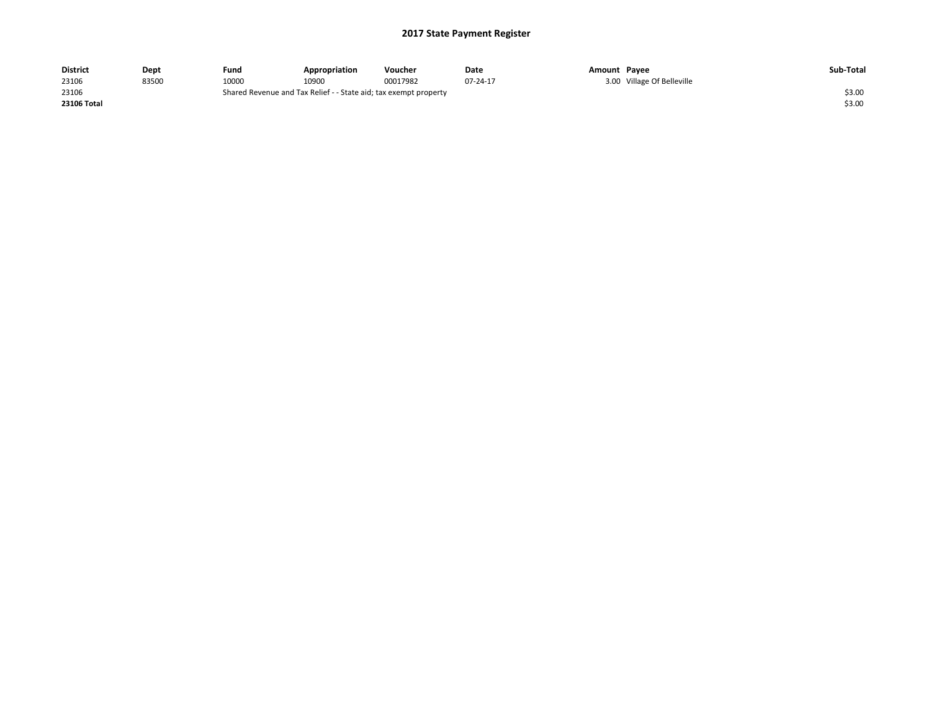| <b>District</b> | Dept  | Fund  | Appropriation                                                    | Voucher  | Date     | Amount Pavee |                            | Sub-Total |
|-----------------|-------|-------|------------------------------------------------------------------|----------|----------|--------------|----------------------------|-----------|
| 23106           | 83500 | 10000 | 10900                                                            | 00017982 | 07-24-17 |              | 3.00 Village Of Belleville |           |
| 23106           |       |       | Shared Revenue and Tax Relief - - State aid; tax exempt property |          |          |              |                            | \$3.00    |
| 23106 Total     |       |       |                                                                  |          |          |              |                            | \$3.00    |
|                 |       |       |                                                                  |          |          |              |                            |           |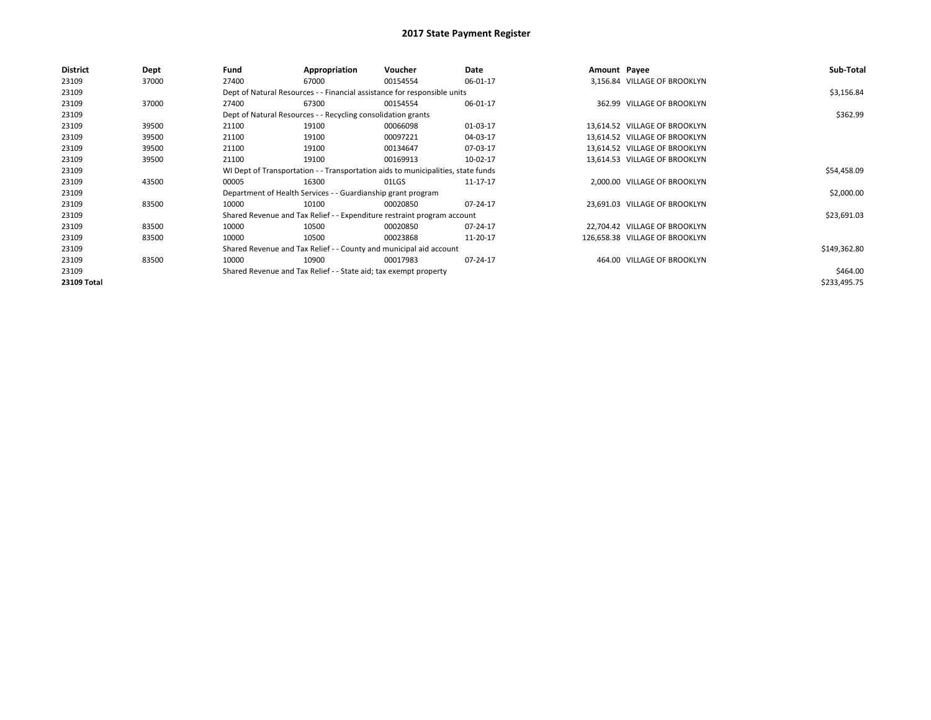| <b>District</b> | <b>Dept</b> | Fund                                                                             | Appropriation                                                            | Voucher     | Date     | Amount Payee |                                | Sub-Total    |  |  |  |
|-----------------|-------------|----------------------------------------------------------------------------------|--------------------------------------------------------------------------|-------------|----------|--------------|--------------------------------|--------------|--|--|--|
| 23109           | 37000       | 27400                                                                            | 67000                                                                    | 00154554    | 06-01-17 |              | 3,156.84 VILLAGE OF BROOKLYN   |              |  |  |  |
| 23109           |             |                                                                                  | Dept of Natural Resources - - Financial assistance for responsible units |             |          |              |                                | \$3,156.84   |  |  |  |
| 23109           | 37000       | 27400                                                                            | 67300                                                                    | 00154554    | 06-01-17 |              | 362.99 VILLAGE OF BROOKLYN     |              |  |  |  |
| 23109           |             |                                                                                  | Dept of Natural Resources - - Recycling consolidation grants             |             |          |              |                                |              |  |  |  |
| 23109           | 39500       | 21100                                                                            | 19100                                                                    | 00066098    | 01-03-17 |              | 13,614.52 VILLAGE OF BROOKLYN  |              |  |  |  |
| 23109           | 39500       | 21100                                                                            | 19100                                                                    | 00097221    | 04-03-17 |              | 13,614.52 VILLAGE OF BROOKLYN  |              |  |  |  |
| 23109           | 39500       | 21100                                                                            | 19100                                                                    | 00134647    | 07-03-17 |              | 13.614.52 VILLAGE OF BROOKLYN  |              |  |  |  |
| 23109           | 39500       | 21100                                                                            | 19100                                                                    | 00169913    | 10-02-17 |              | 13,614.53 VILLAGE OF BROOKLYN  |              |  |  |  |
| 23109           |             | WI Dept of Transportation - - Transportation aids to municipalities, state funds |                                                                          | \$54,458.09 |          |              |                                |              |  |  |  |
| 23109           | 43500       | 00005                                                                            | 16300                                                                    | 01LGS       | 11-17-17 |              | 2,000.00 VILLAGE OF BROOKLYN   |              |  |  |  |
| 23109           |             |                                                                                  | Department of Health Services - - Guardianship grant program             |             |          |              |                                | \$2,000.00   |  |  |  |
| 23109           | 83500       | 10000                                                                            | 10100                                                                    | 00020850    | 07-24-17 |              | 23,691.03 VILLAGE OF BROOKLYN  |              |  |  |  |
| 23109           |             |                                                                                  | Shared Revenue and Tax Relief - - Expenditure restraint program account  |             |          |              |                                | \$23,691.03  |  |  |  |
| 23109           | 83500       | 10000                                                                            | 10500                                                                    | 00020850    | 07-24-17 |              | 22,704.42 VILLAGE OF BROOKLYN  |              |  |  |  |
| 23109           | 83500       | 10000                                                                            | 10500                                                                    | 00023868    | 11-20-17 |              | 126,658.38 VILLAGE OF BROOKLYN |              |  |  |  |
| 23109           |             |                                                                                  | Shared Revenue and Tax Relief - - County and municipal aid account       |             |          |              |                                | \$149,362.80 |  |  |  |
| 23109           | 83500       | 10000                                                                            | 10900                                                                    | 00017983    | 07-24-17 |              | 464.00 VILLAGE OF BROOKLYN     |              |  |  |  |
| 23109           |             | Shared Revenue and Tax Relief - - State aid; tax exempt property                 |                                                                          | \$464.00    |          |              |                                |              |  |  |  |
| 23109 Total     |             |                                                                                  |                                                                          |             |          |              |                                | \$233,495.75 |  |  |  |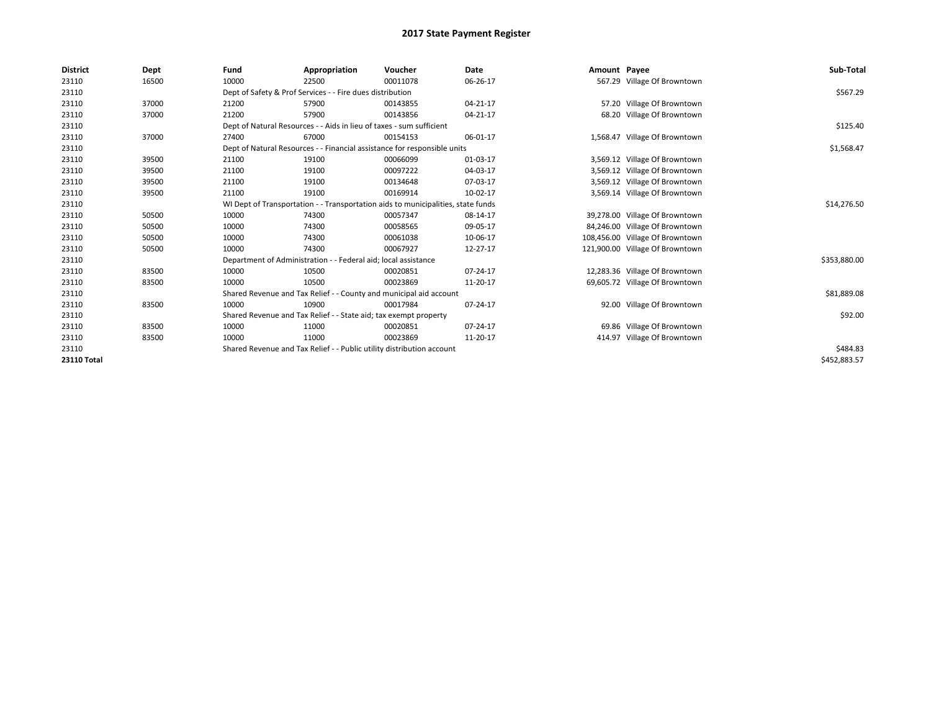| <b>District</b> | Dept  | Fund  | Appropriation                                                                    | Voucher  | Date        | Amount Payee |                                 | Sub-Total    |  |  |
|-----------------|-------|-------|----------------------------------------------------------------------------------|----------|-------------|--------------|---------------------------------|--------------|--|--|
| 23110           | 16500 | 10000 | 22500                                                                            | 00011078 | 06-26-17    |              | 567.29 Village Of Browntown     |              |  |  |
| 23110           |       |       | Dept of Safety & Prof Services - - Fire dues distribution                        |          |             |              |                                 | \$567.29     |  |  |
| 23110           | 37000 | 21200 | 57900                                                                            | 00143855 | 04-21-17    |              | 57.20 Village Of Browntown      |              |  |  |
| 23110           | 37000 | 21200 | 57900                                                                            | 00143856 | 04-21-17    |              | 68.20 Village Of Browntown      |              |  |  |
| 23110           |       |       | Dept of Natural Resources - - Aids in lieu of taxes - sum sufficient             |          |             |              |                                 |              |  |  |
| 23110           | 37000 | 27400 | 67000                                                                            | 00154153 | 06-01-17    |              | 1,568.47 Village Of Browntown   |              |  |  |
| 23110           |       |       | Dept of Natural Resources - - Financial assistance for responsible units         |          |             |              |                                 | \$1,568.47   |  |  |
| 23110           | 39500 | 21100 | 19100                                                                            | 00066099 | 01-03-17    |              | 3,569.12 Village Of Browntown   |              |  |  |
| 23110           | 39500 | 21100 | 19100                                                                            | 00097222 | 04-03-17    |              | 3,569.12 Village Of Browntown   |              |  |  |
| 23110           | 39500 | 21100 | 19100                                                                            | 00134648 | 07-03-17    |              | 3,569.12 Village Of Browntown   |              |  |  |
| 23110           | 39500 | 21100 | 19100                                                                            | 00169914 | 10-02-17    |              | 3,569.14 Village Of Browntown   |              |  |  |
| 23110           |       |       | WI Dept of Transportation - - Transportation aids to municipalities, state funds |          | \$14,276.50 |              |                                 |              |  |  |
| 23110           | 50500 | 10000 | 74300                                                                            | 00057347 | 08-14-17    |              | 39,278.00 Village Of Browntown  |              |  |  |
| 23110           | 50500 | 10000 | 74300                                                                            | 00058565 | 09-05-17    |              | 84,246.00 Village Of Browntown  |              |  |  |
| 23110           | 50500 | 10000 | 74300                                                                            | 00061038 | 10-06-17    |              | 108,456.00 Village Of Browntown |              |  |  |
| 23110           | 50500 | 10000 | 74300                                                                            | 00067927 | 12-27-17    |              | 121,900.00 Village Of Browntown |              |  |  |
| 23110           |       |       | Department of Administration - - Federal aid; local assistance                   |          |             |              |                                 | \$353,880.00 |  |  |
| 23110           | 83500 | 10000 | 10500                                                                            | 00020851 | 07-24-17    |              | 12,283.36 Village Of Browntown  |              |  |  |
| 23110           | 83500 | 10000 | 10500                                                                            | 00023869 | 11-20-17    |              | 69,605.72 Village Of Browntown  |              |  |  |
| 23110           |       |       | Shared Revenue and Tax Relief - - County and municipal aid account               |          |             |              |                                 | \$81,889.08  |  |  |
| 23110           | 83500 | 10000 | 10900                                                                            | 00017984 | 07-24-17    |              | 92.00 Village Of Browntown      |              |  |  |
| 23110           |       |       | Shared Revenue and Tax Relief - - State aid; tax exempt property                 |          |             |              |                                 | \$92.00      |  |  |
| 23110           | 83500 | 10000 | 11000                                                                            | 00020851 | 07-24-17    |              | 69.86 Village Of Browntown      |              |  |  |
| 23110           | 83500 | 10000 | 11000                                                                            | 00023869 | 11-20-17    |              | 414.97 Village Of Browntown     |              |  |  |
| 23110           |       |       | Shared Revenue and Tax Relief - - Public utility distribution account            |          |             |              |                                 |              |  |  |
| 23110 Total     |       |       |                                                                                  |          |             |              |                                 | \$452,883.57 |  |  |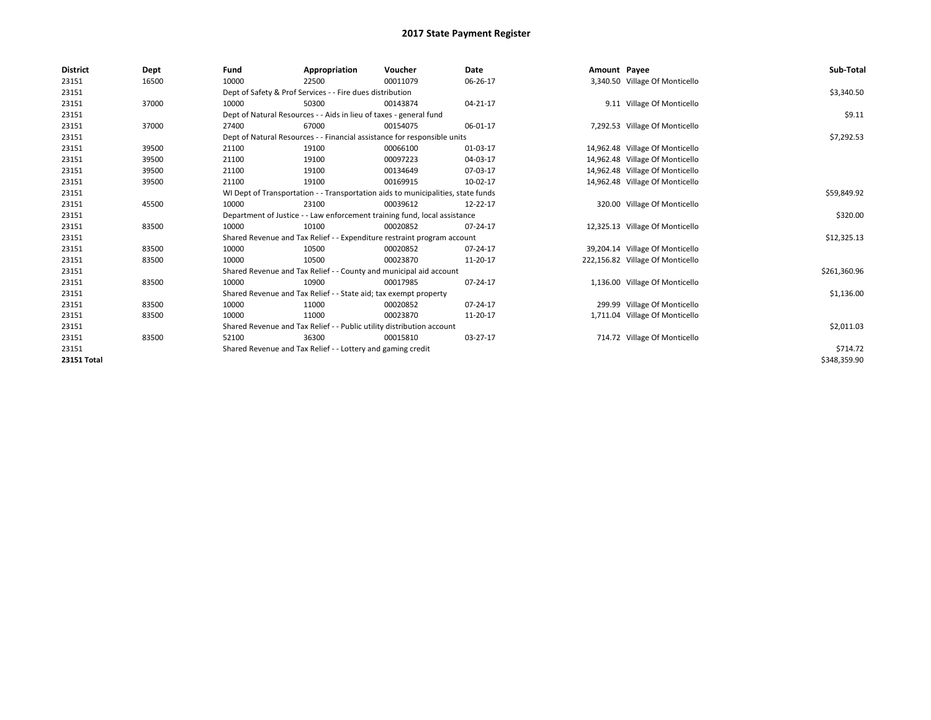| <b>District</b> | Dept  | Fund                                                                      | Appropriation                                                      | Voucher                                                                          | <b>Date</b> | Amount Payee |                                  | Sub-Total    |
|-----------------|-------|---------------------------------------------------------------------------|--------------------------------------------------------------------|----------------------------------------------------------------------------------|-------------|--------------|----------------------------------|--------------|
| 23151           | 16500 | 10000                                                                     | 22500                                                              | 00011079                                                                         | 06-26-17    |              | 3,340.50 Village Of Monticello   |              |
| 23151           |       | Dept of Safety & Prof Services - - Fire dues distribution                 |                                                                    | \$3,340.50                                                                       |             |              |                                  |              |
| 23151           | 37000 | 10000                                                                     | 50300                                                              | 00143874                                                                         | 04-21-17    |              | 9.11 Village Of Monticello       |              |
| 23151           |       |                                                                           | Dept of Natural Resources - - Aids in lieu of taxes - general fund |                                                                                  |             |              |                                  | \$9.11       |
| 23151           | 37000 | 27400                                                                     | 67000                                                              | 00154075                                                                         | 06-01-17    |              | 7,292.53 Village Of Monticello   |              |
| 23151           |       |                                                                           |                                                                    | Dept of Natural Resources - - Financial assistance for responsible units         |             |              |                                  | \$7,292.53   |
| 23151           | 39500 | 21100                                                                     | 19100                                                              | 00066100                                                                         | 01-03-17    |              | 14,962.48 Village Of Monticello  |              |
| 23151           | 39500 | 21100                                                                     | 19100                                                              | 00097223                                                                         | 04-03-17    |              | 14,962.48 Village Of Monticello  |              |
| 23151           | 39500 | 21100                                                                     | 19100                                                              | 00134649                                                                         | 07-03-17    |              | 14,962.48 Village Of Monticello  |              |
| 23151           | 39500 | 21100                                                                     | 19100                                                              | 00169915                                                                         | 10-02-17    |              | 14,962.48 Village Of Monticello  |              |
| 23151           |       |                                                                           |                                                                    | WI Dept of Transportation - - Transportation aids to municipalities, state funds |             |              |                                  | \$59,849.92  |
| 23151           | 45500 | 10000                                                                     | 23100                                                              | 00039612                                                                         | 12-22-17    |              | 320.00 Village Of Monticello     |              |
| 23151           |       | Department of Justice - - Law enforcement training fund, local assistance |                                                                    | \$320.00                                                                         |             |              |                                  |              |
| 23151           | 83500 | 10000                                                                     | 10100                                                              | 00020852                                                                         | 07-24-17    |              | 12,325.13 Village Of Monticello  |              |
| 23151           |       |                                                                           |                                                                    | Shared Revenue and Tax Relief - - Expenditure restraint program account          |             |              |                                  | \$12,325.13  |
| 23151           | 83500 | 10000                                                                     | 10500                                                              | 00020852                                                                         | 07-24-17    |              | 39,204.14 Village Of Monticello  |              |
| 23151           | 83500 | 10000                                                                     | 10500                                                              | 00023870                                                                         | 11-20-17    |              | 222,156.82 Village Of Monticello |              |
| 23151           |       |                                                                           |                                                                    | Shared Revenue and Tax Relief - - County and municipal aid account               |             |              |                                  | \$261,360.96 |
| 23151           | 83500 | 10000                                                                     | 10900                                                              | 00017985                                                                         | 07-24-17    |              | 1,136.00 Village Of Monticello   |              |
| 23151           |       |                                                                           | Shared Revenue and Tax Relief - - State aid; tax exempt property   |                                                                                  |             |              |                                  | \$1,136.00   |
| 23151           | 83500 | 10000                                                                     | 11000                                                              | 00020852                                                                         | 07-24-17    |              | 299.99 Village Of Monticello     |              |
| 23151           | 83500 | 10000                                                                     | 11000                                                              | 00023870                                                                         | 11-20-17    |              | 1,711.04 Village Of Monticello   |              |
| 23151           |       |                                                                           |                                                                    | Shared Revenue and Tax Relief - - Public utility distribution account            |             |              |                                  | \$2,011.03   |
| 23151           | 83500 | 52100                                                                     | 36300                                                              | 00015810                                                                         | 03-27-17    |              | 714.72 Village Of Monticello     |              |
| 23151           |       |                                                                           | Shared Revenue and Tax Relief - - Lottery and gaming credit        |                                                                                  |             |              |                                  | \$714.72     |
| 23151 Total     |       |                                                                           |                                                                    |                                                                                  |             |              |                                  | \$348,359.90 |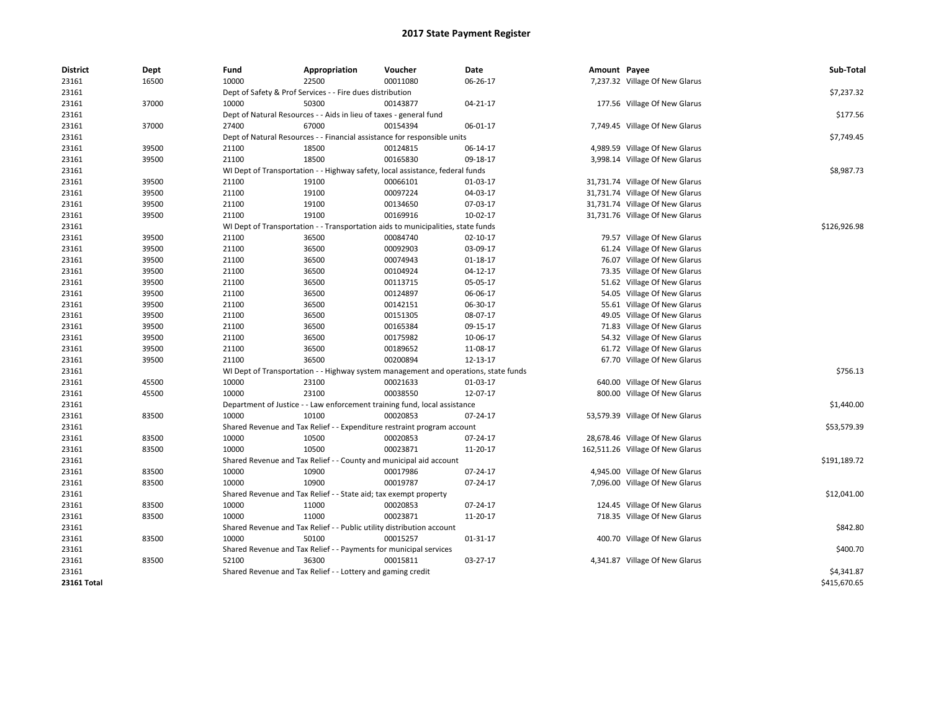| <b>District</b> | Dept  | Fund  | Appropriation                                                                       | Voucher  | Date           | Amount Payee |                                  | Sub-Total    |  |  |
|-----------------|-------|-------|-------------------------------------------------------------------------------------|----------|----------------|--------------|----------------------------------|--------------|--|--|
| 23161           | 16500 | 10000 | 22500                                                                               | 00011080 | 06-26-17       |              | 7,237.32 Village Of New Glarus   |              |  |  |
| 23161           |       |       | Dept of Safety & Prof Services - - Fire dues distribution                           |          |                |              |                                  |              |  |  |
| 23161           | 37000 | 10000 | 50300                                                                               | 00143877 | $04 - 21 - 17$ |              | 177.56 Village Of New Glarus     |              |  |  |
| 23161           |       |       | Dept of Natural Resources - - Aids in lieu of taxes - general fund                  |          |                |              |                                  |              |  |  |
| 23161           | 37000 | 27400 | 67000                                                                               | 00154394 | 06-01-17       |              | 7,749.45 Village Of New Glarus   |              |  |  |
| 23161           |       |       | Dept of Natural Resources - - Financial assistance for responsible units            |          |                |              |                                  | \$7,749.45   |  |  |
| 23161           | 39500 | 21100 | 18500                                                                               | 00124815 | 06-14-17       |              | 4,989.59 Village Of New Glarus   |              |  |  |
| 23161           | 39500 | 21100 | 18500                                                                               | 00165830 | 09-18-17       |              | 3,998.14 Village Of New Glarus   |              |  |  |
| 23161           |       |       | WI Dept of Transportation - - Highway safety, local assistance, federal funds       |          |                |              |                                  |              |  |  |
| 23161           | 39500 | 21100 | 19100                                                                               | 00066101 | 01-03-17       |              | 31,731.74 Village Of New Glarus  |              |  |  |
| 23161           | 39500 | 21100 | 19100                                                                               | 00097224 | 04-03-17       |              | 31,731.74 Village Of New Glarus  |              |  |  |
| 23161           | 39500 | 21100 | 19100                                                                               | 00134650 | 07-03-17       |              | 31,731.74 Village Of New Glarus  |              |  |  |
| 23161           | 39500 | 21100 | 19100                                                                               | 00169916 | 10-02-17       |              | 31,731.76 Village Of New Glarus  |              |  |  |
| 23161           |       |       | WI Dept of Transportation - - Transportation aids to municipalities, state funds    |          |                |              |                                  | \$126,926.98 |  |  |
| 23161           | 39500 | 21100 | 36500                                                                               | 00084740 | $02 - 10 - 17$ |              | 79.57 Village Of New Glarus      |              |  |  |
| 23161           | 39500 | 21100 | 36500                                                                               | 00092903 | 03-09-17       |              | 61.24 Village Of New Glarus      |              |  |  |
| 23161           | 39500 | 21100 | 36500                                                                               | 00074943 | 01-18-17       |              | 76.07 Village Of New Glarus      |              |  |  |
| 23161           | 39500 | 21100 | 36500                                                                               | 00104924 | 04-12-17       |              | 73.35 Village Of New Glarus      |              |  |  |
| 23161           | 39500 | 21100 | 36500                                                                               | 00113715 | 05-05-17       |              | 51.62 Village Of New Glarus      |              |  |  |
| 23161           | 39500 | 21100 | 36500                                                                               | 00124897 | 06-06-17       |              | 54.05 Village Of New Glarus      |              |  |  |
| 23161           | 39500 | 21100 | 36500                                                                               | 00142151 | 06-30-17       |              | 55.61 Village Of New Glarus      |              |  |  |
| 23161           | 39500 | 21100 | 36500                                                                               | 00151305 | 08-07-17       |              | 49.05 Village Of New Glarus      |              |  |  |
| 23161           | 39500 | 21100 | 36500                                                                               | 00165384 | 09-15-17       |              | 71.83 Village Of New Glarus      |              |  |  |
| 23161           | 39500 | 21100 | 36500                                                                               | 00175982 | 10-06-17       |              | 54.32 Village Of New Glarus      |              |  |  |
| 23161           | 39500 | 21100 | 36500                                                                               | 00189652 | 11-08-17       |              | 61.72 Village Of New Glarus      |              |  |  |
| 23161           | 39500 | 21100 | 36500                                                                               | 00200894 | 12-13-17       |              | 67.70 Village Of New Glarus      |              |  |  |
| 23161           |       |       | WI Dept of Transportation - - Highway system management and operations, state funds |          |                |              |                                  | \$756.13     |  |  |
| 23161           | 45500 | 10000 | 23100                                                                               | 00021633 | 01-03-17       |              | 640.00 Village Of New Glarus     |              |  |  |
| 23161           | 45500 | 10000 | 23100                                                                               | 00038550 | 12-07-17       |              | 800.00 Village Of New Glarus     |              |  |  |
| 23161           |       |       | Department of Justice - - Law enforcement training fund, local assistance           |          |                |              |                                  | \$1,440.00   |  |  |
| 23161           | 83500 | 10000 | 10100                                                                               | 00020853 | 07-24-17       |              | 53,579.39 Village Of New Glarus  |              |  |  |
| 23161           |       |       | Shared Revenue and Tax Relief - - Expenditure restraint program account             |          |                |              |                                  | \$53,579.39  |  |  |
| 23161           | 83500 | 10000 | 10500                                                                               | 00020853 | 07-24-17       |              | 28,678.46 Village Of New Glarus  |              |  |  |
| 23161           | 83500 | 10000 | 10500                                                                               | 00023871 | 11-20-17       |              | 162,511.26 Village Of New Glarus |              |  |  |
| 23161           |       |       | Shared Revenue and Tax Relief - - County and municipal aid account                  |          |                |              |                                  | \$191,189.72 |  |  |
| 23161           | 83500 | 10000 | 10900                                                                               | 00017986 | 07-24-17       |              | 4,945.00 Village Of New Glarus   |              |  |  |
| 23161           | 83500 | 10000 | 10900                                                                               | 00019787 | 07-24-17       |              | 7,096.00 Village Of New Glarus   |              |  |  |
| 23161           |       |       | Shared Revenue and Tax Relief - - State aid; tax exempt property                    |          |                |              |                                  | \$12,041.00  |  |  |
| 23161           | 83500 | 10000 | 11000                                                                               | 00020853 | 07-24-17       |              | 124.45 Village Of New Glarus     |              |  |  |
| 23161           | 83500 | 10000 | 11000                                                                               | 00023871 | 11-20-17       |              | 718.35 Village Of New Glarus     |              |  |  |
| 23161           |       |       | Shared Revenue and Tax Relief - - Public utility distribution account               |          |                |              |                                  | \$842.80     |  |  |
| 23161           | 83500 | 10000 | 50100                                                                               | 00015257 | 01-31-17       |              | 400.70 Village Of New Glarus     |              |  |  |
| 23161           |       |       | Shared Revenue and Tax Relief - - Payments for municipal services                   |          |                |              |                                  | \$400.70     |  |  |
| 23161           | 83500 | 52100 | 36300                                                                               | 00015811 | 03-27-17       |              | 4,341.87 Village Of New Glarus   |              |  |  |
| 23161           |       |       | Shared Revenue and Tax Relief - - Lottery and gaming credit                         |          |                |              |                                  | \$4,341.87   |  |  |
| 23161 Total     |       |       |                                                                                     |          |                |              |                                  | \$415,670.65 |  |  |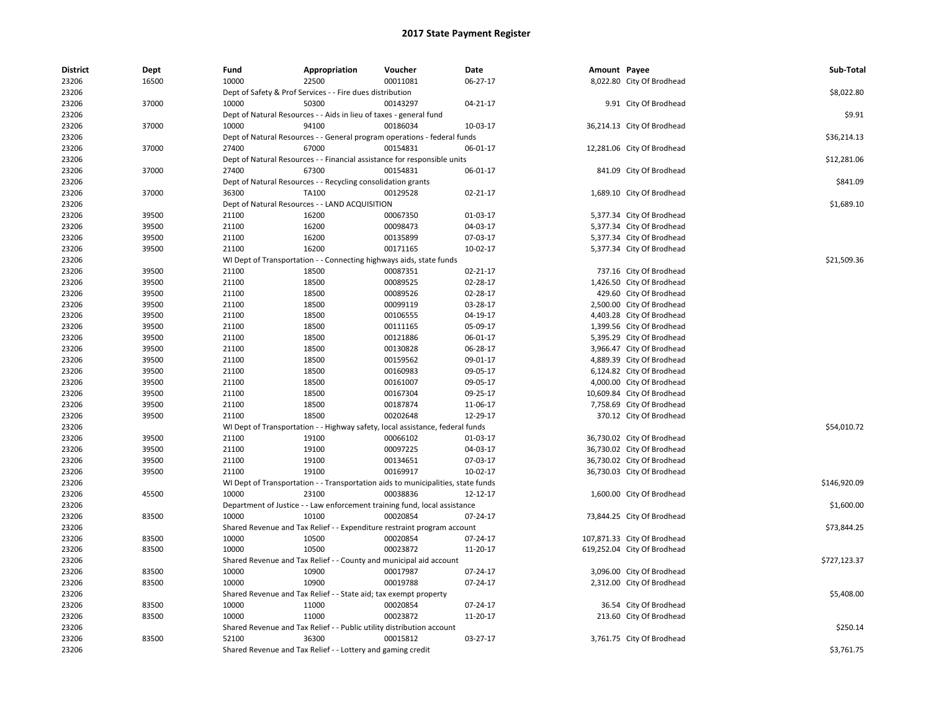| <b>District</b> | Dept  | Fund                                                               | Appropriation                                                                    | Voucher                            | Date     | Amount Payee |                             | Sub-Total    |
|-----------------|-------|--------------------------------------------------------------------|----------------------------------------------------------------------------------|------------------------------------|----------|--------------|-----------------------------|--------------|
| 23206           | 16500 | 10000                                                              | 22500                                                                            | 00011081                           | 06-27-17 |              | 8,022.80 City Of Brodhead   |              |
| 23206           |       | Dept of Safety & Prof Services - - Fire dues distribution          | \$8,022.80                                                                       |                                    |          |              |                             |              |
| 23206           | 37000 | 10000                                                              | 50300                                                                            | 00143297                           | 04-21-17 |              | 9.91 City Of Brodhead       |              |
| 23206           |       | Dept of Natural Resources - - Aids in lieu of taxes - general fund | \$9.91                                                                           |                                    |          |              |                             |              |
| 23206           | 37000 | 10000                                                              | 94100                                                                            | 00186034                           | 10-03-17 |              | 36,214.13 City Of Brodhead  |              |
| 23206           |       |                                                                    | Dept of Natural Resources - - General program operations - federal funds         |                                    |          |              |                             | \$36,214.13  |
| 23206           | 37000 | 27400                                                              | 67000                                                                            | 00154831                           | 06-01-17 |              | 12,281.06 City Of Brodhead  |              |
| 23206           |       |                                                                    | Dept of Natural Resources - - Financial assistance for responsible units         |                                    |          |              |                             | \$12,281.06  |
| 23206           | 37000 | 27400                                                              | 67300                                                                            | 00154831                           | 06-01-17 |              | 841.09 City Of Brodhead     |              |
| 23206           |       |                                                                    | Dept of Natural Resources - - Recycling consolidation grants                     |                                    |          |              |                             | \$841.09     |
| 23206           | 37000 | 36300                                                              | TA100                                                                            | 00129528                           | 02-21-17 |              | 1,689.10 City Of Brodhead   |              |
| 23206           |       |                                                                    | Dept of Natural Resources - - LAND ACQUISITION                                   |                                    |          |              |                             | \$1,689.10   |
| 23206           | 39500 | 21100                                                              | 16200                                                                            | 00067350                           | 01-03-17 |              | 5,377.34 City Of Brodhead   |              |
| 23206           | 39500 | 21100                                                              | 16200                                                                            | 00098473                           | 04-03-17 |              | 5,377.34 City Of Brodhead   |              |
| 23206           | 39500 | 21100                                                              | 16200                                                                            | 00135899                           | 07-03-17 |              | 5,377.34 City Of Brodhead   |              |
| 23206           | 39500 | 21100                                                              | 16200                                                                            | 00171165                           | 10-02-17 |              | 5,377.34 City Of Brodhead   |              |
| 23206           |       |                                                                    | WI Dept of Transportation - - Connecting highways aids, state funds              |                                    |          |              |                             | \$21,509.36  |
| 23206           | 39500 | 21100                                                              | 18500                                                                            | 00087351                           | 02-21-17 |              | 737.16 City Of Brodhead     |              |
| 23206           | 39500 | 21100                                                              | 18500                                                                            | 00089525                           | 02-28-17 |              | 1,426.50 City Of Brodhead   |              |
| 23206           | 39500 | 21100                                                              | 18500                                                                            | 00089526                           | 02-28-17 |              | 429.60 City Of Brodhead     |              |
| 23206           | 39500 | 21100                                                              | 18500                                                                            | 00099119                           | 03-28-17 |              | 2,500.00 City Of Brodhead   |              |
| 23206           | 39500 | 21100                                                              | 18500                                                                            | 00106555                           | 04-19-17 |              | 4,403.28 City Of Brodhead   |              |
| 23206           | 39500 | 21100                                                              | 18500                                                                            | 00111165                           | 05-09-17 |              | 1,399.56 City Of Brodhead   |              |
| 23206           | 39500 | 21100                                                              | 18500                                                                            | 00121886                           | 06-01-17 |              | 5,395.29 City Of Brodhead   |              |
| 23206           | 39500 | 21100                                                              | 18500                                                                            | 00130828                           | 06-28-17 |              | 3,966.47 City Of Brodhead   |              |
| 23206           | 39500 | 21100                                                              | 18500                                                                            | 00159562                           | 09-01-17 |              | 4,889.39 City Of Brodhead   |              |
| 23206           | 39500 | 21100                                                              | 18500                                                                            | 00160983                           | 09-05-17 |              | 6,124.82 City Of Brodhead   |              |
| 23206           | 39500 | 21100                                                              | 18500                                                                            | 00161007                           | 09-05-17 |              | 4,000.00 City Of Brodhead   |              |
| 23206           | 39500 | 21100                                                              | 18500                                                                            | 00167304                           | 09-25-17 |              | 10,609.84 City Of Brodhead  |              |
| 23206           | 39500 | 21100                                                              | 18500                                                                            | 00187874                           | 11-06-17 |              | 7,758.69 City Of Brodhead   |              |
| 23206           | 39500 | 21100                                                              | 18500                                                                            | 00202648                           | 12-29-17 |              | 370.12 City Of Brodhead     |              |
| 23206           |       |                                                                    | WI Dept of Transportation - - Highway safety, local assistance, federal funds    |                                    |          |              |                             | \$54,010.72  |
| 23206           | 39500 | 21100                                                              | 19100                                                                            | 00066102                           | 01-03-17 |              | 36,730.02 City Of Brodhead  |              |
| 23206           | 39500 | 21100                                                              | 19100                                                                            | 00097225                           | 04-03-17 |              | 36,730.02 City Of Brodhead  |              |
| 23206           | 39500 | 21100                                                              | 19100                                                                            | 00134651                           | 07-03-17 |              | 36,730.02 City Of Brodhead  |              |
| 23206           | 39500 | 21100                                                              | 19100                                                                            | 00169917                           | 10-02-17 |              | 36,730.03 City Of Brodhead  |              |
| 23206           |       |                                                                    | WI Dept of Transportation - - Transportation aids to municipalities, state funds |                                    |          |              |                             | \$146,920.09 |
| 23206           | 45500 | 10000                                                              | 23100                                                                            | 00038836                           | 12-12-17 |              | 1,600.00 City Of Brodhead   |              |
| 23206           |       |                                                                    | Department of Justice - - Law enforcement training fund, local assistance        |                                    |          |              |                             | \$1,600.00   |
| 23206           | 83500 | 10000                                                              | 10100                                                                            | 00020854                           | 07-24-17 |              | 73,844.25 City Of Brodhead  |              |
| 23206           |       |                                                                    | Shared Revenue and Tax Relief - - Expenditure restraint program account          |                                    |          |              |                             | \$73,844.25  |
| 23206           | 83500 | 10000                                                              | 10500                                                                            | 00020854                           | 07-24-17 |              | 107,871.33 City Of Brodhead |              |
| 23206           | 83500 | 10000                                                              | 10500                                                                            | 00023872                           | 11-20-17 |              | 619,252.04 City Of Brodhead |              |
| 23206           |       | Shared Revenue and Tax Relief                                      |                                                                                  | - County and municipal aid account |          |              |                             | \$727,123.37 |
| 23206           | 83500 | 10000                                                              | 10900                                                                            | 00017987                           | 07-24-17 |              | 3,096.00 City Of Brodhead   |              |
| 23206           | 83500 | 10000                                                              | 10900                                                                            | 00019788                           | 07-24-17 |              | 2,312.00 City Of Brodhead   |              |
| 23206           |       |                                                                    | Shared Revenue and Tax Relief - - State aid; tax exempt property                 |                                    |          |              |                             | \$5,408.00   |
| 23206           | 83500 | 10000                                                              | 11000                                                                            | 00020854                           | 07-24-17 |              | 36.54 City Of Brodhead      |              |
| 23206           | 83500 | 10000                                                              | 11000                                                                            | 00023872                           | 11-20-17 |              | 213.60 City Of Brodhead     |              |
| 23206           |       |                                                                    | Shared Revenue and Tax Relief - - Public utility distribution account            |                                    |          |              |                             | \$250.14     |
| 23206           | 83500 | 52100                                                              | 36300                                                                            | 00015812                           | 03-27-17 |              | 3,761.75 City Of Brodhead   |              |
| 23206           |       |                                                                    | Shared Revenue and Tax Relief - - Lottery and gaming credit                      |                                    |          |              |                             | \$3,761.75   |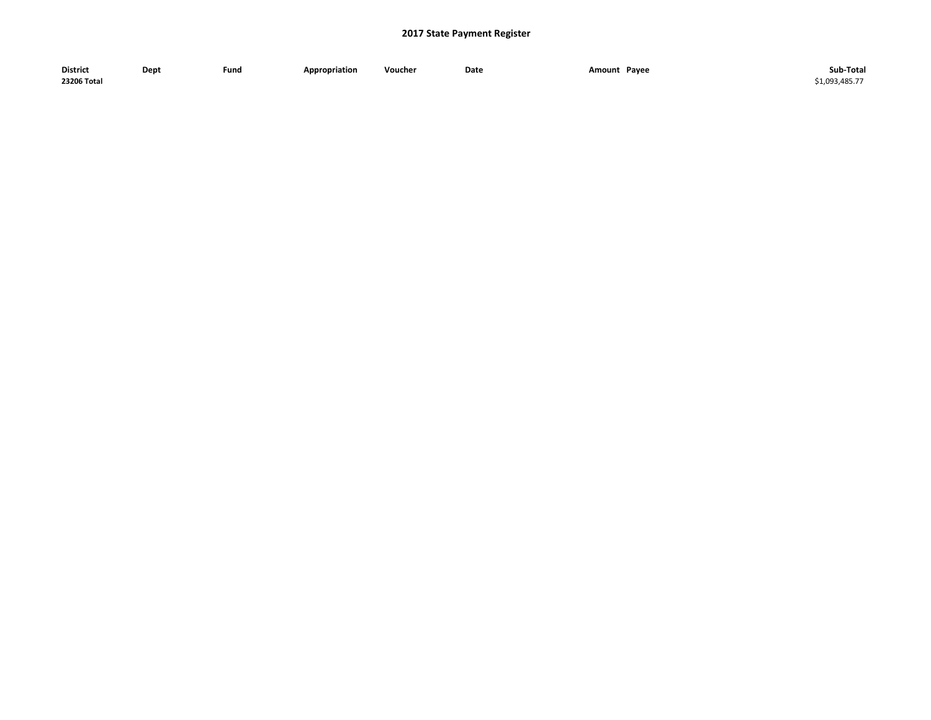| <b>District</b> | Dept | Fund | <b>Appropriation</b> | Voucher | Date | Pavee<br>Amount<br>$\sim$ $\sim$ $\sim$ | Sub-Total    |
|-----------------|------|------|----------------------|---------|------|-----------------------------------------|--------------|
| 23206 Total     |      |      |                      |         |      |                                         | 51.093.485.7 |